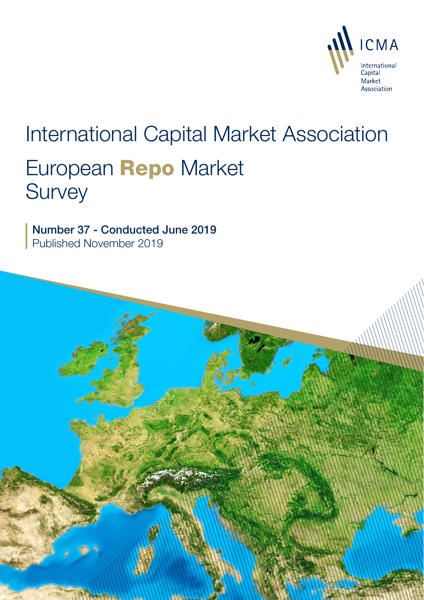

# International Capital Market Association European Repo Market **Survey**

Number 37 - Conducted June 2019 Published November 2019

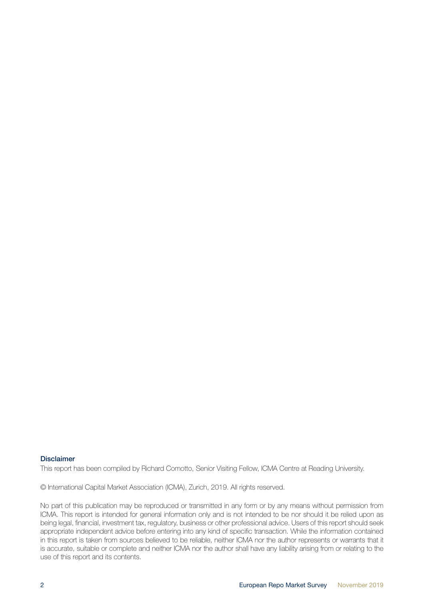#### Disclaimer

This report has been compiled by Richard Comotto, Senior Visiting Fellow, ICMA Centre at Reading University.

© International Capital Market Association (ICMA), Zurich, 2019. All rights reserved.

No part of this publication may be reproduced or transmitted in any form or by any means without permission from ICMA. This report is intended for general information only and is not intended to be nor should it be relied upon as being legal, financial, investment tax, regulatory, business or other professional advice. Users of this report should seek appropriate independent advice before entering into any kind of specific transaction. While the information contained in this report is taken from sources believed to be reliable, neither ICMA nor the author represents or warrants that it is accurate, suitable or complete and neither ICMA nor the author shall have any liability arising from or relating to the use of this report and its contents.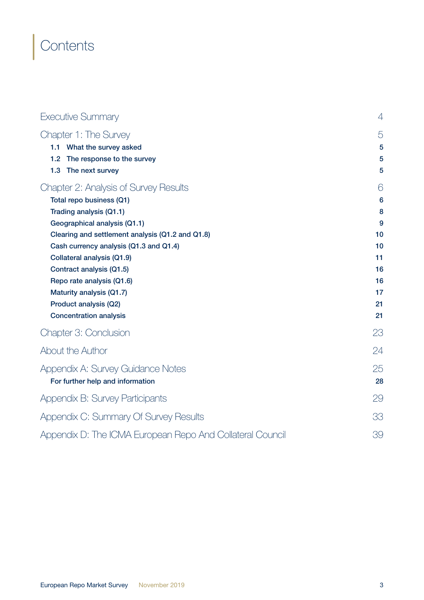# **Contents**

| Executive Summary                                                                                                                                                                                                                                                                                                                                                                                       | $\overline{4}$                                                   |  |
|---------------------------------------------------------------------------------------------------------------------------------------------------------------------------------------------------------------------------------------------------------------------------------------------------------------------------------------------------------------------------------------------------------|------------------------------------------------------------------|--|
| Chapter 1: The Survey<br>1.1<br>What the survey asked<br>The response to the survey<br>1.2                                                                                                                                                                                                                                                                                                              | 5<br>5<br>5                                                      |  |
| 1.3<br>The next survey                                                                                                                                                                                                                                                                                                                                                                                  | 5                                                                |  |
| Chapter 2: Analysis of Survey Results<br>Total repo business (Q1)<br>Trading analysis (Q1.1)<br>Geographical analysis (Q1.1)<br>Clearing and settlement analysis (Q1.2 and Q1.8)<br>Cash currency analysis (Q1.3 and Q1.4)<br>Collateral analysis (Q1.9)<br>Contract analysis (Q1.5)<br>Repo rate analysis (Q1.6)<br>Maturity analysis (Q1.7)<br>Product analysis (Q2)<br><b>Concentration analysis</b> | 6<br>6<br>8<br>9<br>10<br>10<br>11<br>16<br>16<br>17<br>21<br>21 |  |
| Chapter 3: Conclusion                                                                                                                                                                                                                                                                                                                                                                                   | 23                                                               |  |
| About the Author                                                                                                                                                                                                                                                                                                                                                                                        | 24                                                               |  |
| Appendix A: Survey Guidance Notes<br>For further help and information                                                                                                                                                                                                                                                                                                                                   | 25<br>28                                                         |  |
| Appendix B: Survey Participants                                                                                                                                                                                                                                                                                                                                                                         | 29                                                               |  |
| Appendix C: Summary Of Survey Results                                                                                                                                                                                                                                                                                                                                                                   | 33                                                               |  |
| Appendix D: The ICMA European Repo And Collateral Council                                                                                                                                                                                                                                                                                                                                               | 39                                                               |  |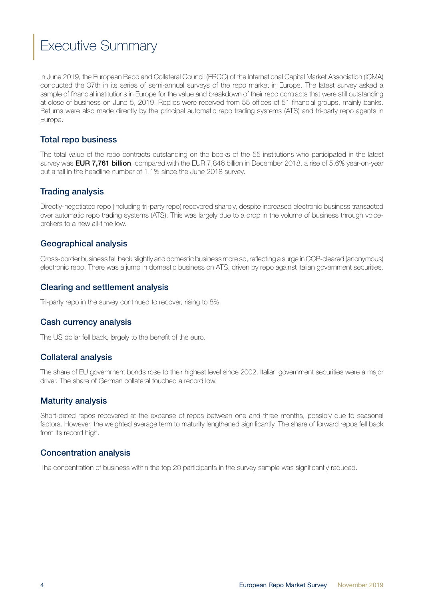# <span id="page-3-0"></span>Executive Summary

In June 2019, the European Repo and Collateral Council (ERCC) of the International Capital Market Association (ICMA) conducted the 37th in its series of semi-annual surveys of the repo market in Europe. The latest survey asked a sample of financial institutions in Europe for the value and breakdown of their repo contracts that were still outstanding at close of business on June 5, 2019. Replies were received from 55 offices of 51 financial groups, mainly banks. Returns were also made directly by the principal automatic repo trading systems (ATS) and tri-party repo agents in Europe.

#### Total repo business

The total value of the repo contracts outstanding on the books of the 55 institutions who participated in the latest survey was **EUR 7,761 billion**, compared with the EUR 7,846 billion in December 2018, a rise of 5.6% year-on-year but a fall in the headline number of 1.1% since the June 2018 survey.

#### Trading analysis

Directly-negotiated repo (including tri-party repo) recovered sharply, despite increased electronic business transacted over automatic repo trading systems (ATS). This was largely due to a drop in the volume of business through voicebrokers to a new all-time low.

#### Geographical analysis

Cross-border business fell back slightly and domestic business more so, reflecting a surge in CCP-cleared (anonymous) electronic repo. There was a jump in domestic business on ATS, driven by repo against Italian government securities.

#### Clearing and settlement analysis

Tri-party repo in the survey continued to recover, rising to 8%.

#### Cash currency analysis

The US dollar fell back, largely to the benefit of the euro.

#### Collateral analysis

The share of EU government bonds rose to their highest level since 2002, Italian government securities were a major driver. The share of German collateral touched a record low.

#### Maturity analysis

Short-dated repos recovered at the expense of repos between one and three months, possibly due to seasonal factors. However, the weighted average term to maturity lengthened significantly. The share of forward repos fell back from its record high.

#### Concentration analysis

The concentration of business within the top 20 participants in the survey sample was significantly reduced.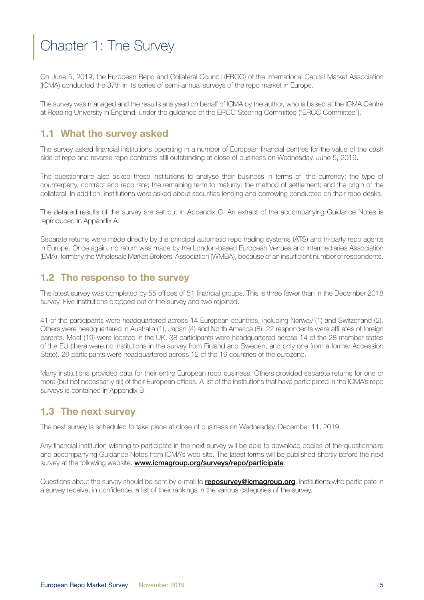# <span id="page-4-0"></span>Chapter 1: The Survey

On June 5, 2019, the European Repo and Collateral Council (ERCC) of the International Capital Market Association (ICMA) conducted the 37th in its series of semi-annual surveys of the repo market in Europe.

The survey was managed and the results analysed on behalf of ICMA by the author, who is based at the ICMA Centre at Reading University in England, under the guidance of the ERCC Steering Committee ("ERCC Committee").

# 1.1 What the survey asked

The survey asked financial institutions operating in a number of European financial centres for the value of the cash side of repo and reverse repo contracts still outstanding at close of business on Wednesday, June 5, 2019.

The questionnaire also asked these institutions to analyse their business in terms of: the currency; the type of counterparty, contract and repo rate; the remaining term to maturity; the method of settlement; and the origin of the collateral. In addition, institutions were asked about securities lending and borrowing conducted on their repo desks.

The detailed results of the survey are set out in Appendix C. An extract of the accompanying Guidance Notes is reproduced in Appendix A.

Separate returns were made directly by the principal automatic repo trading systems (ATS) and tri-party repo agents in Europe. Once again, no return was made by the London-based European Venues and Intermediaries Association (EVIA), formerly the Wholesale Market Brokers' Association (WMBA), because of an insufficient number of respondents.

# 1.2 The response to the survey

The latest survey was completed by 55 offices of 51 financial groups. This is three fewer than in the December 2018 survey. Five institutions dropped out of the survey and two rejoined.

41 of the participants were headquartered across 14 European countries, including Norway (1) and Switzerland (2). Others were headquartered in Australia (1), Japan (4) and North America (8). 22 respondents were affiliates of foreign parents. Most (19) were located in the UK. 38 participants were headquartered across 14 of the 28 member states of the EU (there were no institutions in the survey from Finland and Sweden, and only one from a former Accession State). 29 participants were headquartered across 12 of the 19 countries of the eurozone.

Many institutions provided data for their entire European repo business. Others provided separate returns for one or more (but not necessarily all) of their European offices. A list of the institutions that have participated in the ICMA's repo surveys is contained in Appendix B.

# 1.3 The next survey

The next survey is scheduled to take place at close of business on Wednesday, December 11, 2019.

Any financial institution wishing to participate in the next survey will be able to download copies of the questionnaire and accompanying Guidance Notes from ICMA's web site. The latest forms will be published shortly before the next survey at the following website: **www.icmagroup.org/surveys/repo/participate**.

Questions about the survey should be sent by e-mail to **reposurvey@icmagroup.org**. Institutions who participate in a survey receive, in confidence, a list of their rankings in the various categories of the survey.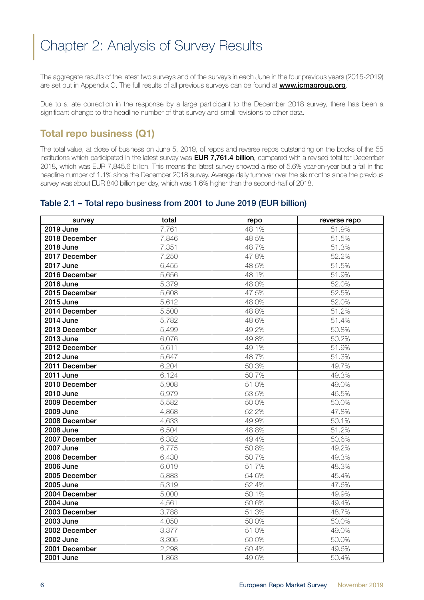# <span id="page-5-0"></span>Chapter 2: Analysis of Survey Results

The aggregate results of the latest two surveys and of the surveys in each June in the four previous years (2015-2019) are set out in Appendix C. The full results of all previous surveys can be found at www.icmagroup.org.

Due to a late correction in the response by a large participant to the December 2018 survey, there has been a significant change to the headline number of that survey and small revisions to other data.

# Total repo business (Q1)

The total value, at close of business on June 5, 2019, of repos and reverse repos outstanding on the books of the 55 institutions which participated in the latest survey was **EUR 7,761.4 billion**, compared with a revised total for December 2018, which was EUR 7,845.6 billion. This means the latest survey showed a rise of 5.6% year-on-year but a fall in the headline number of 1.1% since the December 2018 survey. Average daily turnover over the six months since the previous survey was about EUR 840 billion per day, which was 1.6% higher than the second-half of 2018.

### Table 2.1 – Total repo business from 2001 to June 2019 (EUR billion)

| survey           | total | repo  | reverse repo |
|------------------|-------|-------|--------------|
| <b>2019 June</b> | 7,761 | 48.1% | 51.9%        |
| 2018 December    | 7,846 | 48.5% | 51.5%        |
| <b>2018 June</b> | 7,351 | 48.7% | 51.3%        |
| 2017 December    | 7,250 | 47.8% | 52.2%        |
| <b>2017 June</b> | 6,455 | 48.5% | 51.5%        |
| 2016 December    | 5,656 | 48.1% | 51.9%        |
| <b>2016 June</b> | 5,379 | 48.0% | 52.0%        |
| 2015 December    | 5,608 | 47.5% | 52.5%        |
| 2015 June        | 5,612 | 48.0% | 52.0%        |
| 2014 December    | 5,500 | 48.8% | 51.2%        |
| <b>2014 June</b> | 5,782 | 48.6% | 51.4%        |
| 2013 December    | 5,499 | 49.2% | 50.8%        |
| 2013 June        | 6,076 | 49.8% | 50.2%        |
| 2012 December    | 5,611 | 49.1% | 51.9%        |
| 2012 June        | 5,647 | 48.7% | 51.3%        |
| 2011 December    | 6,204 | 50.3% | 49.7%        |
| <b>2011 June</b> | 6,124 | 50.7% | 49.3%        |
| 2010 December    | 5,908 | 51.0% | 49.0%        |
| 2010 June        | 6,979 | 53.5% | 46.5%        |
| 2009 December    | 5,582 | 50.0% | 50.0%        |
| 2009 June        | 4,868 | 52.2% | 47.8%        |
| 2008 December    | 4,633 | 49.9% | 50.1%        |
| <b>2008 June</b> | 6,504 | 48.8% | 51.2%        |
| 2007 December    | 6,382 | 49.4% | 50.6%        |
| <b>2007 June</b> | 6,775 | 50.8% | 49.2%        |
| 2006 December    | 6,430 | 50.7% | 49.3%        |
| <b>2006 June</b> | 6,019 | 51.7% | 48.3%        |
| 2005 December    | 5,883 | 54.6% | 45.4%        |
| 2005 June        | 5,319 | 52.4% | 47.6%        |
| 2004 December    | 5,000 | 50.1% | 49.9%        |
| 2004 June        | 4,561 | 50.6% | 49.4%        |
| 2003 December    | 3,788 | 51.3% | 48.7%        |
| 2003 June        | 4,050 | 50.0% | 50.0%        |
| 2002 December    | 3,377 | 51.0% | 49.0%        |
| 2002 June        | 3,305 | 50.0% | 50.0%        |
| 2001 December    | 2,298 | 50.4% | 49.6%        |
| <b>2001 June</b> | 1,863 | 49.6% | 50.4%        |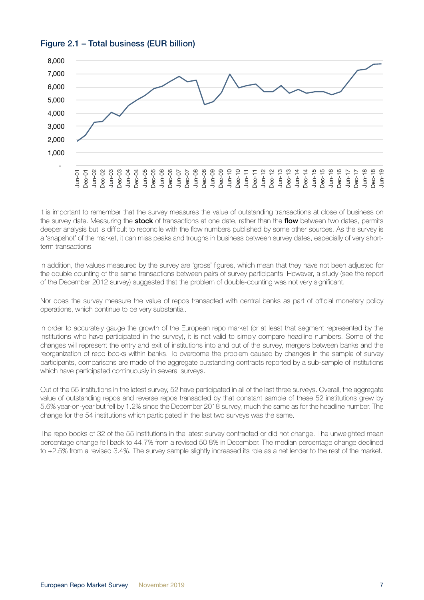



It is important to remember that the survey measures the value of outstanding transactions at close of business on the survey date. Measuring the stock of transactions at one date, rather than the flow between two dates, permits deeper analysis but is difficult to reconcile with the flow numbers published by some other sources. As the survey is a 'snapshot' of the market, it can miss peaks and troughs in business between survey dates, especially of very shortterm transactions

In addition, the values measured by the survey are 'gross' figures, which mean that they have not been adjusted for the double counting of the same transactions between pairs of survey participants. However, a study (see the report of the December 2012 survey) suggested that the problem of double-counting was not very significant.

Nor does the survey measure the value of repos transacted with central banks as part of official monetary policy operations, which continue to be very substantial.

In order to accurately gauge the growth of the European repo market (or at least that segment represented by the institutions who have participated in the survey), it is not valid to simply compare headline numbers. Some of the changes will represent the entry and exit of institutions into and out of the survey, mergers between banks and the reorganization of repo books within banks. To overcome the problem caused by changes in the sample of survey participants, comparisons are made of the aggregate outstanding contracts reported by a sub-sample of institutions which have participated continuously in several surveys.

Out of the 55 institutions in the latest survey, 52 have participated in all of the last three surveys. Overall, the aggregate value of outstanding repos and reverse repos transacted by that constant sample of these 52 institutions grew by 5.6% year-on-year but fell by 1.2% since the December 2018 survey, much the same as for the headline number. The change for the 54 institutions which participated in the last two surveys was the same.

The repo books of 32 of the 55 institutions in the latest survey contracted or did not change. The unweighted mean percentage change fell back to 44.7% from a revised 50.8% in December. The median percentage change declined to +2.5% from a revised 3.4%. The survey sample slightly increased its role as a net lender to the rest of the market.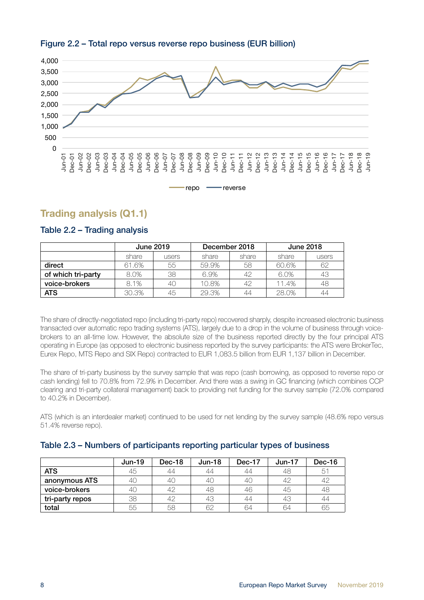<span id="page-7-0"></span>



# Trading analysis (Q1.1)

|                    | <b>June 2019</b> |       | December 2018 |       | <b>June 2018</b> |       |
|--------------------|------------------|-------|---------------|-------|------------------|-------|
|                    | share            | users | share         | share | share            | users |
| direct             | 61.6%            | 55    | 59.9%         | 58    | 60.6%            | 62    |
| of which tri-party | 8.0%             | 38    | 6.9%          | 42    | 6.0%             | 43    |
| voice-brokers      | 8.1%             | 40    | 10.8%         |       | 11.4%            | 48    |
| <b>ATS</b>         | 30.3%            | 45    | 29.3%         | 44    | 28.0%            | 44    |

#### Table 2.2 – Trading analysis

The share of directly-negotiated repo (including tri-party repo) recovered sharply, despite increased electronic business transacted over automatic repo trading systems (ATS), largely due to a drop in the volume of business through voicebrokers to an all-time low. However, the absolute size of the business reported directly by the four principal ATS operating in Europe (as opposed to electronic business reported by the survey participants: the ATS were BrokerTec, Eurex Repo, MTS Repo and SIX Repo) contracted to EUR 1,083.5 billion from EUR 1,137 billion in December.

The share of tri-party business by the survey sample that was repo (cash borrowing, as opposed to reverse repo or cash lending) fell to 70.8% from 72.9% in December. And there was a swing in GC financing (which combines CCP clearing and tri-party collateral management) back to providing net funding for the survey sample (72.0% compared to 40.2% in December).

ATS (which is an interdealer market) continued to be used for net lending by the survey sample (48.6% repo versus 51.4% reverse repo).

|                 | $Jun-19$ | Dec-18 | $Jun-18$ | Dec-17 | $Jun-17$  | Dec-16 |
|-----------------|----------|--------|----------|--------|-----------|--------|
| <b>ATS</b>      | 45       | 44     | 44       | 44     | 48        | 51     |
| anonymous ATS   | 4C       | 4C     | 40       | 40     | $4^\circ$ | 47     |
| voice-brokers   | 40       | 42     | 48       | 46     | 45        | 48     |
| tri-party repos | 38       | 42     | 43       | 44     | 43        | 44     |
| total           | 55       | 58     | 62       | 64     | 64        | 65     |

#### Table 2.3 – Numbers of participants reporting particular types of business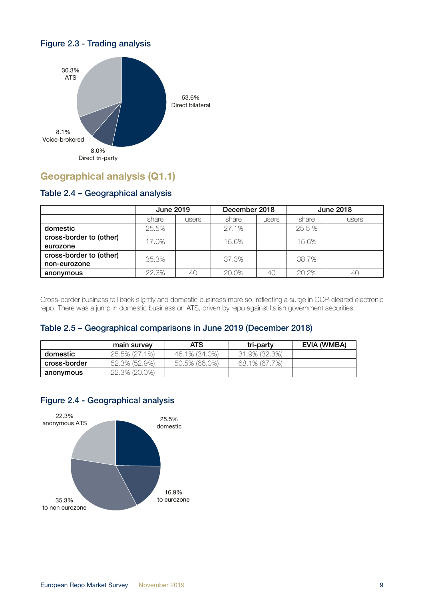

# <span id="page-8-0"></span>Figure 2.3 - Trading analysis

# Geographical analysis (Q1.1)

### Table 2.4 – Geographical analysis

|                                     | <b>June 2019</b> |       | December 2018 |       | <b>June 2018</b> |       |
|-------------------------------------|------------------|-------|---------------|-------|------------------|-------|
|                                     | share            | users | share         | users | share            | users |
| domestic                            | 25.5%            |       | 27.1%         |       | 25.5 %           |       |
| cross-border to (other)             | 17.0%            |       | 15.6%         |       | 15.6%            |       |
| eurozone<br>cross-border to (other) |                  |       |               |       |                  |       |
| non-eurozone                        | 35.3%            |       | 37.3%         |       | 38.7%            |       |
| anonymous                           | 22.3%            | 40    | 20.0%         | 40    | 20.2%            | 4C    |

Cross-border business fell back slightly and domestic business more so, reflecting a surge in CCP-cleared electronic repo. There was a jump in domestic business on ATS, driven by repo against Italian government securities.

#### Table 2.5 – Geographical comparisons in June 2019 (December 2018)

|              | main survey   | <b>ATS</b>    | tri-party     | EVIA (WMBA) |
|--------------|---------------|---------------|---------------|-------------|
| domestic     | 25.5% (27.1%) | 46.1% (34.0%) | 31.9% (32.3%) |             |
| cross-border | 52.3% (52.9%) | 50.5% (66.0%) | 68.1% (67.7%) |             |
| anonymous    | 22.3% (20.0%) |               |               |             |

#### Figure 2.4 - Geographical analysis

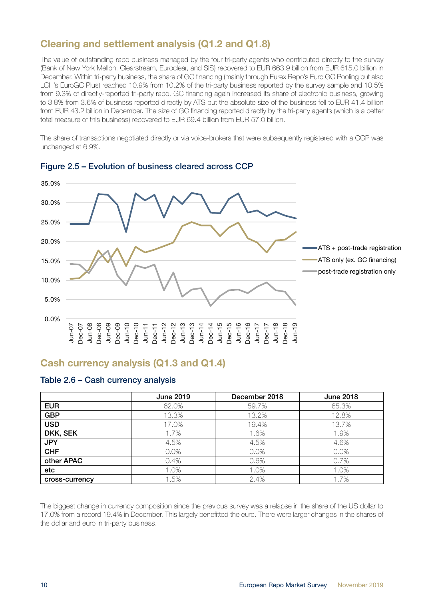# <span id="page-9-0"></span>Clearing and settlement analysis (Q1.2 and Q1.8)

The value of outstanding repo business managed by the four tri-party agents who contributed directly to the survey (Bank of New York Mellon, Clearstream, Euroclear, and SIS) recovered to EUR 663.9 billion from EUR 615.0 billion in December. Within tri-party business, the share of GC financing (mainly through Eurex Repo's Euro GC Pooling but also LCH's EuroGC Plus) reached 10.9% from 10.2% of the tri-party business reported by the survey sample and 10.5% from 9.3% of directly-reported tri-party repo. GC financing again increased its share of electronic business, growing to 3.8% from 3.6% of business reported directly by ATS but the absolute size of the business fell to EUR 41.4 billion from EUR 43.2 billion in December. The size of GC financing reported directly by the tri-party agents (which is a better total measure of this business) recovered to EUR 69.4 billion from EUR 57.0 billion.

The share of transactions negotiated directly or via voice-brokers that were subsequently registered with a CCP was unchanged at 6.9%.



#### Figure 2.5 – Evolution of business cleared across CCP

# Cash currency analysis (Q1.3 and Q1.4)

#### Table 2.6 – Cash currency analysis

|                | <b>June 2019</b> | December 2018 | <b>June 2018</b> |
|----------------|------------------|---------------|------------------|
| <b>EUR</b>     | 62.0%            | 59.7%         | 65.3%            |
| <b>GBP</b>     | 13.3%            | 13.2%         | 12.8%            |
| <b>USD</b>     | 17.0%            | 19.4%         | 13.7%            |
| DKK, SEK       | 1.7%             | 1.6%          | 1.9%             |
| <b>JPY</b>     | 4.5%             | 4.5%          | 4.6%             |
| <b>CHF</b>     | 0.0%             | 0.0%          | 0.0%             |
| other APAC     | 0.4%             | 0.6%          | 0.7%             |
| etc            | 1.0%             | 1.0%          | 1.0%             |
| cross-currency | 1.5%             | 2.4%          | 1.7%             |

The biggest change in currency composition since the previous survey was a relapse in the share of the US dollar to 17.0% from a record 19.4% in December. This largely benefitted the euro. There were larger changes in the shares of the dollar and euro in tri-party business.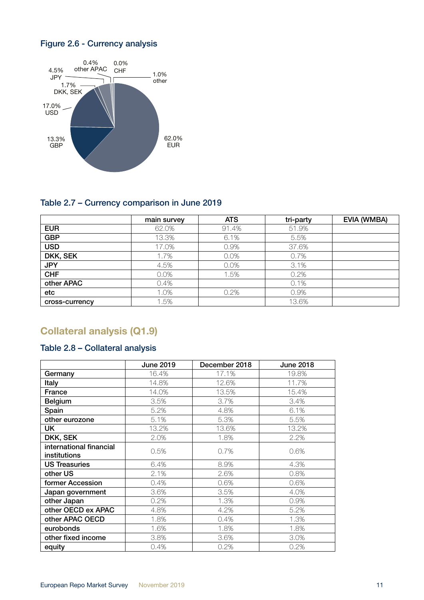# <span id="page-10-0"></span>Figure 2.6 - Currency analysis



### Table 2.7 – Currency comparison in June 2019

|                | main survey | <b>ATS</b> | tri-party | <b>EVIA (WMBA)</b> |
|----------------|-------------|------------|-----------|--------------------|
| <b>EUR</b>     | 62.0%       | 91.4%      | 51.9%     |                    |
| <b>GBP</b>     | 13.3%       | 6.1%       | 5.5%      |                    |
| <b>USD</b>     | 17.0%       | 0.9%       | 37.6%     |                    |
| DKK, SEK       | 1.7%        | 0.0%       | 0.7%      |                    |
| <b>JPY</b>     | 4.5%        | 0.0%       | 3.1%      |                    |
| <b>CHF</b>     | 0.0%        | 1.5%       | 0.2%      |                    |
| other APAC     | 0.4%        |            | 0.1%      |                    |
| etc            | 1.0%        | 0.2%       | 0.9%      |                    |
| cross-currency | 1.5%        |            | 13.6%     |                    |

# Collateral analysis (Q1.9)

# Table 2.8 – Collateral analysis

|                                                | <b>June 2019</b> | December 2018 | <b>June 2018</b> |
|------------------------------------------------|------------------|---------------|------------------|
| Germany                                        | 16.4%            | 17.1%         | 19.8%            |
| <b>Italy</b>                                   | 14.8%            | 12.6%         | 11.7%            |
| France                                         | 14.0%            | 13.5%         | 15.4%            |
| <b>Belgium</b>                                 | 3.5%             | 3.7%          | 3.4%             |
| Spain                                          | 5.2%             | 4.8%          | 6.1%             |
| other eurozone                                 | 5.1%             | 5.3%          | 5.5%             |
| <b>UK</b>                                      | 13.2%            | 13.6%         | 13.2%            |
| DKK, SEK                                       | 2.0%             | 1.8%          | 2.2%             |
| international financial<br><b>institutions</b> | 0.5%             | 0.7%          | 0.6%             |
| <b>US Treasuries</b>                           | 6.4%             | 8.9%          | 4.3%             |
| other US                                       | 2.1%             | 2.6%          | 0.8%             |
| former Accession                               | 0.4%             | 0.6%          | 0.6%             |
| Japan government                               | 3.6%             | 3.5%          | 4.0%             |
| other Japan                                    | 0.2%             | 1.3%          | 0.9%             |
| other OECD ex APAC                             | 4.8%             | 4.2%          | 5.2%             |
| other APAC OECD                                | 1.8%             | 0.4%          | 1.3%             |
| eurobonds                                      | 1.6%             | 1.8%          | 1.8%             |
| other fixed income                             | 3.8%             | 3.6%          | 3.0%             |
| equity                                         | 0.4%             | 0.2%          | 0.2%             |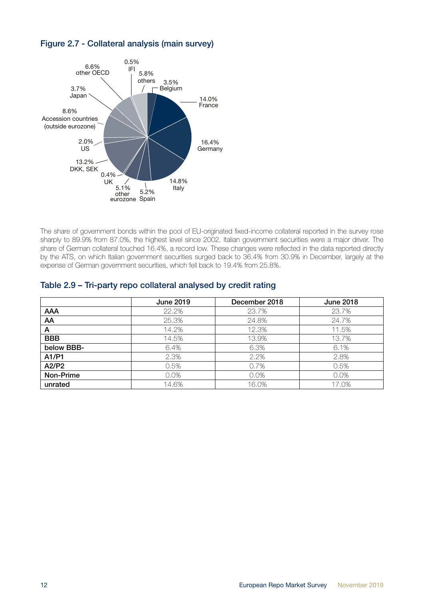



The share of government bonds within the pool of EU-originated fixed-income collateral reported in the survey rose sharply to 89.9% from 87.0%, the highest level since 2002. Italian government securities were a major driver. The share of German collateral touched 16.4%, a record low. These changes were reflected in the data reported directly by the ATS, on which Italian government securities surged back to 36.4% from 30.9% in December, largely at the expense of German government securities, which fell back to 19.4% from 25.8%.

| Table 2.9 - Tri-party repo collateral analysed by credit rating |  |  |  |
|-----------------------------------------------------------------|--|--|--|
|-----------------------------------------------------------------|--|--|--|

|            | <b>June 2019</b> | December 2018 | <b>June 2018</b> |
|------------|------------------|---------------|------------------|
| <b>AAA</b> | 22.2%            | 23.7%         | 23.7%            |
| AA         | 25.3%            | 24.8%         | 24.7%            |
| A          | 14.2%            | 12.3%         | 11.5%            |
| <b>BBB</b> | 14.5%            | 13.9%         | 13.7%            |
| below BBB- | 6.4%             | 6.3%          | 6.1%             |
| A1/P1      | 2.3%             | 2.2%          | 2.8%             |
| A2/P2      | 0.5%             | 0.7%          | 0.5%             |
| Non-Prime  | 0.0%             | $0.0\%$       | 0.0%             |
| unrated    | 14.6%            | 16.0%         | 17.0%            |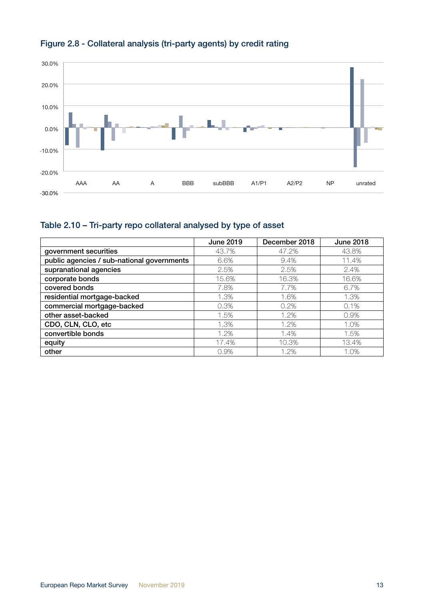

# Figure 2.8 - Collateral analysis (tri-party agents) by credit rating

# Table 2.10 – Tri-party repo collateral analysed by type of asset

|                                            | <b>June 2019</b> | December 2018 | <b>June 2018</b> |
|--------------------------------------------|------------------|---------------|------------------|
| government securities                      | 43.7%            | 47.2%         | 43.8%            |
| public agencies / sub-national governments | 6.6%             | 9.4%          | 11.4%            |
| supranational agencies                     | 2.5%             | 2.5%          | 2.4%             |
| corporate bonds                            | 15.6%            | 16.3%         | 16.6%            |
| covered bonds                              | 7.8%             | 7.7%          | 6.7%             |
| residential mortgage-backed                | 1.3%             | 1.6%          | 1.3%             |
| commercial mortgage-backed                 | 0.3%             | 0.2%          | 0.1%             |
| other asset-backed                         | 1.5%             | 1.2%          | 0.9%             |
| CDO, CLN, CLO, etc                         | 1.3%             | 1.2%          | 1.0%             |
| convertible bonds                          | 1.2%             | 1.4%          | 1.5%             |
| equity                                     | 17.4%            | 10.3%         | 13.4%            |
| other                                      | 0.9%             | 1.2%          | 1.0%             |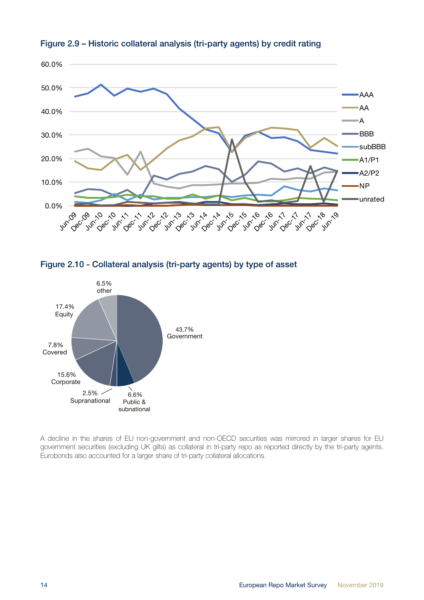







A decline in the shares of EU non-government and non-OECD securities was mirrored in larger shares for EU government securities (excluding UK gilts) as collateral in tri-party repo as reported directly by the tri-party agents. Eurobonds also accounted for a larger share of tri-party collateral allocations.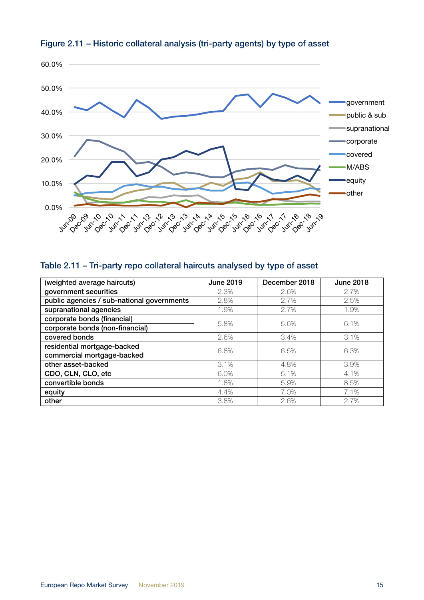

## Figure 2.11 – Historic collateral analysis (tri-party agents) by type of asset

# Table 2.11 – Tri-party repo collateral haircuts analysed by type of asset

| (weighted average haircuts)                | <b>June 2019</b> | December 2018 | <b>June 2018</b> |
|--------------------------------------------|------------------|---------------|------------------|
| government securities                      | 2.3%             | 2.6%          | 2.7%             |
| public agencies / sub-national governments | 2.8%             | 2.7%          | 2.5%             |
| supranational agencies                     | 1.9%             | 2.7%          | 1.9%             |
| corporate bonds (financial)                | 5.8%             | 5.6%          | 6.1%             |
| corporate bonds (non-financial)            |                  |               |                  |
| covered bonds                              | 2.6%             | 3.4%          | 3.1%             |
| residential mortgage-backed                | 6.8%             | 6.5%          | 6.3%             |
| commercial mortgage-backed                 |                  |               |                  |
| other asset-backed                         | 3.1%             | 4.8%          | 3.9%             |
| CDO, CLN, CLO, etc                         | 6.0%             | 5.1%          | 4.1%             |
| convertible bonds                          | 1.8%             | 5.9%          | 8.5%             |
| equity                                     | 4.4%             | 7.0%          | 7.1%             |
| other                                      | 3.8%             | 2.6%          | 2.7%             |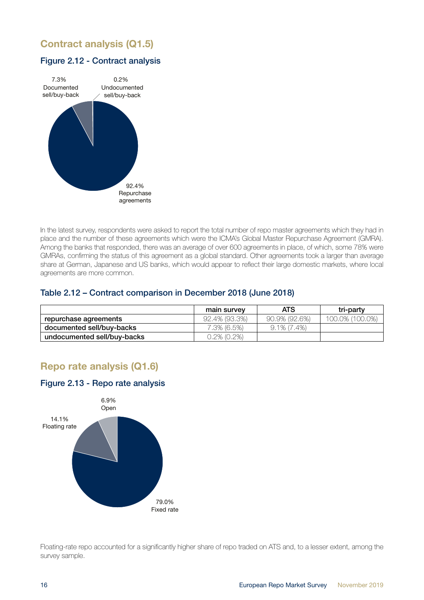# <span id="page-15-0"></span>Contract analysis (Q1.5)

#### Figure 2.12 - Contract analysis



In the latest survey, respondents were asked to report the total number of repo master agreements which they had in place and the number of these agreements which were the ICMA's Global Master Repurchase Agreement (GMRA). Among the banks that responded, there was an average of over 600 agreements in place, of which, some 78% were GMRAs, confirming the status of this agreement as a global standard. Other agreements took a larger than average share at German, Japanese and US banks, which would appear to reflect their large domestic markets, where local agreements are more common.

#### Table 2.12 – Contract comparison in December 2018 (June 2018)

|                             | main survey   | <b>ATS</b>     | tri-party       |
|-----------------------------|---------------|----------------|-----------------|
| repurchase agreements       | 92.4% (93.3%) | 90.9% (92.6%)  | 100.0% (100.0%) |
| documented sell/buy-backs   | 7.3% (6.5%)   | $9.1\%$ (7.4%) |                 |
| undocumented sell/buy-backs | 0.2% (0.2%)   |                |                 |

# Repo rate analysis (Q1.6)

#### Figure 2.13 - Repo rate analysis



Floating-rate repo accounted for a significantly higher share of repo traded on ATS and, to a lesser extent, among the survey sample.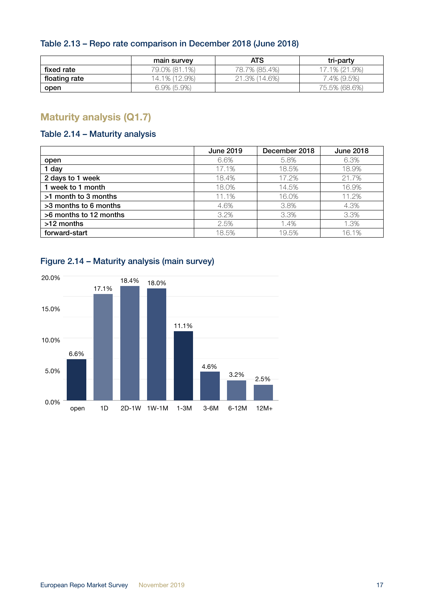### <span id="page-16-0"></span>Table 2.13 – Repo rate comparison in December 2018 (June 2018)

|               | main survey    | <b>ATS</b>    | tri-party     |
|---------------|----------------|---------------|---------------|
| fixed rate    | 79.0% (81.1%)  | 78.7% (85.4%) | 17.1% (21.9%) |
| floating rate | 14.1% (12.9%)  | 21.3% (14.6%) | 7.4% (9.5%)   |
| open          | $6.9\%$ (5.9%) |               | 75.5% (68.6%) |

# Maturity analysis (Q1.7)

# Table 2.14 – Maturity analysis

|                        | <b>June 2019</b> | December 2018 | <b>June 2018</b> |
|------------------------|------------------|---------------|------------------|
| open                   | 6.6%             | 5.8%          | 6.3%             |
| 1 day                  | 17.1%            | 18.5%         | 18.9%            |
| 2 days to 1 week       | 18.4%            | 17.2%         | 21.7%            |
| 1 week to 1 month      | 18.0%            | 14.5%         | 16.9%            |
| >1 month to 3 months   | 11.1%            | 16.0%         | 11.2%            |
| >3 months to 6 months  | 4.6%             | 3.8%          | 4.3%             |
| >6 months to 12 months | 3.2%             | 3.3%          | 3.3%             |
| >12 months             | 2.5%             | 1.4%          | 1.3%             |
| forward-start          | 18.5%            | 19.5%         | 16.1%            |



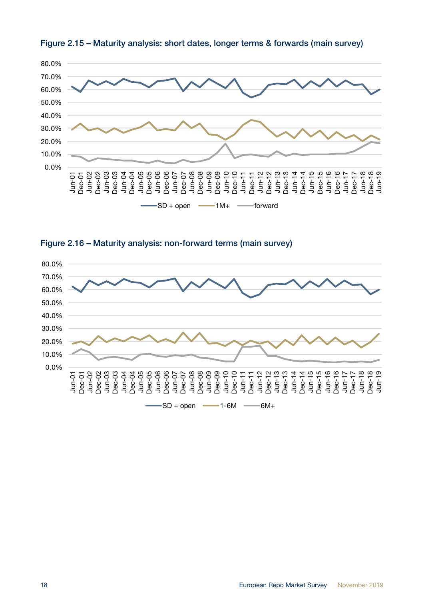





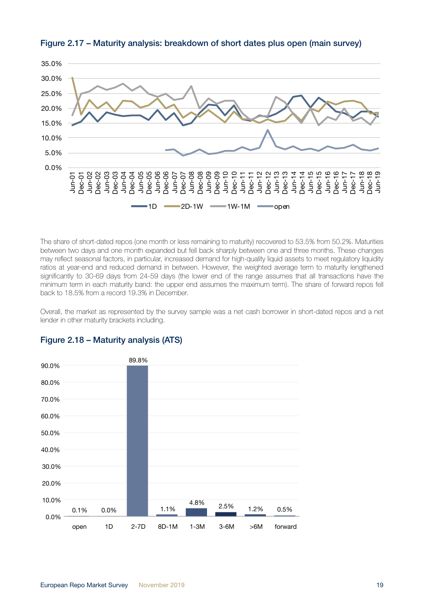

Figure 2.17 – Maturity analysis: breakdown of short dates plus open (main survey)

The share of short-dated repos (one month or less remaining to maturity) recovered to 53.5% from 50.2%. Maturities between two days and one month expanded but fell back sharply between one and three months. These changes may reflect seasonal factors, in particular, increased demand for high-quality liquid assets to meet regulatory liquidity ratios at year-end and reduced demand in between. However, the weighted average term to maturity lengthened significantly to 30-69 days from 24-59 days (the lower end of the range assumes that all transactions have the minimum term in each maturity band: the upper end assumes the maximum term). The share of forward repos fell back to 18.5% from a record 19.3% in December.

Overall, the market as represented by the survey sample was a net cash borrower in short-dated repos and a net lender in other maturity brackets including.



#### Figure 2.18 – Maturity analysis (ATS)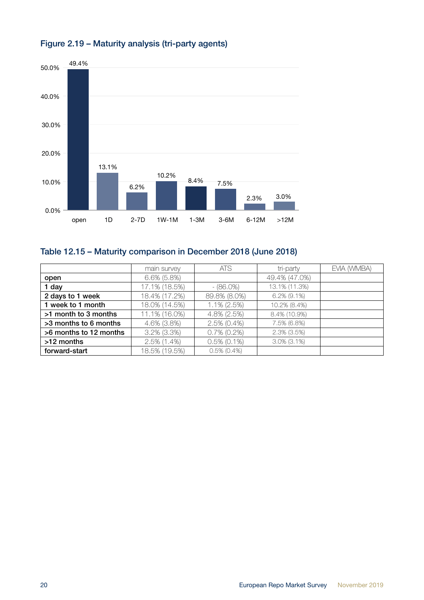

# Figure 2.19 – Maturity analysis (tri-party agents)

# Table 12.15 – Maturity comparison in December 2018 (June 2018)

|                        | main survey    | <b>ATS</b>     | tri-party         | EVIA (WMBA) |
|------------------------|----------------|----------------|-------------------|-------------|
| open                   | $6.6\%$ (5.8%) |                | 49.4% (47.0%)     |             |
| 1 day                  | 17.1% (18.5%)  | $- (86.0\%)$   | 13.1% (11.3%)     |             |
| 2 days to 1 week       | 18.4% (17.2%)  | 89.8% (8.0%)   | $6.2\%$ (9.1%)    |             |
| 1 week to 1 month      | 18.0% (14.5%)  | 1.1% (2.5%)    | 10.2% (8.4%)      |             |
| >1 month to 3 months   | 11.1% (16.0%)  | 4.8% (2.5%)    | 8.4% (10.9%)      |             |
| >3 months to 6 months  | 4.6% (3.8%)    | $2.5\%$ (0.4%) | 7.5% (6.8%)       |             |
| >6 months to 12 months | $3.2\%$ (3.3%) | $0.7\%$ (0.2%) | 2.3% (3.5%)       |             |
| >12 months             | $2.5\%$ (1.4%) | $0.5\%$ (0.1%) | $3.0\%$ $(3.1\%)$ |             |
| forward-start          | 18.5% (19.5%)  | $0.5\%$ (0.4%) |                   |             |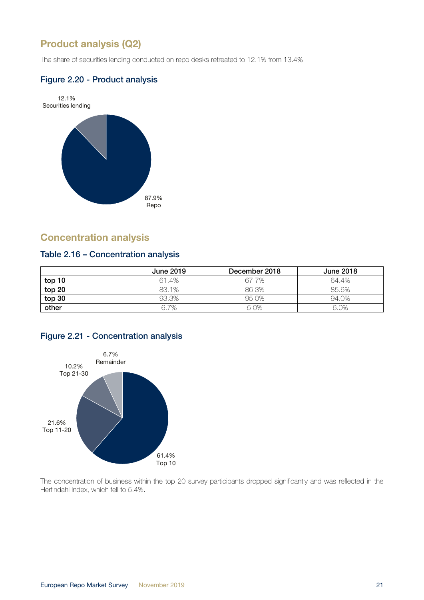# <span id="page-20-0"></span>Product analysis (Q2)

The share of securities lending conducted on repo desks retreated to 12.1% from 13.4%.

### Figure 2.20 - Product analysis



# Concentration analysis

### Table 2.16 – Concentration analysis

|        | June 2019 | December 2018 | <b>June 2018</b> |
|--------|-----------|---------------|------------------|
| top 10 | 61.4%     | 67.7%         | 64.4%            |
| top 20 | 83.1%     | 86.3%         | 85.6%            |
| top 30 | 93.3%     | 95.0%         | 94.0%            |
| other  | 6.7%      | 5.0%          | 6.0%             |

### Figure 2.21 - Concentration analysis



The concentration of business within the top 20 survey participants dropped significantly and was reflected in the Herfindahl Index, which fell to 5.4%.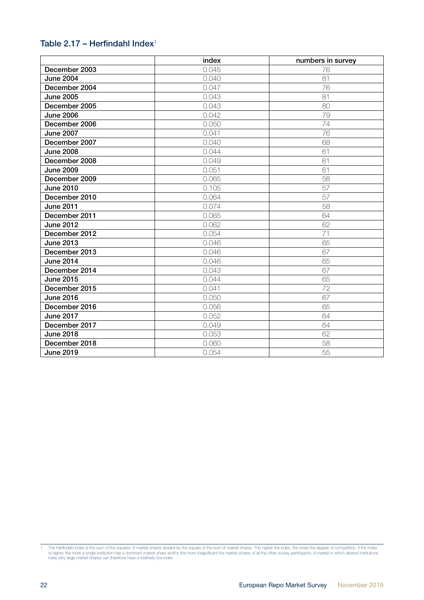### Table 2.17 – Herfindahl Index<sup>1</sup>

|                  | index | numbers in survey |
|------------------|-------|-------------------|
| December 2003    | 0.045 | 76                |
| <b>June 2004</b> | 0.040 | 81                |
| December 2004    | 0.047 | 76                |
| <b>June 2005</b> | 0.043 | 81                |
| December 2005    | 0.043 | 80                |
| <b>June 2006</b> | 0.042 | 79                |
| December 2006    | 0.050 | 74                |
| <b>June 2007</b> | 0.041 | 76                |
| December 2007    | 0.040 | 68                |
| <b>June 2008</b> | 0.044 | 61                |
| December 2008    | 0.049 | 61                |
| <b>June 2009</b> | 0.051 | 61                |
| December 2009    | 0.065 | 58                |
| <b>June 2010</b> | 0.105 | 57                |
| December 2010    | 0.064 | 57                |
| <b>June 2011</b> | 0.074 | 58                |
| December 2011    | 0.065 | 64                |
| <b>June 2012</b> | 0.062 | 62                |
| December 2012    | 0.054 | 71                |
| <b>June 2013</b> | 0.046 | 65                |
| December 2013    | 0.046 | 67                |
| <b>June 2014</b> | 0.046 | 65                |
| December 2014    | 0.043 | 67                |
| <b>June 2015</b> | 0.044 | 65                |
| December 2015    | 0.041 | 72                |
| <b>June 2016</b> | 0.050 | 67                |
| December 2016    | 0.056 | 65                |
| <b>June 2017</b> | 0.052 | 64                |
| December 2017    | 0.049 | 64                |
| <b>June 2018</b> | 0.053 | 62                |
| December 2018    | 0.060 | 58                |
| <b>June 2019</b> | 0.054 | 55                |

<sup>1</sup> The Herfindahl Index is the sum of the squares of market shares divided by the square of the sum of market shares. The higher the index, the lower the degree of competition. If the index<br>is higher, the more a single inst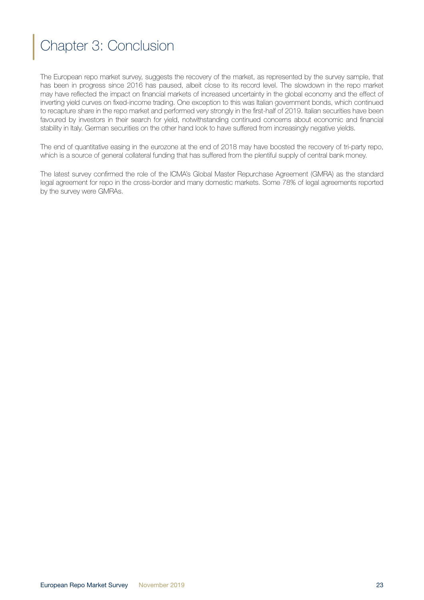# <span id="page-22-0"></span>Chapter 3: Conclusion

The European repo market survey, suggests the recovery of the market, as represented by the survey sample, that has been in progress since 2016 has paused, albeit close to its record level. The slowdown in the repo market may have reflected the impact on financial markets of increased uncertainty in the global economy and the effect of inverting yield curves on fixed-income trading. One exception to this was Italian government bonds, which continued to recapture share in the repo market and performed very strongly in the first-half of 2019. Italian securities have been favoured by investors in their search for yield, notwithstanding continued concerns about economic and financial stability in Italy. German securities on the other hand look to have suffered from increasingly negative yields.

The end of quantitative easing in the eurozone at the end of 2018 may have boosted the recovery of tri-party repo, which is a source of general collateral funding that has suffered from the plentiful supply of central bank money.

The latest survey confirmed the role of the ICMA's Global Master Repurchase Agreement (GMRA) as the standard legal agreement for repo in the cross-border and many domestic markets. Some 78% of legal agreements reported by the survey were GMRAs.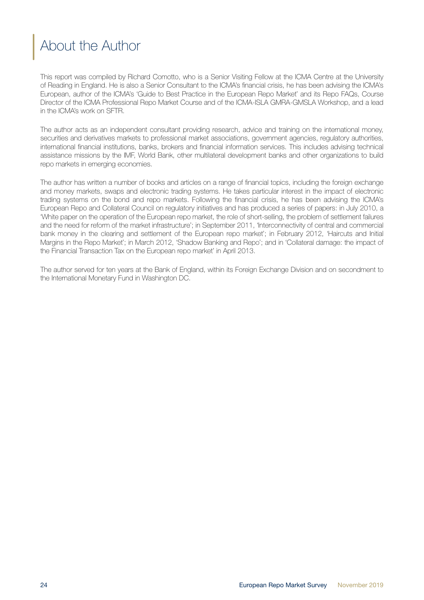# <span id="page-23-0"></span>About the Author

This report was compiled by Richard Comotto, who is a Senior Visiting Fellow at the ICMA Centre at the University of Reading in England. He is also a Senior Consultant to the ICMA's financial crisis, he has been advising the ICMA's European, author of the ICMA's 'Guide to Best Practice in the European Repo Market' and its Repo FAQs, Course Director of the ICMA Professional Repo Market Course and of the ICMA-ISLA GMRA-GMSLA Workshop, and a lead in the ICMA's work on SFTR.

The author acts as an independent consultant providing research, advice and training on the international money, securities and derivatives markets to professional market associations, government agencies, regulatory authorities, international financial institutions, banks, brokers and financial information services. This includes advising technical assistance missions by the IMF, World Bank, other multilateral development banks and other organizations to build repo markets in emerging economies.

The author has written a number of books and articles on a range of financial topics, including the foreign exchange and money markets, swaps and electronic trading systems. He takes particular interest in the impact of electronic trading systems on the bond and repo markets. Following the financial crisis, he has been advising the ICMA's European Repo and Collateral Council on regulatory initiatives and has produced a series of papers: in July 2010, a 'White paper on the operation of the European repo market, the role of short-selling, the problem of settlement failures and the need for reform of the market infrastructure'; in September 2011, 'Interconnectivity of central and commercial bank money in the clearing and settlement of the European repo market'; in February 2012, 'Haircuts and Initial Margins in the Repo Market'; in March 2012, 'Shadow Banking and Repo'; and in 'Collateral damage: the impact of the Financial Transaction Tax on the European repo market' in April 2013.

The author served for ten years at the Bank of England, within its Foreign Exchange Division and on secondment to the International Monetary Fund in Washington DC.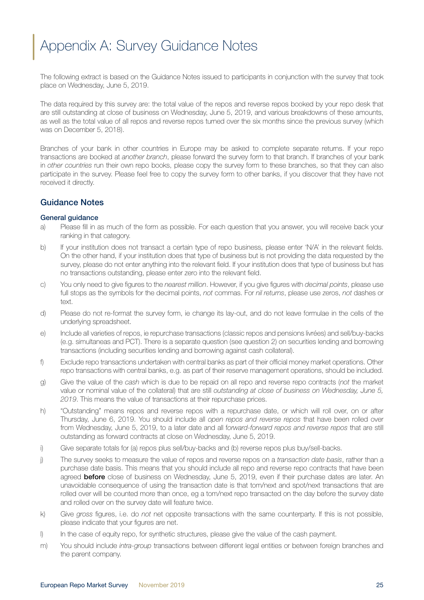# <span id="page-24-0"></span>Appendix A: Survey Guidance Notes

The following extract is based on the Guidance Notes issued to participants in conjunction with the survey that took place on Wednesday, June 5, 2019.

The data required by this survey are: the total value of the repos and reverse repos booked by your repo desk that are still outstanding at close of business on Wednesday, June 5, 2019, and various breakdowns of these amounts, as well as the total value of all repos and reverse repos turned over the six months since the previous survey (which was on December 5, 2018).

Branches of your bank in other countries in Europe may be asked to complete separate returns. If your repo transactions are booked at *another branch*, please forward the survey form to that branch. If branches of your bank in *other countries* run their own repo books, please copy the survey form to these branches, so that they can also participate in the survey. Please feel free to copy the survey form to other banks, if you discover that they have not received it directly.

#### Guidance Notes

#### General guidance

- a) Please fill in as much of the form as possible. For each question that you answer, you will receive back your ranking in that category.
- b) If your institution does not transact a certain type of repo business, please enter 'N/A' in the relevant fields. On the other hand, if your institution does that type of business but is not providing the data requested by the survey, please do not enter anything into the relevant field. If your institution does that type of business but has no transactions outstanding, please enter zero into the relevant field.
- c) You only need to give figures to the *nearest million*. However, if you give figures with *decimal points*, please use full stops as the symbols for the decimal points, *not* commas. For *nil returns*, please use zeros, *not* dashes or text.
- d) Please do not re-format the survey form, ie change its lay-out, and do not leave formulae in the cells of the underlying spreadsheet.
- e) Include all varieties of repos, ie repurchase transactions (classic repos and pensions livrées) and sell/buy-backs (e.g. simultaneas and PCT). There is a separate question (see question 2) on securities lending and borrowing transactions (including securities lending and borrowing against cash collateral).
- f) Exclude repo transactions undertaken with central banks as part of their official money market operations. Other repo transactions with central banks, e.g. as part of their reserve management operations, should be included.
- g) Give the value of the *cash* which is due to be repaid on all repo and reverse repo contracts (*not* the market value or nominal value of the collateral) that are still *outstanding at close of business on Wednesday, June 5, 2019*. This means the value of transactions at their repurchase prices.
- h) "Outstanding" means repos and reverse repos with a repurchase date, or which will roll over, on or after Thursday, June 6, 2019. You should include all *open repos and reverse repos* that have been rolled over from Wednesday, June 5, 2019, to a later date and all f*orward-forward repos and reverse repos* that are still outstanding as forward contracts at close on Wednesday, June 5, 2019.
- i) Give separate totals for (a) repos plus sell/buy-backs and (b) reverse repos plus buy/sell-backs.
- j) The survey seeks to measure the value of repos and reverse repos on a *transaction date basis*, rather than a purchase date basis. This means that you should include all repo and reverse repo contracts that have been agreed **before** close of business on Wednesday, June 5, 2019, even if their purchase dates are later. An unavoidable consequence of using the transaction date is that tom/next and spot/next transactions that are rolled over will be counted more than once, eg a tom/next repo transacted on the day before the survey date and rolled over on the survey date will feature twice.
- k) Give *gross* figures, i.e. do *not* net opposite transactions with the same counterparty. If this is not possible, please indicate that your figures are net.
- l) In the case of equity repo, for synthetic structures, please give the value of the cash payment.
- m) You should include *intra-group* transactions between different legal entities or between foreign branches and the parent company.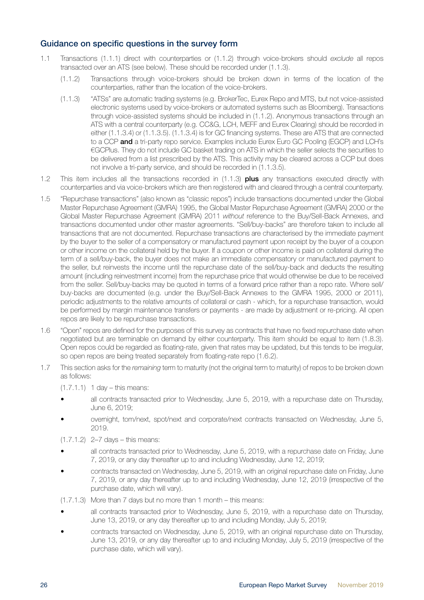#### Guidance on specific questions in the survey form

- 1.1 Transactions (1.1.1) direct with counterparties or (1.1.2) through voice-brokers should *exclude* all repos transacted over an ATS (see below). These should be recorded under (1.1.3).
	- (1.1.2) Transactions through voice-brokers should be broken down in terms of the location of the counterparties, rather than the location of the voice-brokers.
	- (1.1.3) "ATSs" are automatic trading systems (e.g. BrokerTec, Eurex Repo and MTS, but not voice-assisted electronic systems used by voice-brokers or automated systems such as Bloomberg). Transactions through voice-assisted systems should be included in (1.1.2). Anonymous transactions through an ATS with a central counterparty (e.g. CC&G, LCH, MEFF and Eurex Clearing) should be recorded in either (1.1.3.4) or (1.1.3.5). (1.1.3.4) is for GC financing systems. These are ATS that are connected to a CCP and a tri-party repo service. Examples include Eurex Euro GC Pooling (EGCP) and LCH's €GCPlus. They do not include GC basket trading on ATS in which the seller selects the securities to be delivered from a list prescribed by the ATS. This activity may be cleared across a CCP but does not involve a tri-party service, and should be recorded in (1.1.3.5).
- 1.2 This item includes all the transactions recorded in (1.1.3) plus any transactions executed directly with counterparties and via voice-brokers which are then registered with and cleared through a central counterparty.
- 1.5 "Repurchase transactions" (also known as "classic repos") include transactions documented under the Global Master Repurchase Agreement (GMRA) 1995, the Global Master Repurchase Agreement (GMRA) 2000 or the Global Master Repurchase Agreement (GMRA) 2011 *without* reference to the Buy/Sell-Back Annexes, and transactions documented under other master agreements. "Sell/buy-backs" are therefore taken to include all transactions that are not documented. Repurchase transactions are characterised by the immediate payment by the buyer to the seller of a compensatory or manufactured payment upon receipt by the buyer of a coupon or other income on the collateral held by the buyer. If a coupon or other income is paid on collateral during the term of a sell/buy-back, the buyer does not make an immediate compensatory or manufactured payment to the seller, but reinvests the income until the repurchase date of the sell/buy-back and deducts the resulting amount (including reinvestment income) from the repurchase price that would otherwise be due to be received from the seller. Sell/buy-backs may be quoted in terms of a forward price rather than a repo rate. Where sell/ buy-backs are documented (e.g. under the Buy/Sell-Back Annexes to the GMRA 1995, 2000 or 2011), periodic adjustments to the relative amounts of collateral or cash - which, for a repurchase transaction, would be performed by margin maintenance transfers or payments - are made by adjustment or re-pricing. All open repos are likely to be repurchase transactions.
- 1.6 "Open" repos are defined for the purposes of this survey as contracts that have no fixed repurchase date when negotiated but are terminable on demand by either counterparty. This item should be equal to item (1.8.3). Open repos could be regarded as floating-rate, given that rates may be updated, but this tends to be irregular, so open repos are being treated separately from floating-rate repo (1.6.2).
- 1.7 This section asks for the *remaining* term to maturity (not the original term to maturity) of repos to be broken down as follows:
	- (1.7.1.1) 1 day this means:
	- all contracts transacted prior to Wednesday, June 5, 2019, with a repurchase date on Thursday, June 6, 2019;
	- overnight, tom/next, spot/next and corporate/next contracts transacted on Wednesday, June 5, 2019.
	- (1.7.1.2) 2–7 days this means:
	- all contracts transacted prior to Wednesday, June 5, 2019, with a repurchase date on Friday, June 7, 2019, or any day thereafter up to and including Wednesday, June 12, 2019;
	- contracts transacted on Wednesday, June 5, 2019, with an original repurchase date on Friday, June 7, 2019, or any day thereafter up to and including Wednesday, June 12, 2019 (irrespective of the purchase date, which will vary).
	- (1.7.1.3) More than 7 days but no more than 1 month this means:
	- all contracts transacted prior to Wednesday, June 5, 2019, with a repurchase date on Thursday, June 13, 2019, or any day thereafter up to and including Monday, July 5, 2019;
	- contracts transacted on Wednesday, June 5, 2019, with an original repurchase date on Thursday, June 13, 2019, or any day thereafter up to and including Monday, July 5, 2019 (irrespective of the purchase date, which will vary).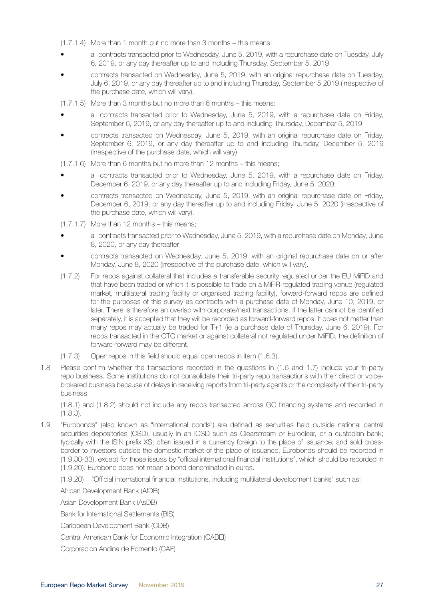- (1.7.1.4) More than 1 month but no more than 3 months this means:
- all contracts transacted prior to Wednesday, June 5, 2019, with a repurchase date on Tuesday, July 6, 2019, or any day thereafter up to and including Thursday, September 5, 2019;
- contracts transacted on Wednesday, June 5, 2019, with an original repurchase date on Tuesday, July 6, 2019, or any day thereafter up to and including Thursday, September 5 2019 (irrespective of the purchase date, which will vary).

(1.7.1.5) More than 3 months but no more than 6 months – this means:

- all contracts transacted prior to Wednesday, June 5, 2019, with a repurchase date on Friday, September 6, 2019, or any day thereafter up to and including Thursday, December 5, 2019;
- contracts transacted on Wednesday, June 5, 2019, with an original repurchase date on Friday, September 6, 2019, or any day thereafter up to and including Thursday, December 5, 2019 (irrespective of the purchase date, which will vary).
- (1.7.1.6) More than 6 months but no more than 12 months this means;
- all contracts transacted prior to Wednesday, June 5, 2019, with a repurchase date on Friday, December 6, 2019, or any day thereafter up to and including Friday, June 5, 2020;
- contracts transacted on Wednesday, June 5, 2019, with an original repurchase date on Friday, December 6, 2019, or any day thereafter up to and including Friday, June 5, 2020 (irrespective of the purchase date, which will vary).

 $(1.7.1.7)$  More than 12 months – this means:

- all contracts transacted prior to Wednesday, June 5, 2019, with a repurchase date on Monday, June 8, 2020, or any day thereafter;
- contracts transacted on Wednesday, June 5, 2019, with an original repurchase date on or after Monday, June 8, 2020 (irrespective of the purchase date, which will vary).
- (1.7.2) For repos against collateral that includes a transferable security regulated under the EU MiFID and that have been traded or which it is possible to trade on a MiFIR-regulated trading venue (regulated market, multilateral trading facility or organised trading facility), forward-forward repos are defined for the purposes of this survey as contracts with a purchase date of Monday, June 10, 2019, or later. There is therefore an overlap with corporate/next transactions. If the latter cannot be identified separately, it is accepted that they will be recorded as forward-forward repos. It does not matter than many repos may actually be traded for T+1 (ie a purchase date of Thursday, June 6, 2019). For repos transacted in the OTC market or against collateral not regulated under MiFID, the definition of forward-forward may be different.
- (1.7.3) Open repos in this field should equal open repos in item (1.6.3).
- 1.8 Please confirm whether the transactions recorded in the questions in (1.6 and 1.7) include your tri-party repo business. Some institutions do not consolidate their tri-party repo transactions with their direct or voicebrokered business because of delays in receiving reports from tri-party agents or the complexity of their tri-party business.

(1.8.1) and (1.8.2) should not include any repos transacted across GC financing systems and recorded in (1.8.3).

- 1.9 "Eurobonds" (also known as "international bonds") are defined as securities held outside national central securities depositories (CSD), usually in an ICSD such as Clearstream or Euroclear, or a custodian bank; typically with the ISIN prefix XS; often issued in a currency foreign to the place of issuance; and sold crossborder to investors outside the domestic market of the place of issuance. Eurobonds should be recorded in (1.9.30-33), except for those issues by "official international financial institutions", which should be recorded in (1.9.20). Eurobond does not mean a bond denominated in euros.
	- (1.9.20) "Official international financial institutions, including multilateral development banks" such as:

African Development Bank (AfDB)

Asian Development Bank (AsDB)

Bank for International Settlements (BIS)

Caribbean Development Bank (CDB)

Central American Bank for Economic Integration (CABEI)

Corporacion Andina de Fomento (CAF)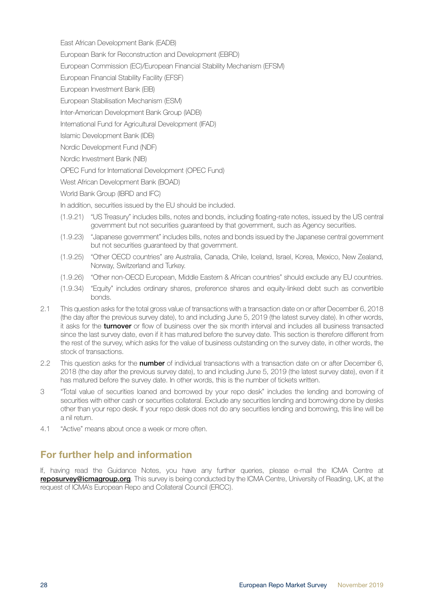<span id="page-27-0"></span>East African Development Bank (EADB)

- European Bank for Reconstruction and Development (EBRD)
- European Commission (EC)/European Financial Stability Mechanism (EFSM)
- European Financial Stability Facility (EFSF)
- European Investment Bank (EIB)
- European Stabilisation Mechanism (ESM)
- Inter-American Development Bank Group (IADB)
- International Fund for Agricultural Development (IFAD)
- Islamic Development Bank (IDB)
- Nordic Development Fund (NDF)
- Nordic Investment Bank (NIB)
- OPEC Fund for International Development (OPEC Fund)
- West African Development Bank (BOAD)
- World Bank Group (IBRD and IFC)
- In addition, securities issued by the EU should be included.
- (1.9.21) "US Treasury" includes bills, notes and bonds, including floating-rate notes, issued by the US central government but not securities guaranteed by that government, such as Agency securities.
- (1.9.23) "Japanese government" includes bills, notes and bonds issued by the Japanese central government but not securities guaranteed by that government.
- (1.9.25) "Other OECD countries" are Australia, Canada, Chile, Iceland, Israel, Korea, Mexico, New Zealand, Norway, Switzerland and Turkey.
- (1.9.26) "Other non-OECD European, Middle Eastern & African countries" should exclude any EU countries.
- (1.9.34) "Equity" includes ordinary shares, preference shares and equity-linked debt such as convertible bonds.
- 2.1 This question asks for the total gross value of transactions with a transaction date on or after December 6, 2018 (the day after the previous survey date), to and including June 5, 2019 (the latest survey date). In other words, it asks for the turnover or flow of business over the six month interval and includes all business transacted since the last survey date, even if it has matured before the survey date. This section is therefore different from the rest of the survey, which asks for the value of business outstanding on the survey date, in other words, the stock of transactions.
- 2.2 This question asks for the **number** of individual transactions with a transaction date on or after December 6, 2018 (the day after the previous survey date), to and including June 5, 2019 (the latest survey date), even if it has matured before the survey date. In other words, this is the number of tickets written.
- 3 "Total value of securities loaned and borrowed by your repo desk" includes the lending and borrowing of securities with either cash or securities collateral. Exclude any securities lending and borrowing done by desks other than your repo desk. If your repo desk does not do any securities lending and borrowing, this line will be a nil return.
- 4.1 "Active" means about once a week or more often.

# For further help and information

If, having read the Guidance Notes, you have any further queries, please e-mail the ICMA Centre at reposurvey@icmagroup.org. This survey is being conducted by the ICMA Centre, University of Reading, UK, at the request of ICMA's European Repo and Collateral Council (ERCC).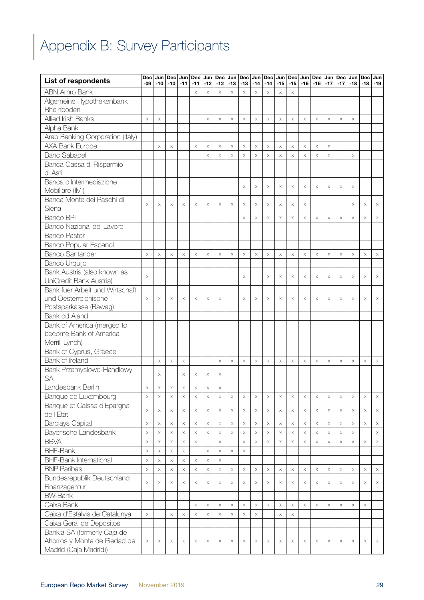# <span id="page-28-0"></span>Appendix B: Survey Participants

| <b>List of respondents</b>              | Dec<br>$-09$         | Jun  <br>-10                      | $-10$                                 | $Dec$ Jun<br>$-11$                | $-11$       | -12      | Dec Jun Dec Jun Dec<br>$-12$ | $-13$                 | $-13$                | Jun<br>$-14$                      | Dec<br>$-14$              | Jun<br>$-15$          | Dec<br>$-15$              | -16      | Jun   Dec  <br>$-16$ | Jun<br>$-17$          | Dec<br>$-17$ | Jun<br>-18            | <b>Dec</b><br>$-18$   | Jun<br>$-19$ |
|-----------------------------------------|----------------------|-----------------------------------|---------------------------------------|-----------------------------------|-------------|----------|------------------------------|-----------------------|----------------------|-----------------------------------|---------------------------|-----------------------|---------------------------|----------|----------------------|-----------------------|--------------|-----------------------|-----------------------|--------------|
| <b>ABN Amro Bank</b>                    |                      |                                   |                                       |                                   | X           | $\times$ | $\times$                     | X                     | X                    | $\times$                          | $\times$                  | X                     | $\times$                  |          |                      |                       |              |                       |                       |              |
| Algemeine Hypothekenbank                |                      |                                   |                                       |                                   |             |          |                              |                       |                      |                                   |                           |                       |                           |          |                      |                       |              |                       |                       |              |
| Rheinboden                              |                      |                                   |                                       |                                   |             |          |                              |                       |                      |                                   |                           |                       |                           |          |                      |                       |              |                       |                       |              |
| Allied Irish Banks                      | $\times$             | $\times$                          |                                       |                                   |             | $\times$ | $\times$                     | $\times$              | $\times$             | $\times$                          | $\times$                  | X                     | $\times$                  | X        | $\times$             | $\boldsymbol{\times}$ | $\times$     | $\boldsymbol{\times}$ |                       |              |
| Alpha Bank                              |                      |                                   |                                       |                                   |             |          |                              |                       |                      |                                   |                           |                       |                           |          |                      |                       |              |                       |                       |              |
| Arab Banking Corporation (Italy)        |                      |                                   |                                       |                                   |             |          |                              |                       |                      |                                   |                           |                       |                           |          |                      |                       |              |                       |                       |              |
| AXA Bank Europe                         |                      | $\times$                          | $\times$                              |                                   | $\times$    | $\times$ | $\times$                     | $\times$              | $\times$             | $\times$                          | $\times$                  | $\times$              | $\times$                  | $\times$ | $\mathsf X$          | $\boldsymbol{\times}$ |              |                       |                       |              |
| <b>Banc Sabadell</b>                    |                      |                                   |                                       |                                   |             | $\times$ | $\times$                     | $\boldsymbol{\times}$ | $\times$             | $\boldsymbol{\times}$             | $\times$                  | $\times$              | $\times$                  | $\times$ | $\times$             | $\boldsymbol{\times}$ |              | $\boldsymbol{\times}$ |                       |              |
| Banca Cassa di Risparmio                |                      |                                   |                                       |                                   |             |          |                              |                       |                      |                                   |                           |                       |                           |          |                      |                       |              |                       |                       |              |
| di Asti                                 |                      |                                   |                                       |                                   |             |          |                              |                       |                      |                                   |                           |                       |                           |          |                      |                       |              |                       |                       |              |
| Banca d'Intermediazione                 |                      |                                   |                                       |                                   |             |          |                              |                       |                      |                                   |                           |                       |                           |          |                      |                       |              |                       |                       |              |
| Mobiliare (IMI)                         |                      |                                   |                                       |                                   |             |          |                              |                       | X                    | X                                 | $\times$                  | $\times$              | $\times$                  | X        | $\times$             | $\times$              | $\times$     | X                     |                       |              |
| Banca Monte dei Paschi di               | $\times$             |                                   |                                       |                                   |             |          |                              |                       |                      |                                   |                           |                       |                           |          |                      |                       |              |                       |                       |              |
| Siena                                   |                      | $\times$                          | $\times$                              | $\times$                          | Χ           | $\times$ | $\times$                     | $\times$              | $\times$             | $\times$                          | $\times$                  | X                     | $\times$                  | $\times$ |                      |                       |              | X                     | $\times$              | X            |
| <b>Banco BPI</b>                        |                      |                                   |                                       |                                   |             |          |                              |                       | $\times$             | $\times$                          | $\times$                  | $\times$              | $\times$                  | X        | $\times$             | $\times$              | $\times$     | X                     | $\times$              | X            |
| Banco Nazional del Lavoro               |                      |                                   |                                       |                                   |             |          |                              |                       |                      |                                   |                           |                       |                           |          |                      |                       |              |                       |                       |              |
| <b>Banco Pastor</b>                     |                      |                                   |                                       |                                   |             |          |                              |                       |                      |                                   |                           |                       |                           |          |                      |                       |              |                       |                       |              |
| <b>Banco Popular Espanol</b>            |                      |                                   |                                       |                                   |             |          |                              |                       |                      |                                   |                           |                       |                           |          |                      |                       |              |                       |                       |              |
| <b>Banco Santander</b>                  | $\times$             | $\times$                          | $\times$                              | $\times$                          | $\times$    | $\times$ | $\times$                     | X                     | $\times$             | $\times$                          | $\times$                  | $\times$              | $\times$                  | X        | $\times$             | X                     | $\times$     | X                     | $\times$              | X            |
| Banco Urquijo                           |                      |                                   |                                       |                                   |             |          |                              |                       |                      |                                   |                           |                       |                           |          |                      |                       |              |                       |                       |              |
| Bank Austria (also known as             | $\times$             |                                   |                                       |                                   |             |          |                              |                       | X                    |                                   | $\times$                  | X                     | $\times$                  | X        | X                    | $\times$              | $\times$     | X                     | $\times$              | X            |
| UniCredit Bank Austria)                 |                      |                                   |                                       |                                   |             |          |                              |                       |                      |                                   |                           |                       |                           |          |                      |                       |              |                       |                       |              |
| Bank fuer Arbeit und Wirtschaft         |                      |                                   |                                       |                                   |             |          |                              |                       |                      |                                   |                           |                       |                           |          |                      |                       |              |                       |                       |              |
| und Oesterreichische                    | $\times$             | $\times$                          | X                                     | $\times$                          | Χ           | X        | $\times$                     |                       | X                    | $\times$                          | X                         | Χ                     | X                         | $\times$ | X                    | X                     | X            | X                     | X                     | Χ            |
| Postsparkasse (Bawag)                   |                      |                                   |                                       |                                   |             |          |                              |                       |                      |                                   |                           |                       |                           |          |                      |                       |              |                       |                       |              |
| Bank od Aland                           |                      |                                   |                                       |                                   |             |          |                              |                       |                      |                                   |                           |                       |                           |          |                      |                       |              |                       |                       |              |
| Bank of America (merged to              |                      |                                   |                                       |                                   |             |          |                              |                       |                      |                                   |                           |                       |                           |          |                      |                       |              |                       |                       |              |
| become Bank of America                  |                      |                                   |                                       |                                   |             |          |                              |                       |                      |                                   |                           |                       |                           |          |                      |                       |              |                       |                       |              |
| Merrill Lynch)                          |                      |                                   |                                       |                                   |             |          |                              |                       |                      |                                   |                           |                       |                           |          |                      |                       |              |                       |                       |              |
| Bank of Cyprus, Greece                  |                      |                                   |                                       |                                   |             |          |                              |                       |                      |                                   |                           |                       |                           |          |                      |                       |              |                       |                       |              |
| Bank of Ireland                         |                      | $\boldsymbol{\times}$             | $\times$                              | X                                 |             |          | $\times$                     | X                     | X                    | $\boldsymbol{\times}$             | $\times$                  | X                     | $\boldsymbol{\times}$     | $\times$ | X                    | X                     | $\times$     | X                     | $\times$              | X            |
| Bank Przemyslowo-Handlowy               |                      | $\times$                          |                                       | X                                 | Χ           | $\times$ | $\times$                     |                       |                      |                                   |                           |                       |                           |          |                      |                       |              |                       |                       |              |
| <b>SA</b>                               |                      |                                   |                                       |                                   |             |          |                              |                       |                      |                                   |                           |                       |                           |          |                      |                       |              |                       |                       |              |
| Landesbank Berlin                       | X                    | $\times$                          | $\times$                              | X                                 | X           | $\times$ | $\times$                     |                       |                      |                                   |                           |                       |                           |          |                      |                       |              |                       |                       |              |
| Banque de Luxembourg                    | $\times$             | $\mathsf X$                       | $\boldsymbol{\mathsf{X}}$             | $\times$                          | X           | $\times$ | $\mathsf X$                  | X                     | X                    | $\mathsf X$                       | $\boldsymbol{\mathsf{X}}$ | $\times$              | $\boldsymbol{\mathsf{X}}$ | $\times$ | $\times$             | $\times$              | $\times$     | X                     | $\times$              | X            |
| Banque et Caisse d'Epargne<br>de l'Etat | $\times$             | $\boldsymbol{\times}$             | X                                     | X                                 | Χ           | X        | X                            | X                     | X                    | X                                 | $\times$                  | X                     | X                         | X        | $\times$             | X                     | $\times$     | X                     | X                     | $\times$     |
| <b>Barclays Capital</b>                 |                      |                                   |                                       |                                   |             |          |                              |                       |                      |                                   |                           |                       |                           |          |                      |                       |              |                       |                       |              |
| Bayerische Landesbank                   | $\times$             | $\times$                          | $\boldsymbol{\mathsf{X}}$             | $\boldsymbol{\times}$             | X           | $\times$ | $\times$                     | X                     | $\times$             | $\boldsymbol{\times}$             | $\boldsymbol{\times}$     | $\times$              | $\boldsymbol{\times}$     | $\times$ | $\times$             | X                     | $\times$     | $\times$              | $\boldsymbol{\times}$ | X            |
| <b>BBVA</b>                             | $\times$             | $\times$                          | X                                     | $\times$                          | $\times$    | $\times$ | $\times$                     | X                     | $\times$             | $\times$<br>$\boldsymbol{\times}$ | $\boldsymbol{\times}$     | $\times$              | $\boldsymbol{\times}$     | X        | $\times$             | X                     | $\times$     | X.                    |                       | X            |
| <b>BHF-Bank</b>                         | $\times$<br>$\times$ | $\times$<br>$\times$              | $\boldsymbol{\mathsf{X}}$             | $\times$<br>$\boldsymbol{\times}$ | $\mathsf X$ | $\times$ | $\times$<br>$\mathsf X$      | $\times$              | $\times$<br>$\times$ |                                   | $\times$                  | $\times$              | $\times$                  | $\times$ | $\times$             | X                     | $\times$     | X                     | $\times$              | X            |
| <b>BHF-Bank International</b>           | $\times$             |                                   | $\boldsymbol{\mathsf{X}}$<br>$\times$ | $\boldsymbol{\times}$             | $\times$    | $\times$ | $\times$                     |                       |                      |                                   |                           |                       |                           |          |                      |                       |              |                       |                       |              |
| <b>BNP Paribas</b>                      | $\times$             | $\times$<br>$\boldsymbol{\times}$ | $\boldsymbol{\times}$                 | $\times$                          | $\mathsf X$ | $\times$ | $\mathsf X$                  | $\times$              | $\times$             | $\times$                          | $\times$                  | $\boldsymbol{\times}$ | $\times$                  | $\times$ | $\times$             | $\mathsf X$           | $\times$     | X                     | $\times$              | $\times$     |
| <b>Bundesrepublik Deutschland</b>       |                      |                                   |                                       |                                   |             |          |                              |                       |                      |                                   |                           |                       |                           |          |                      |                       |              |                       |                       |              |
| Finanzagentur                           | $\times$             | X                                 | Χ                                     | $\times$                          | Χ           | X        | $\times$                     | Χ                     | X                    | X                                 | X                         | Χ                     | X                         | X        | X                    | Χ                     | X            | X                     | X                     | X.           |
| <b>BW-Bank</b>                          |                      |                                   |                                       |                                   |             |          |                              |                       |                      |                                   |                           |                       |                           |          |                      |                       |              |                       |                       |              |
| Caixa Bank                              |                      |                                   |                                       |                                   | $\times$    | $\times$ | $\times$                     | $\times$              | $\times$             | $\boldsymbol{\times}$             | $\boldsymbol{\times}$     | $\times$              | $\boldsymbol{\times}$     | $\times$ | $\times$             | $\boldsymbol{\times}$ | $\times$     | $\mathsf X$           | $\mathsf X$           |              |
| Caixa d'Estalvis de Catalunya           | $\times$             |                                   | $\boldsymbol{\mathsf{X}}$             | $\times$                          | $\mathsf X$ | $\times$ | $\mathsf X$                  | X                     | $\times$             | $\times$                          |                           | $\times$              | $\times$                  |          |                      |                       |              |                       |                       |              |
| Caixa Geral de Depositos                |                      |                                   |                                       |                                   |             |          |                              |                       |                      |                                   |                           |                       |                           |          |                      |                       |              |                       |                       |              |
| Bankia SA (formerly Caja de             |                      |                                   |                                       |                                   |             |          |                              |                       |                      |                                   |                           |                       |                           |          |                      |                       |              |                       |                       |              |
| Ahorros y Monte de Piedad de            | $\times$             | $\times$                          | $\times$                              | $\times$                          | X           | $\times$ | $\times$                     | X                     | $\times$             | $\times$                          | X                         | $\times$              | $\times$                  | $\times$ | $\times$             | X                     | $\times$     | X                     | $\times$              | X            |
| Madrid (Caja Madrid))                   |                      |                                   |                                       |                                   |             |          |                              |                       |                      |                                   |                           |                       |                           |          |                      |                       |              |                       |                       |              |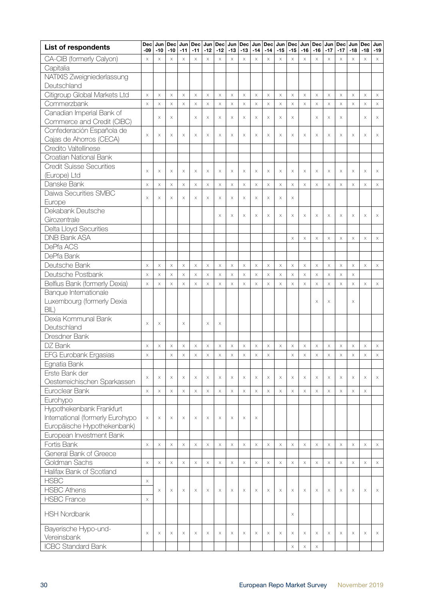| <b>List of respondents</b>       | <b>Dec</b><br>-09 | Jun<br>$-10$ | <b>Dec</b><br>$-10$   | Jun<br>$-11$ | <b>Dec</b><br>$-11$   | $-12$    | $-12$    | Jun Dec Jun<br>$-13$ | Dec<br>$-13$ | Jun<br>$-14$ | <b>Dec</b><br>$-14$ | Jun<br>$-15$          | Dec<br>$-15$          | $-16$    | Jun Dec<br>$-16$ | Jun<br>$-17$          | <b>Dec</b><br>$-17$ | Jun<br>$-18$          | <b>Dec</b><br>$-18$   | Jun<br>$-19$          |
|----------------------------------|-------------------|--------------|-----------------------|--------------|-----------------------|----------|----------|----------------------|--------------|--------------|---------------------|-----------------------|-----------------------|----------|------------------|-----------------------|---------------------|-----------------------|-----------------------|-----------------------|
| CA-CIB (formerly Calyon)         | $\times$          | $\times$     | $\times$              | $\times$     | $\times$              | $\times$ | $\times$ | $\times$             | $\times$     | $\times$     | $\times$            | $\times$              | $\times$              | $\times$ | $\times$         | $\times$              | $\times$            | $\times$              | $\times$              | $\boldsymbol{\times}$ |
| Capitalia                        |                   |              |                       |              |                       |          |          |                      |              |              |                     |                       |                       |          |                  |                       |                     |                       |                       |                       |
| NATIXIS Zweigniederlassung       |                   |              |                       |              |                       |          |          |                      |              |              |                     |                       |                       |          |                  |                       |                     |                       |                       |                       |
| Deutschland                      |                   |              |                       |              |                       |          |          |                      |              |              |                     |                       |                       |          |                  |                       |                     |                       |                       |                       |
| Citigroup Global Markets Ltd     | $\times$          | $\times$     | $\mathsf X$           | $\times$     | $\boldsymbol{\times}$ | $\times$ | $\times$ | $\times$             | $\mathsf X$  | $\times$     | $\times$            | $\boldsymbol{\times}$ | $\times$              | $\times$ | $\mathsf X$      | $\times$              | $\times$            | $\mathsf X$           | $\boldsymbol{\times}$ | $\boldsymbol{\times}$ |
| Commerzbank                      | $\times$          | $\mathsf X$  | $\times$              | $\times$     | $\times$              | $\times$ | $\times$ | $\times$             | $\times$     | $\times$     | $\times$            | $\times$              | $\times$              | $\times$ | $\times$         | $\times$              | $\times$            | $\mathsf X$           | $\times$              | $\boldsymbol{\times}$ |
| Canadian Imperial Bank of        |                   |              |                       |              |                       |          |          |                      |              |              |                     |                       |                       |          |                  |                       |                     |                       |                       |                       |
| Commerce and Credit (CIBC)       |                   | X            | $\times$              |              | $\times$              | $\times$ | $\times$ | $\mathsf X$          | $\times$     | $\times$     | $\mathsf X$         | $\times$              | X                     |          | $\times$         | $\times$              | $\times$            |                       | X                     | $\times$              |
| Confederación Española de        |                   |              |                       |              |                       |          |          |                      |              |              |                     |                       |                       |          |                  |                       |                     |                       |                       |                       |
| Cajas de Ahorros (CECA)          | $\times$          | X            | $\times$              | $\times$     | $\times$              | $\times$ | $\times$ | $\times$             | X            | X            | $\times$            | $\times$              | X                     | $\times$ | $\times$         | $\times$              | X                   | $\times$              | X                     | $\times$              |
| Credito Valtellinese             |                   |              |                       |              |                       |          |          |                      |              |              |                     |                       |                       |          |                  |                       |                     |                       |                       |                       |
| Croatian National Bank           |                   |              |                       |              |                       |          |          |                      |              |              |                     |                       |                       |          |                  |                       |                     |                       |                       |                       |
| <b>Credit Suisse Securities</b>  |                   |              |                       |              |                       |          |          |                      |              |              |                     |                       |                       |          |                  |                       |                     |                       |                       |                       |
| (Europe) Ltd                     | X                 | X            | $\times$              | $\times$     | X                     | X        | X        | $\times$             | X            | X            | $\times$            | X                     | X                     | $\times$ | X                | $\times$              | X                   | X                     | X                     | $\times$              |
| Danske Bank                      | $\times$          | $\times$     | $\mathsf X$           | $\times$     | $\mathsf X$           | $\times$ | $\times$ | $\times$             | $\times$     | $\times$     | X                   | $\times$              | $\times$              | $\times$ | $\times$         | $\times$              | $\times$            | $\boldsymbol{\times}$ | $\times$              | $\times$              |
| Daiwa Securities SMBC            |                   |              |                       |              |                       |          |          |                      |              |              |                     |                       |                       |          |                  |                       |                     |                       |                       |                       |
| Europe                           | $\times$          | X            | X                     | $\times$     | Χ                     | $\times$ | X        | X                    | X            | X            | X                   | $\boldsymbol{\times}$ | X                     |          |                  |                       |                     |                       |                       |                       |
| Dekabank Deutsche                |                   |              |                       |              |                       |          |          |                      |              |              |                     |                       |                       |          |                  |                       |                     |                       |                       |                       |
| Girozentrale                     |                   |              |                       |              |                       |          | $\times$ | $\times$             | $\times$     | X            | $\times$            | $\times$              | X                     | $\times$ | $\times$         | $\times$              | $\times$            | $\boldsymbol{\times}$ | $\times$              | $\times$              |
| Delta Lloyd Securities           |                   |              |                       |              |                       |          |          |                      |              |              |                     |                       |                       |          |                  |                       |                     |                       |                       |                       |
| <b>DNB Bank ASA</b>              |                   |              |                       |              |                       |          |          |                      |              |              |                     |                       | $\boldsymbol{\times}$ | $\times$ | X                | $\times$              | $\times$            | $\boldsymbol{\times}$ | $\times$              | $\times$              |
| DePfa ACS                        |                   |              |                       |              |                       |          |          |                      |              |              |                     |                       |                       |          |                  |                       |                     |                       |                       |                       |
| DePfa Bank                       |                   |              |                       |              |                       |          |          |                      |              |              |                     |                       |                       |          |                  |                       |                     |                       |                       |                       |
| Deutsche Bank                    | $\times$          | $\times$     | $\times$              | $\times$     | $\boldsymbol{\times}$ | $\times$ | $\times$ | $\times$             | $\mathsf X$  | $\times$     | $\times$            | $\boldsymbol{\times}$ | $\boldsymbol{\times}$ | $\times$ | $\times$         | $\times$              | $\times$            | $\times$              | $\times$              | $\boldsymbol{\times}$ |
| Deutsche Postbank                | $\times$          | $\mathsf X$  | $\mathsf X$           | $\times$     | $\times$              | $\times$ | $\times$ | $\times$             | $\mathsf X$  | $\times$     | $\mathsf X$         | $\boldsymbol{\times}$ | $\times$              | $\times$ | $\times$         | $\boldsymbol{\times}$ | $\times$            | $\mathsf X$           |                       |                       |
| Belfius Bank (formerly Dexia)    | $\times$          | $\mathsf X$  | $\times$              | $\times$     | $\boldsymbol{\times}$ | $\times$ | $\times$ | $\times$             | $\mathsf X$  | $\times$     | $\times$            | $\boldsymbol{\times}$ | $\boldsymbol{\times}$ | $\times$ | $\mathsf X$      | $\boldsymbol{\times}$ | $\times$            | $\mathsf X$           | $\times$              | $\times$              |
| Banque Internationale            |                   |              |                       |              |                       |          |          |                      |              |              |                     |                       |                       |          |                  |                       |                     |                       |                       |                       |
| Luxembourg (formerly Dexia       |                   |              |                       |              |                       |          |          |                      |              |              |                     |                       |                       |          | X                | X                     |                     | X                     |                       |                       |
| BIL)                             |                   |              |                       |              |                       |          |          |                      |              |              |                     |                       |                       |          |                  |                       |                     |                       |                       |                       |
| Dexia Kommunal Bank              | $\times$          | X            |                       | $\times$     |                       | $\times$ | $\times$ |                      |              |              |                     |                       |                       |          |                  |                       |                     |                       |                       |                       |
| Deutschland                      |                   |              |                       |              |                       |          |          |                      |              |              |                     |                       |                       |          |                  |                       |                     |                       |                       |                       |
| Dresdner Bank                    |                   |              |                       |              |                       |          |          |                      |              |              |                     |                       |                       |          |                  |                       |                     |                       |                       |                       |
| DZ Bank                          | X                 | $\times$     | X                     | $\times$     | X                     | $\times$ | X        | $\times$             | X            | X            | X                   | $\times$              | X                     | $\times$ | $\times$         | $\times$              | X                   | $\times$              | X                     | $\times$              |
| <b>EFG Eurobank Ergasias</b>     | $\times$          |              | $\times$              | $\times$     | X                     | $\times$ | $\times$ | $\mathsf X$          | $\times$     | $\times$     | X                   |                       | $\times$              | $\times$ | $\times$         | $\mathsf X$           | $\times$            | $\times$              | $\times$              | $\mathsf X$           |
| Egnatia Bank                     |                   |              |                       |              |                       |          |          |                      |              |              |                     |                       |                       |          |                  |                       |                     |                       |                       |                       |
| Erste Bank der                   | X                 | X            | X                     | X            | X                     | X        | X        | $\times$             | X            | X            | $\times$            | X                     | X                     | $\times$ | X                | $\times$              | X                   | X                     | X                     | X                     |
| Oesterreichischen Sparkassen     |                   |              |                       |              |                       |          |          |                      |              |              |                     |                       |                       |          |                  |                       |                     |                       |                       |                       |
| Euroclear Bank                   | $\times$          | $\times$     | $\boldsymbol{\times}$ | $\times$     | $\boldsymbol{\times}$ | $\times$ | $\times$ | $\times$             | $\mathsf X$  | $\times$     | $\times$            | $\times$              | X                     | $\times$ | $\times$         | $\boldsymbol{\times}$ | $\times$            | $\mathsf X$           | X                     |                       |
| Eurohypo                         |                   |              |                       |              |                       |          |          |                      |              |              |                     |                       |                       |          |                  |                       |                     |                       |                       |                       |
| Hypothekenbank Frankfurt         |                   |              |                       |              |                       |          |          |                      |              |              |                     |                       |                       |          |                  |                       |                     |                       |                       |                       |
| International (formerly Eurohypo | $\times$          | $\times$     | X                     | $\times$     | Χ                     | $\times$ | X        | X                    | X            | X            |                     |                       |                       |          |                  |                       |                     |                       |                       |                       |
| Europäische Hypothekenbank)      |                   |              |                       |              |                       |          |          |                      |              |              |                     |                       |                       |          |                  |                       |                     |                       |                       |                       |
| European Investment Bank         |                   |              |                       |              |                       |          |          |                      |              |              |                     |                       |                       |          |                  |                       |                     |                       |                       |                       |
| Fortis Bank                      | $\times$          | $\times$     | $\mathsf X$           | $\times$     | $\boldsymbol{\times}$ | $\times$ | $\times$ | $\times$             | $\times$     | $\times$     | $\times$            | $\boldsymbol{\times}$ | $\times$              | $\times$ | $\times$         | $\times$              | $\times$            | $\boldsymbol{\times}$ | $\times$              | $\mathsf X$           |
| General Bank of Greece           |                   |              |                       |              |                       |          |          |                      |              |              |                     |                       |                       |          |                  |                       |                     |                       |                       |                       |
| Goldman Sachs                    | $\times$          | $\times$     | $\mathsf X$           | $\times$     | X                     | $\times$ | $\times$ | $\times$             | $\times$     | $\times$     | $\times$            | $\boldsymbol{\times}$ | $\times$              | $\times$ | $\times$         | $\times$              | $\times$            | $\boldsymbol{\times}$ | $\times$              | $\boldsymbol{\times}$ |
| Halifax Bank of Scotland         |                   |              |                       |              |                       |          |          |                      |              |              |                     |                       |                       |          |                  |                       |                     |                       |                       |                       |
| <b>HSBC</b>                      | $\times$          |              |                       |              |                       |          |          |                      |              |              |                     |                       |                       |          |                  |                       |                     |                       |                       |                       |
| <b>HSBC Athens</b>               |                   | X            | $\times$              | $\times$     | $\times$              | $\times$ | $\times$ | $\times$             | X            | X            | $\times$            | $\times$              | X                     | $\times$ | $\times$         | $\times$              | $\times$            | $\times$              | $\times$              | $\times$              |
| <b>HSBC France</b>               | $\times$          |              |                       |              |                       |          |          |                      |              |              |                     |                       |                       |          |                  |                       |                     |                       |                       |                       |
|                                  |                   |              |                       |              |                       |          |          |                      |              |              |                     |                       |                       |          |                  |                       |                     |                       |                       |                       |
| <b>HSH Nordbank</b>              |                   |              |                       |              |                       |          |          |                      |              |              |                     |                       | X                     |          |                  |                       |                     |                       |                       |                       |
| Bayerische Hypo-und-             |                   |              |                       |              |                       |          |          |                      |              |              |                     |                       |                       |          |                  |                       |                     |                       |                       |                       |
| Vereinsbank                      | X                 | X            | X                     | X            | X                     | X        | X        | X                    | X            | Χ            | $\times$            | X                     | X                     | $\times$ | X                | $\times$              | X                   | X                     | X                     | X                     |
| <b>ICBC Standard Bank</b>        |                   |              |                       |              |                       |          |          |                      |              |              |                     |                       | $\boldsymbol{\times}$ | $\times$ | $\times$         |                       |                     |                       |                       |                       |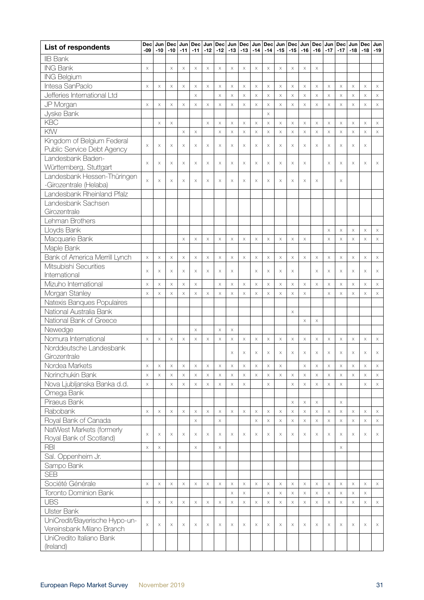| <b>IIB Bank</b><br><b>ING Bank</b><br>$\times$<br>$\times$<br>X<br>$\times$<br>X<br>$\times$<br>$\times$<br>$\times$<br>$\mathsf X$<br>$\times$<br>$\times$<br>$\times$<br>$\times$<br>X<br><b>ING Belgium</b><br>Intesa SanPaolo<br>$\times$<br>$\times$<br>$\times$<br>$\times$<br>$\times$<br>$\times$<br>$\times$<br>$\times$<br>$\mathsf X$<br>$\times$<br>$\times$<br>$\times$<br>$\times$<br>$\times$<br>$\times$<br>$\boldsymbol{\times}$<br>$\times$<br>$\boldsymbol{\times}$<br>X<br>X<br>Jefferies International Ltd<br>$\mathsf X$<br>$\mathsf X$<br>$\times$<br>$\times$<br>$\times$<br>$\mathsf X$<br>$\times$<br>$\times$<br>$\times$<br>$\mathsf X$<br>$\boldsymbol{\times}$<br>$\times$<br>$\times$<br>$\times$<br>$\times$<br>JP Morgan<br>$\boldsymbol{\times}$<br>$\mathsf X$<br>$\boldsymbol{\times}$<br>$\times$<br>X<br>$\times$<br>$\times$<br>$\times$<br>$\times$<br>$\times$<br>$\times$<br>$\mathsf X$<br>$\times$<br>$\times$<br>$\times$<br>$\times$<br>$\times$<br>$\times$<br>$\times$<br>$\times$<br>Jyske Bank<br>$\times$<br><b>KBC</b><br>$\boldsymbol{\times}$<br>$\times$<br>$\boldsymbol{\times}$<br>$\boldsymbol{\times}$<br>$\mathsf X$<br>$\times$<br>$\times$<br>$\boldsymbol{\times}$<br>$\boldsymbol{\times}$<br>$\mathsf X$<br>$\boldsymbol{\times}$<br>$\times$<br>$\boldsymbol{\times}$<br>$\times$<br>$\times$<br>$\boldsymbol{\times}$<br>$\times$<br>KfW<br>$\bar{\mathsf{X}}$<br>$\bar{\mathsf{X}}$<br>$\mathsf X$<br>$\mathsf X$<br>$\times$<br>$\times$<br>$\times$<br>$\mathsf X$<br>$\times$<br>$\mathsf X$<br>$\times$<br>$\mathsf X$<br>$\times$<br>$\times$<br>$\times$<br>$\times$<br>Kingdom of Belgium Federal<br>$\times$<br>$\times$<br>$\times$<br>$\times$<br>$\times$<br>$\times$<br>$\times$<br>$\times$<br>$\times$<br>$\times$<br>X<br>$\times$<br>$\times$<br>X<br>$\times$<br>X<br>$\times$<br>$\times$<br>X<br>Public Service Debt Agency<br>Landesbank Baden-<br>$\times$<br>$\times$<br>$\times$<br>$\times$<br>$\boldsymbol{\times}$<br>X<br>X<br>$\times$<br>X<br>$\times$<br>$\times$<br>X<br>$\times$<br>X<br>$\times$<br>$\times$<br>X<br>X<br>$\times$<br>Württemberg, Stuttgart<br>Landesbank Hessen-Thüringen<br>$\times$<br>$\boldsymbol{\times}$<br>$\times$<br>$\times$<br>X<br>X<br>$\times$<br>X<br>X<br>$\times$<br>$\times$<br>X<br>$\times$<br>X<br>X<br>X<br>-Girozentrale (Helaba)<br>Landesbank Rheinland Pfalz<br>Landesbank Sachsen<br>Girozentrale<br>Lehman Brothers<br>Lloyds Bank<br>$\mathsf X$<br>$\mathsf X$<br>$\boldsymbol{\times}$<br>$\times$<br>$\times$<br>Macquarie Bank<br>$\times$<br>$\times$<br>$\times$<br>$\mathsf X$<br>$\times$<br>$\times$<br>$\times$<br>$\times$<br>$\times$<br>$\times$<br>$\times$<br>$\times$<br>X<br>$\times$<br>X<br>X<br>Maple Bank<br>Bank of America Merrill Lynch<br>$\boldsymbol{\times}$<br>$\boldsymbol{\times}$<br>$\boldsymbol{\times}$<br>$\times$<br>$\times$<br>$\times$<br>$\times$<br>$\times$<br>$\times$<br>$\times$<br>$\times$<br>$\boldsymbol{\times}$<br>$\boldsymbol{\times}$<br>$\boldsymbol{\times}$<br>$\times$<br>$\times$<br>$\times$<br>$\mathsf X$<br>$\times$<br>$\times$<br>Mitsubishi Securities<br>$\times$<br>$\times$<br>X<br>$\times$<br>$\times$<br>X<br>$\times$<br>X<br>$\boldsymbol{\times}$<br>X<br>$\times$<br>$\times$<br>X<br>$\times$<br>X<br>X<br>X<br>$\times$<br>International<br>Mizuho International<br>$\boldsymbol{\times}$<br>$\boldsymbol{\times}$<br>$\times$<br>$\times$<br>$\boldsymbol{\times}$<br>$\boldsymbol{\times}$<br>$\times$<br>$\times$<br>$\times$<br>$\times$<br>X<br>$\times$<br>$\times$<br>$\mathsf X$<br>$\boldsymbol{\times}$<br>$\times$<br>$\boldsymbol{\times}$<br>$\times$<br>$\times$<br>Morgan Stanley<br>$\times$<br>$\boldsymbol{\times}$<br>$\times$<br>$\times$<br>$\times$<br>$\times$<br>$\times$<br>$\times$<br>$\times$<br>$\boldsymbol{\times}$<br>$\mathsf X$<br>$\times$<br>$\times$<br>$\times$<br>$\times$<br>$\times$<br>$\times$<br>$\times$<br>$\times$<br>Natexis Banques Populaires<br>National Australia Bank<br>X<br>National Bank of Greece<br>$\mathsf X$<br>$\times$<br>Newedge<br>$\times$<br>$\mathsf X$<br>$\times$<br>Nomura International<br>$\times$<br>$\times$<br>$\times$<br>$\times$<br>$\mathsf X$<br>$\times$<br>$\times$<br>$\times$<br>$\times$<br>$\times$<br>$\times$<br>$\times$<br>$\times$<br>$\times$<br>$\times$<br>$\times$<br>$\times$<br>X<br>X<br>$\times$<br>Norddeutsche Landesbank<br>$\times$<br>$\times$<br>X<br>$\times$<br>X<br>$\times$<br>$\times$<br>X<br>X<br>Χ<br>$\times$<br>X<br>X<br>Girozentrale<br>Nordea Markets<br>$\times$<br>$\times$<br>$\times$<br>$\times$<br>$\times$<br>$\times$<br>$\mathsf X$<br>$\times$<br>$\times$<br>$\times$<br>$\times$<br>X<br>X<br>$\times$<br>X<br>X<br>X<br>$\times$<br>$\times$<br>Norinchukin Bank<br>$\boldsymbol{\times}$<br>$\times$<br>$\boldsymbol{\times}$<br>$\times$<br>$\times$<br>$\times$<br>$\times$<br>$\times$<br>$\times$<br>$\times$<br>$\boldsymbol{\times}$<br>$\times$<br>$\times$<br>$\times$<br>$\times$<br>$\mathsf X$<br>$\times$<br>$\boldsymbol{\times}$<br>$\times$<br>$\mathsf X$<br>Nova Ljubljanska Banka d.d.<br>$\times$<br>$\times$<br>$\times$<br>$\times$<br>$\mathsf X$<br>$\times$<br>$\times$<br>$\times$<br>$\times$<br>$\times$<br>$\boldsymbol{\times}$<br>$\times$<br>$\mathsf X$<br>$\times$<br>$\times$<br>$\times$<br>Omega Bank<br>Piraeus Bank<br>$\times$<br>$\times$<br>$\times$<br>$\times$<br>Rabobank<br>$\times$<br>$\times$<br>$\mathsf X$<br>$\boldsymbol{\times}$<br>$\boldsymbol{\times}$<br>$\times$<br>$\boldsymbol{\times}$<br>$\times$<br>$\times$<br>$\times$<br>$\times$<br>$\times$<br>$\boldsymbol{\times}$<br>$\times$<br>$\boldsymbol{\times}$<br>$\boldsymbol{\times}$<br>$\boldsymbol{\times}$<br>$\boldsymbol{\times}$<br>$\mathsf X$<br>$\times$<br>Royal Bank of Canada<br>$\mathsf X$<br>$\times$<br>$\times$<br>$\times$<br>$\times$<br>$\times$<br>$\times$<br>$\times$<br>$\mathsf X$<br>$\times$<br>$\times$<br>$\mathsf X$<br>$\mathsf X$<br>NatWest Markets (formerly<br>$\times$<br>$\times$<br>$\times$<br>X<br>$\times$<br>$\times$<br>$\times$<br>X<br>$\boldsymbol{\mathsf{X}}$<br>$\times$<br>$\times$<br>X<br>$\times$<br>X<br>$\times$<br>$\times$<br>X<br>X<br>X<br>X<br>Royal Bank of Scotland)<br><b>RBI</b><br>$\times$<br>X<br>X<br>X<br>X<br>Sal. Oppenheim Jr.<br>Sampo Bank<br><b>SEB</b><br>Société Générale<br>$\times$<br>$\times$<br>$\times$<br>$\times$<br>$\times$<br>$\times$<br>$\times$<br>$\times$<br>$\times$<br>$\boldsymbol{\times}$<br>$\times$<br>$\boldsymbol{\times}$<br>$\times$<br>$\times$<br>$\times$<br>$\times$<br>$\times$<br>X<br>X<br>X<br>Toronto Dominion Bank<br>$\mathsf X$<br>$\times$<br>$\boldsymbol{\times}$<br>$\times$<br>$\times$<br>$\times$<br>$\times$<br>$\mathsf X$<br>$\times$<br>$\times$<br>X<br><b>UBS</b><br>$\times$<br>$\times$<br>$\times$<br>$\times$<br>$\times$<br>$\boldsymbol{\mathsf{X}}$<br>$\times$<br>$\times$<br>$\times$<br>$\times$<br>$\times$<br>$\times$<br>$\boldsymbol{\times}$<br>$\times$<br>$\boldsymbol{\mathsf{X}}$<br>$\times$<br>$\mathsf X$<br>$\times$<br>$\times$<br>$\times$<br>Ulster Bank<br>UniCredit/Bayerische Hypo-un-<br>X<br>$\times$<br>$\times$<br>X<br>$\times$<br>X<br>X<br>$\times$<br>$\times$<br>X<br>$\times$<br>X<br>X<br>X<br>X<br>X<br>X<br>X<br>Χ<br>X<br>Vereinsbank Milano Branch<br>UniCredito Italiano Bank<br>(Ireland) | <b>List of respondents</b> | Dec<br>-09 | $-10$ | Jun   Dec  <br>$-10$ | Jun<br>$-11$ | Dec<br>$-11$ | $-12$ | Jun Dec Jun Dec<br>$-12$ | $-13$ | $-13$ | $-14$ | $-14$ | Jun   Dec   Jun   Dec  <br>$-15$ | $-15$ | Jun   Dec   Jun   Dec  <br>$-16$ | $-16$ | $-17$ | $-17$ | $-18$ | Jun   Dec   Jun<br>$-18$ | $-19$ |
|--------------------------------------------------------------------------------------------------------------------------------------------------------------------------------------------------------------------------------------------------------------------------------------------------------------------------------------------------------------------------------------------------------------------------------------------------------------------------------------------------------------------------------------------------------------------------------------------------------------------------------------------------------------------------------------------------------------------------------------------------------------------------------------------------------------------------------------------------------------------------------------------------------------------------------------------------------------------------------------------------------------------------------------------------------------------------------------------------------------------------------------------------------------------------------------------------------------------------------------------------------------------------------------------------------------------------------------------------------------------------------------------------------------------------------------------------------------------------------------------------------------------------------------------------------------------------------------------------------------------------------------------------------------------------------------------------------------------------------------------------------------------------------------------------------------------------------------------------------------------------------------------------------------------------------------------------------------------------------------------------------------------------------------------------------------------------------------------------------------------------------------------------------------------------------------------------------------------------------------------------------------------------------------------------------------------------------------------------------------------------------------------------------------------------------------------------------------------------------------------------------------------------------------------------------------------------------------------------------------------------------------------------------------------------------------------------------------------------------------------------------------------------------------------------------------------------------------------------------------------------------------------------------------------------------------------------------------------------------------------------------------------------------------------------------------------------------------------------------------------------------------------------------------------------------------------------------------------------------------------------------------------------------------------------------------------------------------------------------------------------------------------------------------------------------------------------------------------------------------------------------------------------------------------------------------------------------------------------------------------------------------------------------------------------------------------------------------------------------------------------------------------------------------------------------------------------------------------------------------------------------------------------------------------------------------------------------------------------------------------------------------------------------------------------------------------------------------------------------------------------------------------------------------------------------------------------------------------------------------------------------------------------------------------------------------------------------------------------------------------------------------------------------------------------------------------------------------------------------------------------------------------------------------------------------------------------------------------------------------------------------------------------------------------------------------------------------------------------------------------------------------------------------------------------------------------------------------------------------------------------------------------------------------------------------------------------------------------------------------------------------------------------------------------------------------------------------------------------------------------------------------------------------------------------------------------------------------------------------------------------------------------------------------------------------------------------------------------------------------------------------------------------------------------------------------------------------------------------------------------------------------------------------------------------------------------------------------------------------------------------------------------------------------------------------------------------------------------------------------------------------------------------------------------------------------------------------------------------------------------------------------------------------------------------------------------------------------------------------------------------------------------------------------------------------------------------------------------------------------------------------------------------------------------------------------------------------------------------------------------------------------------------------------------------------------------------------------------------------------------------------------------------------------------------------------------------------------------------------------------------------------------------------------------------------------------------------------------------------------------------------------------------------------------------------------------------------------------------------------------------------------------------------------------------------------------------------------------------------------------------------------------------------------------------------------------------------------------------------------------------------------------------------------------------------------------------------------------------------------------------------------------------------------------------------------------------------------------------------------------------------------------------------------------------------------------------------------------------------------------------------------------------------------------------------------------------------------------|----------------------------|------------|-------|----------------------|--------------|--------------|-------|--------------------------|-------|-------|-------|-------|----------------------------------|-------|----------------------------------|-------|-------|-------|-------|--------------------------|-------|
|                                                                                                                                                                                                                                                                                                                                                                                                                                                                                                                                                                                                                                                                                                                                                                                                                                                                                                                                                                                                                                                                                                                                                                                                                                                                                                                                                                                                                                                                                                                                                                                                                                                                                                                                                                                                                                                                                                                                                                                                                                                                                                                                                                                                                                                                                                                                                                                                                                                                                                                                                                                                                                                                                                                                                                                                                                                                                                                                                                                                                                                                                                                                                                                                                                                                                                                                                                                                                                                                                                                                                                                                                                                                                                                                                                                                                                                                                                                                                                                                                                                                                                                                                                                                                                                                                                                                                                                                                                                                                                                                                                                                                                                                                                                                                                                                                                                                                                                                                                                                                                                                                                                                                                                                                                                                                                                                                                                                                                                                                                                                                                                                                                                                                                                                                                                                                                                                                                                                                                                                                                                                                                                                                                                                                                                                                                                                                                                                                                                                                                                                                                                                                                                                                                                                                                                                                                                                                                                                                                                                                                                                                                                                                                                                                                                                                                                                                                                                                                                                    |                            |            |       |                      |              |              |       |                          |       |       |       |       |                                  |       |                                  |       |       |       |       |                          |       |
|                                                                                                                                                                                                                                                                                                                                                                                                                                                                                                                                                                                                                                                                                                                                                                                                                                                                                                                                                                                                                                                                                                                                                                                                                                                                                                                                                                                                                                                                                                                                                                                                                                                                                                                                                                                                                                                                                                                                                                                                                                                                                                                                                                                                                                                                                                                                                                                                                                                                                                                                                                                                                                                                                                                                                                                                                                                                                                                                                                                                                                                                                                                                                                                                                                                                                                                                                                                                                                                                                                                                                                                                                                                                                                                                                                                                                                                                                                                                                                                                                                                                                                                                                                                                                                                                                                                                                                                                                                                                                                                                                                                                                                                                                                                                                                                                                                                                                                                                                                                                                                                                                                                                                                                                                                                                                                                                                                                                                                                                                                                                                                                                                                                                                                                                                                                                                                                                                                                                                                                                                                                                                                                                                                                                                                                                                                                                                                                                                                                                                                                                                                                                                                                                                                                                                                                                                                                                                                                                                                                                                                                                                                                                                                                                                                                                                                                                                                                                                                                                    |                            |            |       |                      |              |              |       |                          |       |       |       |       |                                  |       |                                  |       |       |       |       |                          |       |
|                                                                                                                                                                                                                                                                                                                                                                                                                                                                                                                                                                                                                                                                                                                                                                                                                                                                                                                                                                                                                                                                                                                                                                                                                                                                                                                                                                                                                                                                                                                                                                                                                                                                                                                                                                                                                                                                                                                                                                                                                                                                                                                                                                                                                                                                                                                                                                                                                                                                                                                                                                                                                                                                                                                                                                                                                                                                                                                                                                                                                                                                                                                                                                                                                                                                                                                                                                                                                                                                                                                                                                                                                                                                                                                                                                                                                                                                                                                                                                                                                                                                                                                                                                                                                                                                                                                                                                                                                                                                                                                                                                                                                                                                                                                                                                                                                                                                                                                                                                                                                                                                                                                                                                                                                                                                                                                                                                                                                                                                                                                                                                                                                                                                                                                                                                                                                                                                                                                                                                                                                                                                                                                                                                                                                                                                                                                                                                                                                                                                                                                                                                                                                                                                                                                                                                                                                                                                                                                                                                                                                                                                                                                                                                                                                                                                                                                                                                                                                                                                    |                            |            |       |                      |              |              |       |                          |       |       |       |       |                                  |       |                                  |       |       |       |       |                          |       |
|                                                                                                                                                                                                                                                                                                                                                                                                                                                                                                                                                                                                                                                                                                                                                                                                                                                                                                                                                                                                                                                                                                                                                                                                                                                                                                                                                                                                                                                                                                                                                                                                                                                                                                                                                                                                                                                                                                                                                                                                                                                                                                                                                                                                                                                                                                                                                                                                                                                                                                                                                                                                                                                                                                                                                                                                                                                                                                                                                                                                                                                                                                                                                                                                                                                                                                                                                                                                                                                                                                                                                                                                                                                                                                                                                                                                                                                                                                                                                                                                                                                                                                                                                                                                                                                                                                                                                                                                                                                                                                                                                                                                                                                                                                                                                                                                                                                                                                                                                                                                                                                                                                                                                                                                                                                                                                                                                                                                                                                                                                                                                                                                                                                                                                                                                                                                                                                                                                                                                                                                                                                                                                                                                                                                                                                                                                                                                                                                                                                                                                                                                                                                                                                                                                                                                                                                                                                                                                                                                                                                                                                                                                                                                                                                                                                                                                                                                                                                                                                                    |                            |            |       |                      |              |              |       |                          |       |       |       |       |                                  |       |                                  |       |       |       |       |                          |       |
|                                                                                                                                                                                                                                                                                                                                                                                                                                                                                                                                                                                                                                                                                                                                                                                                                                                                                                                                                                                                                                                                                                                                                                                                                                                                                                                                                                                                                                                                                                                                                                                                                                                                                                                                                                                                                                                                                                                                                                                                                                                                                                                                                                                                                                                                                                                                                                                                                                                                                                                                                                                                                                                                                                                                                                                                                                                                                                                                                                                                                                                                                                                                                                                                                                                                                                                                                                                                                                                                                                                                                                                                                                                                                                                                                                                                                                                                                                                                                                                                                                                                                                                                                                                                                                                                                                                                                                                                                                                                                                                                                                                                                                                                                                                                                                                                                                                                                                                                                                                                                                                                                                                                                                                                                                                                                                                                                                                                                                                                                                                                                                                                                                                                                                                                                                                                                                                                                                                                                                                                                                                                                                                                                                                                                                                                                                                                                                                                                                                                                                                                                                                                                                                                                                                                                                                                                                                                                                                                                                                                                                                                                                                                                                                                                                                                                                                                                                                                                                                                    |                            |            |       |                      |              |              |       |                          |       |       |       |       |                                  |       |                                  |       |       |       |       |                          |       |
|                                                                                                                                                                                                                                                                                                                                                                                                                                                                                                                                                                                                                                                                                                                                                                                                                                                                                                                                                                                                                                                                                                                                                                                                                                                                                                                                                                                                                                                                                                                                                                                                                                                                                                                                                                                                                                                                                                                                                                                                                                                                                                                                                                                                                                                                                                                                                                                                                                                                                                                                                                                                                                                                                                                                                                                                                                                                                                                                                                                                                                                                                                                                                                                                                                                                                                                                                                                                                                                                                                                                                                                                                                                                                                                                                                                                                                                                                                                                                                                                                                                                                                                                                                                                                                                                                                                                                                                                                                                                                                                                                                                                                                                                                                                                                                                                                                                                                                                                                                                                                                                                                                                                                                                                                                                                                                                                                                                                                                                                                                                                                                                                                                                                                                                                                                                                                                                                                                                                                                                                                                                                                                                                                                                                                                                                                                                                                                                                                                                                                                                                                                                                                                                                                                                                                                                                                                                                                                                                                                                                                                                                                                                                                                                                                                                                                                                                                                                                                                                                    |                            |            |       |                      |              |              |       |                          |       |       |       |       |                                  |       |                                  |       |       |       |       |                          |       |
|                                                                                                                                                                                                                                                                                                                                                                                                                                                                                                                                                                                                                                                                                                                                                                                                                                                                                                                                                                                                                                                                                                                                                                                                                                                                                                                                                                                                                                                                                                                                                                                                                                                                                                                                                                                                                                                                                                                                                                                                                                                                                                                                                                                                                                                                                                                                                                                                                                                                                                                                                                                                                                                                                                                                                                                                                                                                                                                                                                                                                                                                                                                                                                                                                                                                                                                                                                                                                                                                                                                                                                                                                                                                                                                                                                                                                                                                                                                                                                                                                                                                                                                                                                                                                                                                                                                                                                                                                                                                                                                                                                                                                                                                                                                                                                                                                                                                                                                                                                                                                                                                                                                                                                                                                                                                                                                                                                                                                                                                                                                                                                                                                                                                                                                                                                                                                                                                                                                                                                                                                                                                                                                                                                                                                                                                                                                                                                                                                                                                                                                                                                                                                                                                                                                                                                                                                                                                                                                                                                                                                                                                                                                                                                                                                                                                                                                                                                                                                                                                    |                            |            |       |                      |              |              |       |                          |       |       |       |       |                                  |       |                                  |       |       |       |       |                          |       |
|                                                                                                                                                                                                                                                                                                                                                                                                                                                                                                                                                                                                                                                                                                                                                                                                                                                                                                                                                                                                                                                                                                                                                                                                                                                                                                                                                                                                                                                                                                                                                                                                                                                                                                                                                                                                                                                                                                                                                                                                                                                                                                                                                                                                                                                                                                                                                                                                                                                                                                                                                                                                                                                                                                                                                                                                                                                                                                                                                                                                                                                                                                                                                                                                                                                                                                                                                                                                                                                                                                                                                                                                                                                                                                                                                                                                                                                                                                                                                                                                                                                                                                                                                                                                                                                                                                                                                                                                                                                                                                                                                                                                                                                                                                                                                                                                                                                                                                                                                                                                                                                                                                                                                                                                                                                                                                                                                                                                                                                                                                                                                                                                                                                                                                                                                                                                                                                                                                                                                                                                                                                                                                                                                                                                                                                                                                                                                                                                                                                                                                                                                                                                                                                                                                                                                                                                                                                                                                                                                                                                                                                                                                                                                                                                                                                                                                                                                                                                                                                                    |                            |            |       |                      |              |              |       |                          |       |       |       |       |                                  |       |                                  |       |       |       |       |                          |       |
|                                                                                                                                                                                                                                                                                                                                                                                                                                                                                                                                                                                                                                                                                                                                                                                                                                                                                                                                                                                                                                                                                                                                                                                                                                                                                                                                                                                                                                                                                                                                                                                                                                                                                                                                                                                                                                                                                                                                                                                                                                                                                                                                                                                                                                                                                                                                                                                                                                                                                                                                                                                                                                                                                                                                                                                                                                                                                                                                                                                                                                                                                                                                                                                                                                                                                                                                                                                                                                                                                                                                                                                                                                                                                                                                                                                                                                                                                                                                                                                                                                                                                                                                                                                                                                                                                                                                                                                                                                                                                                                                                                                                                                                                                                                                                                                                                                                                                                                                                                                                                                                                                                                                                                                                                                                                                                                                                                                                                                                                                                                                                                                                                                                                                                                                                                                                                                                                                                                                                                                                                                                                                                                                                                                                                                                                                                                                                                                                                                                                                                                                                                                                                                                                                                                                                                                                                                                                                                                                                                                                                                                                                                                                                                                                                                                                                                                                                                                                                                                                    |                            |            |       |                      |              |              |       |                          |       |       |       |       |                                  |       |                                  |       |       |       |       |                          |       |
|                                                                                                                                                                                                                                                                                                                                                                                                                                                                                                                                                                                                                                                                                                                                                                                                                                                                                                                                                                                                                                                                                                                                                                                                                                                                                                                                                                                                                                                                                                                                                                                                                                                                                                                                                                                                                                                                                                                                                                                                                                                                                                                                                                                                                                                                                                                                                                                                                                                                                                                                                                                                                                                                                                                                                                                                                                                                                                                                                                                                                                                                                                                                                                                                                                                                                                                                                                                                                                                                                                                                                                                                                                                                                                                                                                                                                                                                                                                                                                                                                                                                                                                                                                                                                                                                                                                                                                                                                                                                                                                                                                                                                                                                                                                                                                                                                                                                                                                                                                                                                                                                                                                                                                                                                                                                                                                                                                                                                                                                                                                                                                                                                                                                                                                                                                                                                                                                                                                                                                                                                                                                                                                                                                                                                                                                                                                                                                                                                                                                                                                                                                                                                                                                                                                                                                                                                                                                                                                                                                                                                                                                                                                                                                                                                                                                                                                                                                                                                                                                    |                            |            |       |                      |              |              |       |                          |       |       |       |       |                                  |       |                                  |       |       |       |       |                          |       |
|                                                                                                                                                                                                                                                                                                                                                                                                                                                                                                                                                                                                                                                                                                                                                                                                                                                                                                                                                                                                                                                                                                                                                                                                                                                                                                                                                                                                                                                                                                                                                                                                                                                                                                                                                                                                                                                                                                                                                                                                                                                                                                                                                                                                                                                                                                                                                                                                                                                                                                                                                                                                                                                                                                                                                                                                                                                                                                                                                                                                                                                                                                                                                                                                                                                                                                                                                                                                                                                                                                                                                                                                                                                                                                                                                                                                                                                                                                                                                                                                                                                                                                                                                                                                                                                                                                                                                                                                                                                                                                                                                                                                                                                                                                                                                                                                                                                                                                                                                                                                                                                                                                                                                                                                                                                                                                                                                                                                                                                                                                                                                                                                                                                                                                                                                                                                                                                                                                                                                                                                                                                                                                                                                                                                                                                                                                                                                                                                                                                                                                                                                                                                                                                                                                                                                                                                                                                                                                                                                                                                                                                                                                                                                                                                                                                                                                                                                                                                                                                                    |                            |            |       |                      |              |              |       |                          |       |       |       |       |                                  |       |                                  |       |       |       |       |                          |       |
|                                                                                                                                                                                                                                                                                                                                                                                                                                                                                                                                                                                                                                                                                                                                                                                                                                                                                                                                                                                                                                                                                                                                                                                                                                                                                                                                                                                                                                                                                                                                                                                                                                                                                                                                                                                                                                                                                                                                                                                                                                                                                                                                                                                                                                                                                                                                                                                                                                                                                                                                                                                                                                                                                                                                                                                                                                                                                                                                                                                                                                                                                                                                                                                                                                                                                                                                                                                                                                                                                                                                                                                                                                                                                                                                                                                                                                                                                                                                                                                                                                                                                                                                                                                                                                                                                                                                                                                                                                                                                                                                                                                                                                                                                                                                                                                                                                                                                                                                                                                                                                                                                                                                                                                                                                                                                                                                                                                                                                                                                                                                                                                                                                                                                                                                                                                                                                                                                                                                                                                                                                                                                                                                                                                                                                                                                                                                                                                                                                                                                                                                                                                                                                                                                                                                                                                                                                                                                                                                                                                                                                                                                                                                                                                                                                                                                                                                                                                                                                                                    |                            |            |       |                      |              |              |       |                          |       |       |       |       |                                  |       |                                  |       |       |       |       |                          |       |
|                                                                                                                                                                                                                                                                                                                                                                                                                                                                                                                                                                                                                                                                                                                                                                                                                                                                                                                                                                                                                                                                                                                                                                                                                                                                                                                                                                                                                                                                                                                                                                                                                                                                                                                                                                                                                                                                                                                                                                                                                                                                                                                                                                                                                                                                                                                                                                                                                                                                                                                                                                                                                                                                                                                                                                                                                                                                                                                                                                                                                                                                                                                                                                                                                                                                                                                                                                                                                                                                                                                                                                                                                                                                                                                                                                                                                                                                                                                                                                                                                                                                                                                                                                                                                                                                                                                                                                                                                                                                                                                                                                                                                                                                                                                                                                                                                                                                                                                                                                                                                                                                                                                                                                                                                                                                                                                                                                                                                                                                                                                                                                                                                                                                                                                                                                                                                                                                                                                                                                                                                                                                                                                                                                                                                                                                                                                                                                                                                                                                                                                                                                                                                                                                                                                                                                                                                                                                                                                                                                                                                                                                                                                                                                                                                                                                                                                                                                                                                                                                    |                            |            |       |                      |              |              |       |                          |       |       |       |       |                                  |       |                                  |       |       |       |       |                          |       |
|                                                                                                                                                                                                                                                                                                                                                                                                                                                                                                                                                                                                                                                                                                                                                                                                                                                                                                                                                                                                                                                                                                                                                                                                                                                                                                                                                                                                                                                                                                                                                                                                                                                                                                                                                                                                                                                                                                                                                                                                                                                                                                                                                                                                                                                                                                                                                                                                                                                                                                                                                                                                                                                                                                                                                                                                                                                                                                                                                                                                                                                                                                                                                                                                                                                                                                                                                                                                                                                                                                                                                                                                                                                                                                                                                                                                                                                                                                                                                                                                                                                                                                                                                                                                                                                                                                                                                                                                                                                                                                                                                                                                                                                                                                                                                                                                                                                                                                                                                                                                                                                                                                                                                                                                                                                                                                                                                                                                                                                                                                                                                                                                                                                                                                                                                                                                                                                                                                                                                                                                                                                                                                                                                                                                                                                                                                                                                                                                                                                                                                                                                                                                                                                                                                                                                                                                                                                                                                                                                                                                                                                                                                                                                                                                                                                                                                                                                                                                                                                                    |                            |            |       |                      |              |              |       |                          |       |       |       |       |                                  |       |                                  |       |       |       |       |                          |       |
|                                                                                                                                                                                                                                                                                                                                                                                                                                                                                                                                                                                                                                                                                                                                                                                                                                                                                                                                                                                                                                                                                                                                                                                                                                                                                                                                                                                                                                                                                                                                                                                                                                                                                                                                                                                                                                                                                                                                                                                                                                                                                                                                                                                                                                                                                                                                                                                                                                                                                                                                                                                                                                                                                                                                                                                                                                                                                                                                                                                                                                                                                                                                                                                                                                                                                                                                                                                                                                                                                                                                                                                                                                                                                                                                                                                                                                                                                                                                                                                                                                                                                                                                                                                                                                                                                                                                                                                                                                                                                                                                                                                                                                                                                                                                                                                                                                                                                                                                                                                                                                                                                                                                                                                                                                                                                                                                                                                                                                                                                                                                                                                                                                                                                                                                                                                                                                                                                                                                                                                                                                                                                                                                                                                                                                                                                                                                                                                                                                                                                                                                                                                                                                                                                                                                                                                                                                                                                                                                                                                                                                                                                                                                                                                                                                                                                                                                                                                                                                                                    |                            |            |       |                      |              |              |       |                          |       |       |       |       |                                  |       |                                  |       |       |       |       |                          |       |
|                                                                                                                                                                                                                                                                                                                                                                                                                                                                                                                                                                                                                                                                                                                                                                                                                                                                                                                                                                                                                                                                                                                                                                                                                                                                                                                                                                                                                                                                                                                                                                                                                                                                                                                                                                                                                                                                                                                                                                                                                                                                                                                                                                                                                                                                                                                                                                                                                                                                                                                                                                                                                                                                                                                                                                                                                                                                                                                                                                                                                                                                                                                                                                                                                                                                                                                                                                                                                                                                                                                                                                                                                                                                                                                                                                                                                                                                                                                                                                                                                                                                                                                                                                                                                                                                                                                                                                                                                                                                                                                                                                                                                                                                                                                                                                                                                                                                                                                                                                                                                                                                                                                                                                                                                                                                                                                                                                                                                                                                                                                                                                                                                                                                                                                                                                                                                                                                                                                                                                                                                                                                                                                                                                                                                                                                                                                                                                                                                                                                                                                                                                                                                                                                                                                                                                                                                                                                                                                                                                                                                                                                                                                                                                                                                                                                                                                                                                                                                                                                    |                            |            |       |                      |              |              |       |                          |       |       |       |       |                                  |       |                                  |       |       |       |       |                          |       |
|                                                                                                                                                                                                                                                                                                                                                                                                                                                                                                                                                                                                                                                                                                                                                                                                                                                                                                                                                                                                                                                                                                                                                                                                                                                                                                                                                                                                                                                                                                                                                                                                                                                                                                                                                                                                                                                                                                                                                                                                                                                                                                                                                                                                                                                                                                                                                                                                                                                                                                                                                                                                                                                                                                                                                                                                                                                                                                                                                                                                                                                                                                                                                                                                                                                                                                                                                                                                                                                                                                                                                                                                                                                                                                                                                                                                                                                                                                                                                                                                                                                                                                                                                                                                                                                                                                                                                                                                                                                                                                                                                                                                                                                                                                                                                                                                                                                                                                                                                                                                                                                                                                                                                                                                                                                                                                                                                                                                                                                                                                                                                                                                                                                                                                                                                                                                                                                                                                                                                                                                                                                                                                                                                                                                                                                                                                                                                                                                                                                                                                                                                                                                                                                                                                                                                                                                                                                                                                                                                                                                                                                                                                                                                                                                                                                                                                                                                                                                                                                                    |                            |            |       |                      |              |              |       |                          |       |       |       |       |                                  |       |                                  |       |       |       |       |                          |       |
|                                                                                                                                                                                                                                                                                                                                                                                                                                                                                                                                                                                                                                                                                                                                                                                                                                                                                                                                                                                                                                                                                                                                                                                                                                                                                                                                                                                                                                                                                                                                                                                                                                                                                                                                                                                                                                                                                                                                                                                                                                                                                                                                                                                                                                                                                                                                                                                                                                                                                                                                                                                                                                                                                                                                                                                                                                                                                                                                                                                                                                                                                                                                                                                                                                                                                                                                                                                                                                                                                                                                                                                                                                                                                                                                                                                                                                                                                                                                                                                                                                                                                                                                                                                                                                                                                                                                                                                                                                                                                                                                                                                                                                                                                                                                                                                                                                                                                                                                                                                                                                                                                                                                                                                                                                                                                                                                                                                                                                                                                                                                                                                                                                                                                                                                                                                                                                                                                                                                                                                                                                                                                                                                                                                                                                                                                                                                                                                                                                                                                                                                                                                                                                                                                                                                                                                                                                                                                                                                                                                                                                                                                                                                                                                                                                                                                                                                                                                                                                                                    |                            |            |       |                      |              |              |       |                          |       |       |       |       |                                  |       |                                  |       |       |       |       |                          |       |
|                                                                                                                                                                                                                                                                                                                                                                                                                                                                                                                                                                                                                                                                                                                                                                                                                                                                                                                                                                                                                                                                                                                                                                                                                                                                                                                                                                                                                                                                                                                                                                                                                                                                                                                                                                                                                                                                                                                                                                                                                                                                                                                                                                                                                                                                                                                                                                                                                                                                                                                                                                                                                                                                                                                                                                                                                                                                                                                                                                                                                                                                                                                                                                                                                                                                                                                                                                                                                                                                                                                                                                                                                                                                                                                                                                                                                                                                                                                                                                                                                                                                                                                                                                                                                                                                                                                                                                                                                                                                                                                                                                                                                                                                                                                                                                                                                                                                                                                                                                                                                                                                                                                                                                                                                                                                                                                                                                                                                                                                                                                                                                                                                                                                                                                                                                                                                                                                                                                                                                                                                                                                                                                                                                                                                                                                                                                                                                                                                                                                                                                                                                                                                                                                                                                                                                                                                                                                                                                                                                                                                                                                                                                                                                                                                                                                                                                                                                                                                                                                    |                            |            |       |                      |              |              |       |                          |       |       |       |       |                                  |       |                                  |       |       |       |       |                          |       |
|                                                                                                                                                                                                                                                                                                                                                                                                                                                                                                                                                                                                                                                                                                                                                                                                                                                                                                                                                                                                                                                                                                                                                                                                                                                                                                                                                                                                                                                                                                                                                                                                                                                                                                                                                                                                                                                                                                                                                                                                                                                                                                                                                                                                                                                                                                                                                                                                                                                                                                                                                                                                                                                                                                                                                                                                                                                                                                                                                                                                                                                                                                                                                                                                                                                                                                                                                                                                                                                                                                                                                                                                                                                                                                                                                                                                                                                                                                                                                                                                                                                                                                                                                                                                                                                                                                                                                                                                                                                                                                                                                                                                                                                                                                                                                                                                                                                                                                                                                                                                                                                                                                                                                                                                                                                                                                                                                                                                                                                                                                                                                                                                                                                                                                                                                                                                                                                                                                                                                                                                                                                                                                                                                                                                                                                                                                                                                                                                                                                                                                                                                                                                                                                                                                                                                                                                                                                                                                                                                                                                                                                                                                                                                                                                                                                                                                                                                                                                                                                                    |                            |            |       |                      |              |              |       |                          |       |       |       |       |                                  |       |                                  |       |       |       |       |                          |       |
|                                                                                                                                                                                                                                                                                                                                                                                                                                                                                                                                                                                                                                                                                                                                                                                                                                                                                                                                                                                                                                                                                                                                                                                                                                                                                                                                                                                                                                                                                                                                                                                                                                                                                                                                                                                                                                                                                                                                                                                                                                                                                                                                                                                                                                                                                                                                                                                                                                                                                                                                                                                                                                                                                                                                                                                                                                                                                                                                                                                                                                                                                                                                                                                                                                                                                                                                                                                                                                                                                                                                                                                                                                                                                                                                                                                                                                                                                                                                                                                                                                                                                                                                                                                                                                                                                                                                                                                                                                                                                                                                                                                                                                                                                                                                                                                                                                                                                                                                                                                                                                                                                                                                                                                                                                                                                                                                                                                                                                                                                                                                                                                                                                                                                                                                                                                                                                                                                                                                                                                                                                                                                                                                                                                                                                                                                                                                                                                                                                                                                                                                                                                                                                                                                                                                                                                                                                                                                                                                                                                                                                                                                                                                                                                                                                                                                                                                                                                                                                                                    |                            |            |       |                      |              |              |       |                          |       |       |       |       |                                  |       |                                  |       |       |       |       |                          |       |
|                                                                                                                                                                                                                                                                                                                                                                                                                                                                                                                                                                                                                                                                                                                                                                                                                                                                                                                                                                                                                                                                                                                                                                                                                                                                                                                                                                                                                                                                                                                                                                                                                                                                                                                                                                                                                                                                                                                                                                                                                                                                                                                                                                                                                                                                                                                                                                                                                                                                                                                                                                                                                                                                                                                                                                                                                                                                                                                                                                                                                                                                                                                                                                                                                                                                                                                                                                                                                                                                                                                                                                                                                                                                                                                                                                                                                                                                                                                                                                                                                                                                                                                                                                                                                                                                                                                                                                                                                                                                                                                                                                                                                                                                                                                                                                                                                                                                                                                                                                                                                                                                                                                                                                                                                                                                                                                                                                                                                                                                                                                                                                                                                                                                                                                                                                                                                                                                                                                                                                                                                                                                                                                                                                                                                                                                                                                                                                                                                                                                                                                                                                                                                                                                                                                                                                                                                                                                                                                                                                                                                                                                                                                                                                                                                                                                                                                                                                                                                                                                    |                            |            |       |                      |              |              |       |                          |       |       |       |       |                                  |       |                                  |       |       |       |       |                          |       |
|                                                                                                                                                                                                                                                                                                                                                                                                                                                                                                                                                                                                                                                                                                                                                                                                                                                                                                                                                                                                                                                                                                                                                                                                                                                                                                                                                                                                                                                                                                                                                                                                                                                                                                                                                                                                                                                                                                                                                                                                                                                                                                                                                                                                                                                                                                                                                                                                                                                                                                                                                                                                                                                                                                                                                                                                                                                                                                                                                                                                                                                                                                                                                                                                                                                                                                                                                                                                                                                                                                                                                                                                                                                                                                                                                                                                                                                                                                                                                                                                                                                                                                                                                                                                                                                                                                                                                                                                                                                                                                                                                                                                                                                                                                                                                                                                                                                                                                                                                                                                                                                                                                                                                                                                                                                                                                                                                                                                                                                                                                                                                                                                                                                                                                                                                                                                                                                                                                                                                                                                                                                                                                                                                                                                                                                                                                                                                                                                                                                                                                                                                                                                                                                                                                                                                                                                                                                                                                                                                                                                                                                                                                                                                                                                                                                                                                                                                                                                                                                                    |                            |            |       |                      |              |              |       |                          |       |       |       |       |                                  |       |                                  |       |       |       |       |                          |       |
|                                                                                                                                                                                                                                                                                                                                                                                                                                                                                                                                                                                                                                                                                                                                                                                                                                                                                                                                                                                                                                                                                                                                                                                                                                                                                                                                                                                                                                                                                                                                                                                                                                                                                                                                                                                                                                                                                                                                                                                                                                                                                                                                                                                                                                                                                                                                                                                                                                                                                                                                                                                                                                                                                                                                                                                                                                                                                                                                                                                                                                                                                                                                                                                                                                                                                                                                                                                                                                                                                                                                                                                                                                                                                                                                                                                                                                                                                                                                                                                                                                                                                                                                                                                                                                                                                                                                                                                                                                                                                                                                                                                                                                                                                                                                                                                                                                                                                                                                                                                                                                                                                                                                                                                                                                                                                                                                                                                                                                                                                                                                                                                                                                                                                                                                                                                                                                                                                                                                                                                                                                                                                                                                                                                                                                                                                                                                                                                                                                                                                                                                                                                                                                                                                                                                                                                                                                                                                                                                                                                                                                                                                                                                                                                                                                                                                                                                                                                                                                                                    |                            |            |       |                      |              |              |       |                          |       |       |       |       |                                  |       |                                  |       |       |       |       |                          |       |
|                                                                                                                                                                                                                                                                                                                                                                                                                                                                                                                                                                                                                                                                                                                                                                                                                                                                                                                                                                                                                                                                                                                                                                                                                                                                                                                                                                                                                                                                                                                                                                                                                                                                                                                                                                                                                                                                                                                                                                                                                                                                                                                                                                                                                                                                                                                                                                                                                                                                                                                                                                                                                                                                                                                                                                                                                                                                                                                                                                                                                                                                                                                                                                                                                                                                                                                                                                                                                                                                                                                                                                                                                                                                                                                                                                                                                                                                                                                                                                                                                                                                                                                                                                                                                                                                                                                                                                                                                                                                                                                                                                                                                                                                                                                                                                                                                                                                                                                                                                                                                                                                                                                                                                                                                                                                                                                                                                                                                                                                                                                                                                                                                                                                                                                                                                                                                                                                                                                                                                                                                                                                                                                                                                                                                                                                                                                                                                                                                                                                                                                                                                                                                                                                                                                                                                                                                                                                                                                                                                                                                                                                                                                                                                                                                                                                                                                                                                                                                                                                    |                            |            |       |                      |              |              |       |                          |       |       |       |       |                                  |       |                                  |       |       |       |       |                          |       |
|                                                                                                                                                                                                                                                                                                                                                                                                                                                                                                                                                                                                                                                                                                                                                                                                                                                                                                                                                                                                                                                                                                                                                                                                                                                                                                                                                                                                                                                                                                                                                                                                                                                                                                                                                                                                                                                                                                                                                                                                                                                                                                                                                                                                                                                                                                                                                                                                                                                                                                                                                                                                                                                                                                                                                                                                                                                                                                                                                                                                                                                                                                                                                                                                                                                                                                                                                                                                                                                                                                                                                                                                                                                                                                                                                                                                                                                                                                                                                                                                                                                                                                                                                                                                                                                                                                                                                                                                                                                                                                                                                                                                                                                                                                                                                                                                                                                                                                                                                                                                                                                                                                                                                                                                                                                                                                                                                                                                                                                                                                                                                                                                                                                                                                                                                                                                                                                                                                                                                                                                                                                                                                                                                                                                                                                                                                                                                                                                                                                                                                                                                                                                                                                                                                                                                                                                                                                                                                                                                                                                                                                                                                                                                                                                                                                                                                                                                                                                                                                                    |                            |            |       |                      |              |              |       |                          |       |       |       |       |                                  |       |                                  |       |       |       |       |                          |       |
|                                                                                                                                                                                                                                                                                                                                                                                                                                                                                                                                                                                                                                                                                                                                                                                                                                                                                                                                                                                                                                                                                                                                                                                                                                                                                                                                                                                                                                                                                                                                                                                                                                                                                                                                                                                                                                                                                                                                                                                                                                                                                                                                                                                                                                                                                                                                                                                                                                                                                                                                                                                                                                                                                                                                                                                                                                                                                                                                                                                                                                                                                                                                                                                                                                                                                                                                                                                                                                                                                                                                                                                                                                                                                                                                                                                                                                                                                                                                                                                                                                                                                                                                                                                                                                                                                                                                                                                                                                                                                                                                                                                                                                                                                                                                                                                                                                                                                                                                                                                                                                                                                                                                                                                                                                                                                                                                                                                                                                                                                                                                                                                                                                                                                                                                                                                                                                                                                                                                                                                                                                                                                                                                                                                                                                                                                                                                                                                                                                                                                                                                                                                                                                                                                                                                                                                                                                                                                                                                                                                                                                                                                                                                                                                                                                                                                                                                                                                                                                                                    |                            |            |       |                      |              |              |       |                          |       |       |       |       |                                  |       |                                  |       |       |       |       |                          |       |
|                                                                                                                                                                                                                                                                                                                                                                                                                                                                                                                                                                                                                                                                                                                                                                                                                                                                                                                                                                                                                                                                                                                                                                                                                                                                                                                                                                                                                                                                                                                                                                                                                                                                                                                                                                                                                                                                                                                                                                                                                                                                                                                                                                                                                                                                                                                                                                                                                                                                                                                                                                                                                                                                                                                                                                                                                                                                                                                                                                                                                                                                                                                                                                                                                                                                                                                                                                                                                                                                                                                                                                                                                                                                                                                                                                                                                                                                                                                                                                                                                                                                                                                                                                                                                                                                                                                                                                                                                                                                                                                                                                                                                                                                                                                                                                                                                                                                                                                                                                                                                                                                                                                                                                                                                                                                                                                                                                                                                                                                                                                                                                                                                                                                                                                                                                                                                                                                                                                                                                                                                                                                                                                                                                                                                                                                                                                                                                                                                                                                                                                                                                                                                                                                                                                                                                                                                                                                                                                                                                                                                                                                                                                                                                                                                                                                                                                                                                                                                                                                    |                            |            |       |                      |              |              |       |                          |       |       |       |       |                                  |       |                                  |       |       |       |       |                          |       |
|                                                                                                                                                                                                                                                                                                                                                                                                                                                                                                                                                                                                                                                                                                                                                                                                                                                                                                                                                                                                                                                                                                                                                                                                                                                                                                                                                                                                                                                                                                                                                                                                                                                                                                                                                                                                                                                                                                                                                                                                                                                                                                                                                                                                                                                                                                                                                                                                                                                                                                                                                                                                                                                                                                                                                                                                                                                                                                                                                                                                                                                                                                                                                                                                                                                                                                                                                                                                                                                                                                                                                                                                                                                                                                                                                                                                                                                                                                                                                                                                                                                                                                                                                                                                                                                                                                                                                                                                                                                                                                                                                                                                                                                                                                                                                                                                                                                                                                                                                                                                                                                                                                                                                                                                                                                                                                                                                                                                                                                                                                                                                                                                                                                                                                                                                                                                                                                                                                                                                                                                                                                                                                                                                                                                                                                                                                                                                                                                                                                                                                                                                                                                                                                                                                                                                                                                                                                                                                                                                                                                                                                                                                                                                                                                                                                                                                                                                                                                                                                                    |                            |            |       |                      |              |              |       |                          |       |       |       |       |                                  |       |                                  |       |       |       |       |                          |       |
|                                                                                                                                                                                                                                                                                                                                                                                                                                                                                                                                                                                                                                                                                                                                                                                                                                                                                                                                                                                                                                                                                                                                                                                                                                                                                                                                                                                                                                                                                                                                                                                                                                                                                                                                                                                                                                                                                                                                                                                                                                                                                                                                                                                                                                                                                                                                                                                                                                                                                                                                                                                                                                                                                                                                                                                                                                                                                                                                                                                                                                                                                                                                                                                                                                                                                                                                                                                                                                                                                                                                                                                                                                                                                                                                                                                                                                                                                                                                                                                                                                                                                                                                                                                                                                                                                                                                                                                                                                                                                                                                                                                                                                                                                                                                                                                                                                                                                                                                                                                                                                                                                                                                                                                                                                                                                                                                                                                                                                                                                                                                                                                                                                                                                                                                                                                                                                                                                                                                                                                                                                                                                                                                                                                                                                                                                                                                                                                                                                                                                                                                                                                                                                                                                                                                                                                                                                                                                                                                                                                                                                                                                                                                                                                                                                                                                                                                                                                                                                                                    |                            |            |       |                      |              |              |       |                          |       |       |       |       |                                  |       |                                  |       |       |       |       |                          |       |
|                                                                                                                                                                                                                                                                                                                                                                                                                                                                                                                                                                                                                                                                                                                                                                                                                                                                                                                                                                                                                                                                                                                                                                                                                                                                                                                                                                                                                                                                                                                                                                                                                                                                                                                                                                                                                                                                                                                                                                                                                                                                                                                                                                                                                                                                                                                                                                                                                                                                                                                                                                                                                                                                                                                                                                                                                                                                                                                                                                                                                                                                                                                                                                                                                                                                                                                                                                                                                                                                                                                                                                                                                                                                                                                                                                                                                                                                                                                                                                                                                                                                                                                                                                                                                                                                                                                                                                                                                                                                                                                                                                                                                                                                                                                                                                                                                                                                                                                                                                                                                                                                                                                                                                                                                                                                                                                                                                                                                                                                                                                                                                                                                                                                                                                                                                                                                                                                                                                                                                                                                                                                                                                                                                                                                                                                                                                                                                                                                                                                                                                                                                                                                                                                                                                                                                                                                                                                                                                                                                                                                                                                                                                                                                                                                                                                                                                                                                                                                                                                    |                            |            |       |                      |              |              |       |                          |       |       |       |       |                                  |       |                                  |       |       |       |       |                          |       |
|                                                                                                                                                                                                                                                                                                                                                                                                                                                                                                                                                                                                                                                                                                                                                                                                                                                                                                                                                                                                                                                                                                                                                                                                                                                                                                                                                                                                                                                                                                                                                                                                                                                                                                                                                                                                                                                                                                                                                                                                                                                                                                                                                                                                                                                                                                                                                                                                                                                                                                                                                                                                                                                                                                                                                                                                                                                                                                                                                                                                                                                                                                                                                                                                                                                                                                                                                                                                                                                                                                                                                                                                                                                                                                                                                                                                                                                                                                                                                                                                                                                                                                                                                                                                                                                                                                                                                                                                                                                                                                                                                                                                                                                                                                                                                                                                                                                                                                                                                                                                                                                                                                                                                                                                                                                                                                                                                                                                                                                                                                                                                                                                                                                                                                                                                                                                                                                                                                                                                                                                                                                                                                                                                                                                                                                                                                                                                                                                                                                                                                                                                                                                                                                                                                                                                                                                                                                                                                                                                                                                                                                                                                                                                                                                                                                                                                                                                                                                                                                                    |                            |            |       |                      |              |              |       |                          |       |       |       |       |                                  |       |                                  |       |       |       |       |                          |       |
|                                                                                                                                                                                                                                                                                                                                                                                                                                                                                                                                                                                                                                                                                                                                                                                                                                                                                                                                                                                                                                                                                                                                                                                                                                                                                                                                                                                                                                                                                                                                                                                                                                                                                                                                                                                                                                                                                                                                                                                                                                                                                                                                                                                                                                                                                                                                                                                                                                                                                                                                                                                                                                                                                                                                                                                                                                                                                                                                                                                                                                                                                                                                                                                                                                                                                                                                                                                                                                                                                                                                                                                                                                                                                                                                                                                                                                                                                                                                                                                                                                                                                                                                                                                                                                                                                                                                                                                                                                                                                                                                                                                                                                                                                                                                                                                                                                                                                                                                                                                                                                                                                                                                                                                                                                                                                                                                                                                                                                                                                                                                                                                                                                                                                                                                                                                                                                                                                                                                                                                                                                                                                                                                                                                                                                                                                                                                                                                                                                                                                                                                                                                                                                                                                                                                                                                                                                                                                                                                                                                                                                                                                                                                                                                                                                                                                                                                                                                                                                                                    |                            |            |       |                      |              |              |       |                          |       |       |       |       |                                  |       |                                  |       |       |       |       |                          |       |
|                                                                                                                                                                                                                                                                                                                                                                                                                                                                                                                                                                                                                                                                                                                                                                                                                                                                                                                                                                                                                                                                                                                                                                                                                                                                                                                                                                                                                                                                                                                                                                                                                                                                                                                                                                                                                                                                                                                                                                                                                                                                                                                                                                                                                                                                                                                                                                                                                                                                                                                                                                                                                                                                                                                                                                                                                                                                                                                                                                                                                                                                                                                                                                                                                                                                                                                                                                                                                                                                                                                                                                                                                                                                                                                                                                                                                                                                                                                                                                                                                                                                                                                                                                                                                                                                                                                                                                                                                                                                                                                                                                                                                                                                                                                                                                                                                                                                                                                                                                                                                                                                                                                                                                                                                                                                                                                                                                                                                                                                                                                                                                                                                                                                                                                                                                                                                                                                                                                                                                                                                                                                                                                                                                                                                                                                                                                                                                                                                                                                                                                                                                                                                                                                                                                                                                                                                                                                                                                                                                                                                                                                                                                                                                                                                                                                                                                                                                                                                                                                    |                            |            |       |                      |              |              |       |                          |       |       |       |       |                                  |       |                                  |       |       |       |       |                          |       |
|                                                                                                                                                                                                                                                                                                                                                                                                                                                                                                                                                                                                                                                                                                                                                                                                                                                                                                                                                                                                                                                                                                                                                                                                                                                                                                                                                                                                                                                                                                                                                                                                                                                                                                                                                                                                                                                                                                                                                                                                                                                                                                                                                                                                                                                                                                                                                                                                                                                                                                                                                                                                                                                                                                                                                                                                                                                                                                                                                                                                                                                                                                                                                                                                                                                                                                                                                                                                                                                                                                                                                                                                                                                                                                                                                                                                                                                                                                                                                                                                                                                                                                                                                                                                                                                                                                                                                                                                                                                                                                                                                                                                                                                                                                                                                                                                                                                                                                                                                                                                                                                                                                                                                                                                                                                                                                                                                                                                                                                                                                                                                                                                                                                                                                                                                                                                                                                                                                                                                                                                                                                                                                                                                                                                                                                                                                                                                                                                                                                                                                                                                                                                                                                                                                                                                                                                                                                                                                                                                                                                                                                                                                                                                                                                                                                                                                                                                                                                                                                                    |                            |            |       |                      |              |              |       |                          |       |       |       |       |                                  |       |                                  |       |       |       |       |                          |       |
|                                                                                                                                                                                                                                                                                                                                                                                                                                                                                                                                                                                                                                                                                                                                                                                                                                                                                                                                                                                                                                                                                                                                                                                                                                                                                                                                                                                                                                                                                                                                                                                                                                                                                                                                                                                                                                                                                                                                                                                                                                                                                                                                                                                                                                                                                                                                                                                                                                                                                                                                                                                                                                                                                                                                                                                                                                                                                                                                                                                                                                                                                                                                                                                                                                                                                                                                                                                                                                                                                                                                                                                                                                                                                                                                                                                                                                                                                                                                                                                                                                                                                                                                                                                                                                                                                                                                                                                                                                                                                                                                                                                                                                                                                                                                                                                                                                                                                                                                                                                                                                                                                                                                                                                                                                                                                                                                                                                                                                                                                                                                                                                                                                                                                                                                                                                                                                                                                                                                                                                                                                                                                                                                                                                                                                                                                                                                                                                                                                                                                                                                                                                                                                                                                                                                                                                                                                                                                                                                                                                                                                                                                                                                                                                                                                                                                                                                                                                                                                                                    |                            |            |       |                      |              |              |       |                          |       |       |       |       |                                  |       |                                  |       |       |       |       |                          |       |
|                                                                                                                                                                                                                                                                                                                                                                                                                                                                                                                                                                                                                                                                                                                                                                                                                                                                                                                                                                                                                                                                                                                                                                                                                                                                                                                                                                                                                                                                                                                                                                                                                                                                                                                                                                                                                                                                                                                                                                                                                                                                                                                                                                                                                                                                                                                                                                                                                                                                                                                                                                                                                                                                                                                                                                                                                                                                                                                                                                                                                                                                                                                                                                                                                                                                                                                                                                                                                                                                                                                                                                                                                                                                                                                                                                                                                                                                                                                                                                                                                                                                                                                                                                                                                                                                                                                                                                                                                                                                                                                                                                                                                                                                                                                                                                                                                                                                                                                                                                                                                                                                                                                                                                                                                                                                                                                                                                                                                                                                                                                                                                                                                                                                                                                                                                                                                                                                                                                                                                                                                                                                                                                                                                                                                                                                                                                                                                                                                                                                                                                                                                                                                                                                                                                                                                                                                                                                                                                                                                                                                                                                                                                                                                                                                                                                                                                                                                                                                                                                    |                            |            |       |                      |              |              |       |                          |       |       |       |       |                                  |       |                                  |       |       |       |       |                          |       |
|                                                                                                                                                                                                                                                                                                                                                                                                                                                                                                                                                                                                                                                                                                                                                                                                                                                                                                                                                                                                                                                                                                                                                                                                                                                                                                                                                                                                                                                                                                                                                                                                                                                                                                                                                                                                                                                                                                                                                                                                                                                                                                                                                                                                                                                                                                                                                                                                                                                                                                                                                                                                                                                                                                                                                                                                                                                                                                                                                                                                                                                                                                                                                                                                                                                                                                                                                                                                                                                                                                                                                                                                                                                                                                                                                                                                                                                                                                                                                                                                                                                                                                                                                                                                                                                                                                                                                                                                                                                                                                                                                                                                                                                                                                                                                                                                                                                                                                                                                                                                                                                                                                                                                                                                                                                                                                                                                                                                                                                                                                                                                                                                                                                                                                                                                                                                                                                                                                                                                                                                                                                                                                                                                                                                                                                                                                                                                                                                                                                                                                                                                                                                                                                                                                                                                                                                                                                                                                                                                                                                                                                                                                                                                                                                                                                                                                                                                                                                                                                                    |                            |            |       |                      |              |              |       |                          |       |       |       |       |                                  |       |                                  |       |       |       |       |                          |       |
|                                                                                                                                                                                                                                                                                                                                                                                                                                                                                                                                                                                                                                                                                                                                                                                                                                                                                                                                                                                                                                                                                                                                                                                                                                                                                                                                                                                                                                                                                                                                                                                                                                                                                                                                                                                                                                                                                                                                                                                                                                                                                                                                                                                                                                                                                                                                                                                                                                                                                                                                                                                                                                                                                                                                                                                                                                                                                                                                                                                                                                                                                                                                                                                                                                                                                                                                                                                                                                                                                                                                                                                                                                                                                                                                                                                                                                                                                                                                                                                                                                                                                                                                                                                                                                                                                                                                                                                                                                                                                                                                                                                                                                                                                                                                                                                                                                                                                                                                                                                                                                                                                                                                                                                                                                                                                                                                                                                                                                                                                                                                                                                                                                                                                                                                                                                                                                                                                                                                                                                                                                                                                                                                                                                                                                                                                                                                                                                                                                                                                                                                                                                                                                                                                                                                                                                                                                                                                                                                                                                                                                                                                                                                                                                                                                                                                                                                                                                                                                                                    |                            |            |       |                      |              |              |       |                          |       |       |       |       |                                  |       |                                  |       |       |       |       |                          |       |
|                                                                                                                                                                                                                                                                                                                                                                                                                                                                                                                                                                                                                                                                                                                                                                                                                                                                                                                                                                                                                                                                                                                                                                                                                                                                                                                                                                                                                                                                                                                                                                                                                                                                                                                                                                                                                                                                                                                                                                                                                                                                                                                                                                                                                                                                                                                                                                                                                                                                                                                                                                                                                                                                                                                                                                                                                                                                                                                                                                                                                                                                                                                                                                                                                                                                                                                                                                                                                                                                                                                                                                                                                                                                                                                                                                                                                                                                                                                                                                                                                                                                                                                                                                                                                                                                                                                                                                                                                                                                                                                                                                                                                                                                                                                                                                                                                                                                                                                                                                                                                                                                                                                                                                                                                                                                                                                                                                                                                                                                                                                                                                                                                                                                                                                                                                                                                                                                                                                                                                                                                                                                                                                                                                                                                                                                                                                                                                                                                                                                                                                                                                                                                                                                                                                                                                                                                                                                                                                                                                                                                                                                                                                                                                                                                                                                                                                                                                                                                                                                    |                            |            |       |                      |              |              |       |                          |       |       |       |       |                                  |       |                                  |       |       |       |       |                          |       |
|                                                                                                                                                                                                                                                                                                                                                                                                                                                                                                                                                                                                                                                                                                                                                                                                                                                                                                                                                                                                                                                                                                                                                                                                                                                                                                                                                                                                                                                                                                                                                                                                                                                                                                                                                                                                                                                                                                                                                                                                                                                                                                                                                                                                                                                                                                                                                                                                                                                                                                                                                                                                                                                                                                                                                                                                                                                                                                                                                                                                                                                                                                                                                                                                                                                                                                                                                                                                                                                                                                                                                                                                                                                                                                                                                                                                                                                                                                                                                                                                                                                                                                                                                                                                                                                                                                                                                                                                                                                                                                                                                                                                                                                                                                                                                                                                                                                                                                                                                                                                                                                                                                                                                                                                                                                                                                                                                                                                                                                                                                                                                                                                                                                                                                                                                                                                                                                                                                                                                                                                                                                                                                                                                                                                                                                                                                                                                                                                                                                                                                                                                                                                                                                                                                                                                                                                                                                                                                                                                                                                                                                                                                                                                                                                                                                                                                                                                                                                                                                                    |                            |            |       |                      |              |              |       |                          |       |       |       |       |                                  |       |                                  |       |       |       |       |                          |       |
|                                                                                                                                                                                                                                                                                                                                                                                                                                                                                                                                                                                                                                                                                                                                                                                                                                                                                                                                                                                                                                                                                                                                                                                                                                                                                                                                                                                                                                                                                                                                                                                                                                                                                                                                                                                                                                                                                                                                                                                                                                                                                                                                                                                                                                                                                                                                                                                                                                                                                                                                                                                                                                                                                                                                                                                                                                                                                                                                                                                                                                                                                                                                                                                                                                                                                                                                                                                                                                                                                                                                                                                                                                                                                                                                                                                                                                                                                                                                                                                                                                                                                                                                                                                                                                                                                                                                                                                                                                                                                                                                                                                                                                                                                                                                                                                                                                                                                                                                                                                                                                                                                                                                                                                                                                                                                                                                                                                                                                                                                                                                                                                                                                                                                                                                                                                                                                                                                                                                                                                                                                                                                                                                                                                                                                                                                                                                                                                                                                                                                                                                                                                                                                                                                                                                                                                                                                                                                                                                                                                                                                                                                                                                                                                                                                                                                                                                                                                                                                                                    |                            |            |       |                      |              |              |       |                          |       |       |       |       |                                  |       |                                  |       |       |       |       |                          |       |
|                                                                                                                                                                                                                                                                                                                                                                                                                                                                                                                                                                                                                                                                                                                                                                                                                                                                                                                                                                                                                                                                                                                                                                                                                                                                                                                                                                                                                                                                                                                                                                                                                                                                                                                                                                                                                                                                                                                                                                                                                                                                                                                                                                                                                                                                                                                                                                                                                                                                                                                                                                                                                                                                                                                                                                                                                                                                                                                                                                                                                                                                                                                                                                                                                                                                                                                                                                                                                                                                                                                                                                                                                                                                                                                                                                                                                                                                                                                                                                                                                                                                                                                                                                                                                                                                                                                                                                                                                                                                                                                                                                                                                                                                                                                                                                                                                                                                                                                                                                                                                                                                                                                                                                                                                                                                                                                                                                                                                                                                                                                                                                                                                                                                                                                                                                                                                                                                                                                                                                                                                                                                                                                                                                                                                                                                                                                                                                                                                                                                                                                                                                                                                                                                                                                                                                                                                                                                                                                                                                                                                                                                                                                                                                                                                                                                                                                                                                                                                                                                    |                            |            |       |                      |              |              |       |                          |       |       |       |       |                                  |       |                                  |       |       |       |       |                          |       |
|                                                                                                                                                                                                                                                                                                                                                                                                                                                                                                                                                                                                                                                                                                                                                                                                                                                                                                                                                                                                                                                                                                                                                                                                                                                                                                                                                                                                                                                                                                                                                                                                                                                                                                                                                                                                                                                                                                                                                                                                                                                                                                                                                                                                                                                                                                                                                                                                                                                                                                                                                                                                                                                                                                                                                                                                                                                                                                                                                                                                                                                                                                                                                                                                                                                                                                                                                                                                                                                                                                                                                                                                                                                                                                                                                                                                                                                                                                                                                                                                                                                                                                                                                                                                                                                                                                                                                                                                                                                                                                                                                                                                                                                                                                                                                                                                                                                                                                                                                                                                                                                                                                                                                                                                                                                                                                                                                                                                                                                                                                                                                                                                                                                                                                                                                                                                                                                                                                                                                                                                                                                                                                                                                                                                                                                                                                                                                                                                                                                                                                                                                                                                                                                                                                                                                                                                                                                                                                                                                                                                                                                                                                                                                                                                                                                                                                                                                                                                                                                                    |                            |            |       |                      |              |              |       |                          |       |       |       |       |                                  |       |                                  |       |       |       |       |                          |       |
|                                                                                                                                                                                                                                                                                                                                                                                                                                                                                                                                                                                                                                                                                                                                                                                                                                                                                                                                                                                                                                                                                                                                                                                                                                                                                                                                                                                                                                                                                                                                                                                                                                                                                                                                                                                                                                                                                                                                                                                                                                                                                                                                                                                                                                                                                                                                                                                                                                                                                                                                                                                                                                                                                                                                                                                                                                                                                                                                                                                                                                                                                                                                                                                                                                                                                                                                                                                                                                                                                                                                                                                                                                                                                                                                                                                                                                                                                                                                                                                                                                                                                                                                                                                                                                                                                                                                                                                                                                                                                                                                                                                                                                                                                                                                                                                                                                                                                                                                                                                                                                                                                                                                                                                                                                                                                                                                                                                                                                                                                                                                                                                                                                                                                                                                                                                                                                                                                                                                                                                                                                                                                                                                                                                                                                                                                                                                                                                                                                                                                                                                                                                                                                                                                                                                                                                                                                                                                                                                                                                                                                                                                                                                                                                                                                                                                                                                                                                                                                                                    |                            |            |       |                      |              |              |       |                          |       |       |       |       |                                  |       |                                  |       |       |       |       |                          |       |
|                                                                                                                                                                                                                                                                                                                                                                                                                                                                                                                                                                                                                                                                                                                                                                                                                                                                                                                                                                                                                                                                                                                                                                                                                                                                                                                                                                                                                                                                                                                                                                                                                                                                                                                                                                                                                                                                                                                                                                                                                                                                                                                                                                                                                                                                                                                                                                                                                                                                                                                                                                                                                                                                                                                                                                                                                                                                                                                                                                                                                                                                                                                                                                                                                                                                                                                                                                                                                                                                                                                                                                                                                                                                                                                                                                                                                                                                                                                                                                                                                                                                                                                                                                                                                                                                                                                                                                                                                                                                                                                                                                                                                                                                                                                                                                                                                                                                                                                                                                                                                                                                                                                                                                                                                                                                                                                                                                                                                                                                                                                                                                                                                                                                                                                                                                                                                                                                                                                                                                                                                                                                                                                                                                                                                                                                                                                                                                                                                                                                                                                                                                                                                                                                                                                                                                                                                                                                                                                                                                                                                                                                                                                                                                                                                                                                                                                                                                                                                                                                    |                            |            |       |                      |              |              |       |                          |       |       |       |       |                                  |       |                                  |       |       |       |       |                          |       |
|                                                                                                                                                                                                                                                                                                                                                                                                                                                                                                                                                                                                                                                                                                                                                                                                                                                                                                                                                                                                                                                                                                                                                                                                                                                                                                                                                                                                                                                                                                                                                                                                                                                                                                                                                                                                                                                                                                                                                                                                                                                                                                                                                                                                                                                                                                                                                                                                                                                                                                                                                                                                                                                                                                                                                                                                                                                                                                                                                                                                                                                                                                                                                                                                                                                                                                                                                                                                                                                                                                                                                                                                                                                                                                                                                                                                                                                                                                                                                                                                                                                                                                                                                                                                                                                                                                                                                                                                                                                                                                                                                                                                                                                                                                                                                                                                                                                                                                                                                                                                                                                                                                                                                                                                                                                                                                                                                                                                                                                                                                                                                                                                                                                                                                                                                                                                                                                                                                                                                                                                                                                                                                                                                                                                                                                                                                                                                                                                                                                                                                                                                                                                                                                                                                                                                                                                                                                                                                                                                                                                                                                                                                                                                                                                                                                                                                                                                                                                                                                                    |                            |            |       |                      |              |              |       |                          |       |       |       |       |                                  |       |                                  |       |       |       |       |                          |       |
|                                                                                                                                                                                                                                                                                                                                                                                                                                                                                                                                                                                                                                                                                                                                                                                                                                                                                                                                                                                                                                                                                                                                                                                                                                                                                                                                                                                                                                                                                                                                                                                                                                                                                                                                                                                                                                                                                                                                                                                                                                                                                                                                                                                                                                                                                                                                                                                                                                                                                                                                                                                                                                                                                                                                                                                                                                                                                                                                                                                                                                                                                                                                                                                                                                                                                                                                                                                                                                                                                                                                                                                                                                                                                                                                                                                                                                                                                                                                                                                                                                                                                                                                                                                                                                                                                                                                                                                                                                                                                                                                                                                                                                                                                                                                                                                                                                                                                                                                                                                                                                                                                                                                                                                                                                                                                                                                                                                                                                                                                                                                                                                                                                                                                                                                                                                                                                                                                                                                                                                                                                                                                                                                                                                                                                                                                                                                                                                                                                                                                                                                                                                                                                                                                                                                                                                                                                                                                                                                                                                                                                                                                                                                                                                                                                                                                                                                                                                                                                                                    |                            |            |       |                      |              |              |       |                          |       |       |       |       |                                  |       |                                  |       |       |       |       |                          |       |
|                                                                                                                                                                                                                                                                                                                                                                                                                                                                                                                                                                                                                                                                                                                                                                                                                                                                                                                                                                                                                                                                                                                                                                                                                                                                                                                                                                                                                                                                                                                                                                                                                                                                                                                                                                                                                                                                                                                                                                                                                                                                                                                                                                                                                                                                                                                                                                                                                                                                                                                                                                                                                                                                                                                                                                                                                                                                                                                                                                                                                                                                                                                                                                                                                                                                                                                                                                                                                                                                                                                                                                                                                                                                                                                                                                                                                                                                                                                                                                                                                                                                                                                                                                                                                                                                                                                                                                                                                                                                                                                                                                                                                                                                                                                                                                                                                                                                                                                                                                                                                                                                                                                                                                                                                                                                                                                                                                                                                                                                                                                                                                                                                                                                                                                                                                                                                                                                                                                                                                                                                                                                                                                                                                                                                                                                                                                                                                                                                                                                                                                                                                                                                                                                                                                                                                                                                                                                                                                                                                                                                                                                                                                                                                                                                                                                                                                                                                                                                                                                    |                            |            |       |                      |              |              |       |                          |       |       |       |       |                                  |       |                                  |       |       |       |       |                          |       |
|                                                                                                                                                                                                                                                                                                                                                                                                                                                                                                                                                                                                                                                                                                                                                                                                                                                                                                                                                                                                                                                                                                                                                                                                                                                                                                                                                                                                                                                                                                                                                                                                                                                                                                                                                                                                                                                                                                                                                                                                                                                                                                                                                                                                                                                                                                                                                                                                                                                                                                                                                                                                                                                                                                                                                                                                                                                                                                                                                                                                                                                                                                                                                                                                                                                                                                                                                                                                                                                                                                                                                                                                                                                                                                                                                                                                                                                                                                                                                                                                                                                                                                                                                                                                                                                                                                                                                                                                                                                                                                                                                                                                                                                                                                                                                                                                                                                                                                                                                                                                                                                                                                                                                                                                                                                                                                                                                                                                                                                                                                                                                                                                                                                                                                                                                                                                                                                                                                                                                                                                                                                                                                                                                                                                                                                                                                                                                                                                                                                                                                                                                                                                                                                                                                                                                                                                                                                                                                                                                                                                                                                                                                                                                                                                                                                                                                                                                                                                                                                                    |                            |            |       |                      |              |              |       |                          |       |       |       |       |                                  |       |                                  |       |       |       |       |                          |       |
|                                                                                                                                                                                                                                                                                                                                                                                                                                                                                                                                                                                                                                                                                                                                                                                                                                                                                                                                                                                                                                                                                                                                                                                                                                                                                                                                                                                                                                                                                                                                                                                                                                                                                                                                                                                                                                                                                                                                                                                                                                                                                                                                                                                                                                                                                                                                                                                                                                                                                                                                                                                                                                                                                                                                                                                                                                                                                                                                                                                                                                                                                                                                                                                                                                                                                                                                                                                                                                                                                                                                                                                                                                                                                                                                                                                                                                                                                                                                                                                                                                                                                                                                                                                                                                                                                                                                                                                                                                                                                                                                                                                                                                                                                                                                                                                                                                                                                                                                                                                                                                                                                                                                                                                                                                                                                                                                                                                                                                                                                                                                                                                                                                                                                                                                                                                                                                                                                                                                                                                                                                                                                                                                                                                                                                                                                                                                                                                                                                                                                                                                                                                                                                                                                                                                                                                                                                                                                                                                                                                                                                                                                                                                                                                                                                                                                                                                                                                                                                                                    |                            |            |       |                      |              |              |       |                          |       |       |       |       |                                  |       |                                  |       |       |       |       |                          |       |
|                                                                                                                                                                                                                                                                                                                                                                                                                                                                                                                                                                                                                                                                                                                                                                                                                                                                                                                                                                                                                                                                                                                                                                                                                                                                                                                                                                                                                                                                                                                                                                                                                                                                                                                                                                                                                                                                                                                                                                                                                                                                                                                                                                                                                                                                                                                                                                                                                                                                                                                                                                                                                                                                                                                                                                                                                                                                                                                                                                                                                                                                                                                                                                                                                                                                                                                                                                                                                                                                                                                                                                                                                                                                                                                                                                                                                                                                                                                                                                                                                                                                                                                                                                                                                                                                                                                                                                                                                                                                                                                                                                                                                                                                                                                                                                                                                                                                                                                                                                                                                                                                                                                                                                                                                                                                                                                                                                                                                                                                                                                                                                                                                                                                                                                                                                                                                                                                                                                                                                                                                                                                                                                                                                                                                                                                                                                                                                                                                                                                                                                                                                                                                                                                                                                                                                                                                                                                                                                                                                                                                                                                                                                                                                                                                                                                                                                                                                                                                                                                    |                            |            |       |                      |              |              |       |                          |       |       |       |       |                                  |       |                                  |       |       |       |       |                          |       |
|                                                                                                                                                                                                                                                                                                                                                                                                                                                                                                                                                                                                                                                                                                                                                                                                                                                                                                                                                                                                                                                                                                                                                                                                                                                                                                                                                                                                                                                                                                                                                                                                                                                                                                                                                                                                                                                                                                                                                                                                                                                                                                                                                                                                                                                                                                                                                                                                                                                                                                                                                                                                                                                                                                                                                                                                                                                                                                                                                                                                                                                                                                                                                                                                                                                                                                                                                                                                                                                                                                                                                                                                                                                                                                                                                                                                                                                                                                                                                                                                                                                                                                                                                                                                                                                                                                                                                                                                                                                                                                                                                                                                                                                                                                                                                                                                                                                                                                                                                                                                                                                                                                                                                                                                                                                                                                                                                                                                                                                                                                                                                                                                                                                                                                                                                                                                                                                                                                                                                                                                                                                                                                                                                                                                                                                                                                                                                                                                                                                                                                                                                                                                                                                                                                                                                                                                                                                                                                                                                                                                                                                                                                                                                                                                                                                                                                                                                                                                                                                                    |                            |            |       |                      |              |              |       |                          |       |       |       |       |                                  |       |                                  |       |       |       |       |                          |       |
|                                                                                                                                                                                                                                                                                                                                                                                                                                                                                                                                                                                                                                                                                                                                                                                                                                                                                                                                                                                                                                                                                                                                                                                                                                                                                                                                                                                                                                                                                                                                                                                                                                                                                                                                                                                                                                                                                                                                                                                                                                                                                                                                                                                                                                                                                                                                                                                                                                                                                                                                                                                                                                                                                                                                                                                                                                                                                                                                                                                                                                                                                                                                                                                                                                                                                                                                                                                                                                                                                                                                                                                                                                                                                                                                                                                                                                                                                                                                                                                                                                                                                                                                                                                                                                                                                                                                                                                                                                                                                                                                                                                                                                                                                                                                                                                                                                                                                                                                                                                                                                                                                                                                                                                                                                                                                                                                                                                                                                                                                                                                                                                                                                                                                                                                                                                                                                                                                                                                                                                                                                                                                                                                                                                                                                                                                                                                                                                                                                                                                                                                                                                                                                                                                                                                                                                                                                                                                                                                                                                                                                                                                                                                                                                                                                                                                                                                                                                                                                                                    |                            |            |       |                      |              |              |       |                          |       |       |       |       |                                  |       |                                  |       |       |       |       |                          |       |
|                                                                                                                                                                                                                                                                                                                                                                                                                                                                                                                                                                                                                                                                                                                                                                                                                                                                                                                                                                                                                                                                                                                                                                                                                                                                                                                                                                                                                                                                                                                                                                                                                                                                                                                                                                                                                                                                                                                                                                                                                                                                                                                                                                                                                                                                                                                                                                                                                                                                                                                                                                                                                                                                                                                                                                                                                                                                                                                                                                                                                                                                                                                                                                                                                                                                                                                                                                                                                                                                                                                                                                                                                                                                                                                                                                                                                                                                                                                                                                                                                                                                                                                                                                                                                                                                                                                                                                                                                                                                                                                                                                                                                                                                                                                                                                                                                                                                                                                                                                                                                                                                                                                                                                                                                                                                                                                                                                                                                                                                                                                                                                                                                                                                                                                                                                                                                                                                                                                                                                                                                                                                                                                                                                                                                                                                                                                                                                                                                                                                                                                                                                                                                                                                                                                                                                                                                                                                                                                                                                                                                                                                                                                                                                                                                                                                                                                                                                                                                                                                    |                            |            |       |                      |              |              |       |                          |       |       |       |       |                                  |       |                                  |       |       |       |       |                          |       |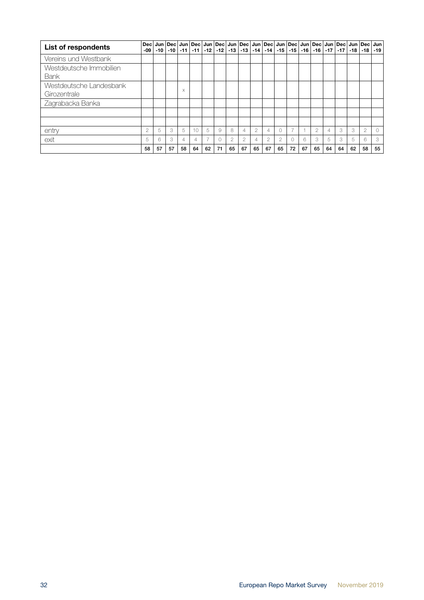| List of respondents                     | <b>Dec</b><br>-09 | -10 | -10 | $-11$    | $-11$           |                | $-12$ $-12$ $ $ |               |                |                | Jun   Dec   Jun   Dec   Jun   Dec   Jun   Dec   Jun   Dec   Jun   Dec   Jun   Dec   Jun   Dec   Jun   Dec  <br>$-13$ $-13$ $-14$ $-14$ $-15$ $-15$ $-16$ $-16$ $-17$ $-17$ |                |    |    |                |    |    |    | ∣ -18 ∣ -18 ∣  | Jun<br>-19 |
|-----------------------------------------|-------------------|-----|-----|----------|-----------------|----------------|-----------------|---------------|----------------|----------------|----------------------------------------------------------------------------------------------------------------------------------------------------------------------------|----------------|----|----|----------------|----|----|----|----------------|------------|
| Vereins und Westbank                    |                   |     |     |          |                 |                |                 |               |                |                |                                                                                                                                                                            |                |    |    |                |    |    |    |                |            |
| Westdeutsche Immobilien<br>Bank         |                   |     |     |          |                 |                |                 |               |                |                |                                                                                                                                                                            |                |    |    |                |    |    |    |                |            |
| Westdeutsche Landesbank<br>Girozentrale |                   |     |     | $\times$ |                 |                |                 |               |                |                |                                                                                                                                                                            |                |    |    |                |    |    |    |                |            |
| Zagrabacka Banka                        |                   |     |     |          |                 |                |                 |               |                |                |                                                                                                                                                                            |                |    |    |                |    |    |    |                |            |
|                                         |                   |     |     |          |                 |                |                 |               |                |                |                                                                                                                                                                            |                |    |    |                |    |    |    |                |            |
|                                         |                   |     |     |          |                 |                |                 |               |                |                |                                                                                                                                                                            |                |    |    |                |    |    |    |                |            |
| entry                                   | 2                 | 5   | 3   | 5        | 10 <sup>2</sup> | 5              | 9               | 8             | 4              | $\overline{2}$ | $\overline{4}$                                                                                                                                                             | $\bigcirc$     | ⇁  |    | $\overline{2}$ | 4  | 3  | 3  | $\overline{2}$ | $\bigcirc$ |
| exit                                    | 5                 | 6   | 3   | 4        | 4               | $\overline{z}$ | 0               | $\mathcal{P}$ | $\overline{2}$ | 4              | $\overline{2}$                                                                                                                                                             | $\overline{c}$ |    | 6  | 3              | 5  | 3  | 5  | 6              | 3          |
|                                         | 58                | 57  | 57  | 58       | 64              | 62             | 71              | 65            | 67             | 65             | 67                                                                                                                                                                         | 65             | 72 | 67 | 65             | 64 | 64 | 62 | 58             | 55         |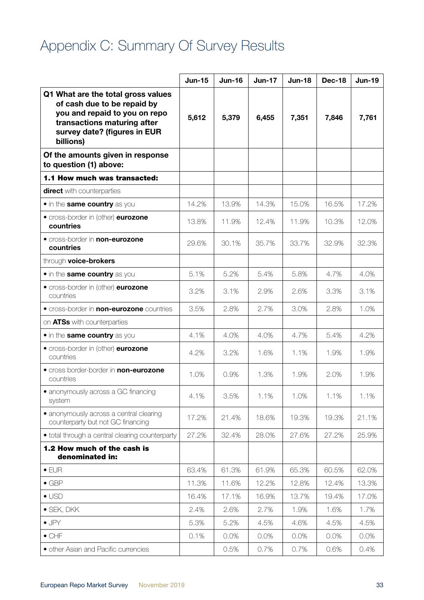# <span id="page-32-0"></span>Appendix C: Summary Of Survey Results

|                                                                                                                                                                                | <b>Jun-15</b> | <b>Jun-16</b> | <b>Jun-17</b> | <b>Jun-18</b> | <b>Dec-18</b> | <b>Jun-19</b> |
|--------------------------------------------------------------------------------------------------------------------------------------------------------------------------------|---------------|---------------|---------------|---------------|---------------|---------------|
| Q1 What are the total gross values<br>of cash due to be repaid by<br>you and repaid to you on repo<br>transactions maturing after<br>survey date? (figures in EUR<br>billions) | 5,612         | 5,379         | 6,455         | 7,351         | 7,846         | 7,761         |
| Of the amounts given in response<br>to question (1) above:                                                                                                                     |               |               |               |               |               |               |
| 1.1 How much was transacted:                                                                                                                                                   |               |               |               |               |               |               |
| <b>direct</b> with counterparties                                                                                                                                              |               |               |               |               |               |               |
| • in the same country as you                                                                                                                                                   | 14.2%         | 13.9%         | 14.3%         | 15.0%         | 16.5%         | 17.2%         |
| • cross-border in (other) eurozone<br>countries                                                                                                                                | 13.8%         | 11.9%         | 12.4%         | 11.9%         | 10.3%         | 12.0%         |
| <b>• cross-border in non-eurozone</b><br>countries                                                                                                                             | 29.6%         | 30.1%         | 35.7%         | 33.7%         | 32.9%         | 32.3%         |
| through voice-brokers                                                                                                                                                          |               |               |               |               |               |               |
| • in the same country as you                                                                                                                                                   | 5.1%          | 5.2%          | 5.4%          | 5.8%          | 4.7%          | 4.0%          |
| • cross-border in (other) eurozone<br>countries                                                                                                                                | 3.2%          | 3.1%          | 2.9%          | 2.6%          | 3.3%          | 3.1%          |
| <b>•</b> cross-border in <b>non-eurozone</b> countries                                                                                                                         | 3.5%          | 2.8%          | 2.7%          | 3.0%          | 2.8%          | 1.0%          |
| on ATSs with counterparties                                                                                                                                                    |               |               |               |               |               |               |
| • in the same country as you                                                                                                                                                   | 4.1%          | 4.0%          | 4.0%          | 4.7%          | 5.4%          | 4.2%          |
| • cross-border in (other) eurozone<br>countries                                                                                                                                | 4.2%          | 3.2%          | 1.6%          | 1.1%          | 1.9%          | 1.9%          |
| • cross border-border in non-eurozone<br>countries                                                                                                                             | 1.0%          | 0.9%          | 1.3%          | 1.9%          | 2.0%          | 1.9%          |
| • anonymously across a GC financing<br>system                                                                                                                                  | 4.1%          | 3.5%          | 1.1%          | 1.0%          | 1.1%          | 1.1%          |
| · anonymously across a central clearing<br>counterparty but not GC financing                                                                                                   | 17.2%         | 21.4%         | 18.6%         | 19.3%         | 19.3%         | 21.1%         |
| · total through a central clearing counterparty                                                                                                                                | 27.2%         | 32.4%         | 28.0%         | 27.6%         | 27.2%         | 25.9%         |
| 1.2 How much of the cash is<br>denominated in:                                                                                                                                 |               |               |               |               |               |               |
| $\bullet$ EUR                                                                                                                                                                  | 63.4%         | 61.3%         | 61.9%         | 65.3%         | 60.5%         | 62.0%         |
| $\bullet$ GBP                                                                                                                                                                  | 11.3%         | 11.6%         | 12.2%         | 12.8%         | 12.4%         | 13.3%         |
| $\bullet$ USD                                                                                                                                                                  | 16.4%         | 17.1%         | 16.9%         | 13.7%         | 19.4%         | 17.0%         |
| $\bullet$ SEK, DKK                                                                                                                                                             | 2.4%          | 2.6%          | 2.7%          | 1.9%          | 1.6%          | 1.7%          |
| $\bullet$ JPY                                                                                                                                                                  | 5.3%          | 5.2%          | 4.5%          | 4.6%          | 4.5%          | 4.5%          |
| $\bullet$ CHF                                                                                                                                                                  | 0.1%          | 0.0%          | 0.0%          | 0.0%          | 0.0%          | 0.0%          |
| · other Asian and Pacific currencies                                                                                                                                           |               | 0.5%          | 0.7%          | 0.7%          | 0.6%          | 0.4%          |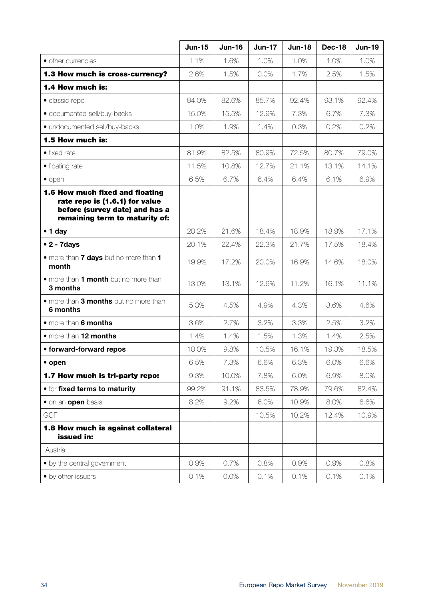|                                                                                                                                       | <b>Jun-15</b> | <b>Jun-16</b> | <b>Jun-17</b> | <b>Jun-18</b> | Dec-18 | <b>Jun-19</b> |
|---------------------------------------------------------------------------------------------------------------------------------------|---------------|---------------|---------------|---------------|--------|---------------|
| • other currencies                                                                                                                    | 1.1%          | 1.6%          | 1.0%          | 1.0%          | 1.0%   | 1.0%          |
| 1.3 How much is cross-currency?                                                                                                       | 2.6%          | 1.5%          | 0.0%          | 1.7%          | 2.5%   | 1.5%          |
| 1.4 How much is:                                                                                                                      |               |               |               |               |        |               |
| · classic repo                                                                                                                        | 84.0%         | 82.6%         | 85.7%         | 92.4%         | 93.1%  | 92.4%         |
| · documented sell/buy-backs                                                                                                           | 15.0%         | 15.5%         | 12.9%         | 7.3%          | 6.7%   | 7.3%          |
| · undocumented sell/buy-backs                                                                                                         | 1.0%          | 1.9%          | 1.4%          | 0.3%          | 0.2%   | 0.2%          |
| 1.5 How much is:                                                                                                                      |               |               |               |               |        |               |
| $\bullet$ fixed rate                                                                                                                  | 81.9%         | 82.5%         | 80.9%         | 72.5%         | 80.7%  | 79.0%         |
| • floating rate                                                                                                                       | 11.5%         | 10.8%         | 12.7%         | 21.1%         | 13.1%  | 14.1%         |
| $\bullet$ open                                                                                                                        | 6.5%          | 6.7%          | 6.4%          | 6.4%          | 6.1%   | 6.9%          |
| 1.6 How much fixed and floating<br>rate repo is (1.6.1) for value<br>before (survey date) and has a<br>remaining term to maturity of: |               |               |               |               |        |               |
| $\bullet$ 1 day                                                                                                                       | 20.2%         | 21.6%         | 18.4%         | 18.9%         | 18.9%  | 17.1%         |
| $\bullet$ 2 - 7 days                                                                                                                  | 20.1%         | 22.4%         | 22.3%         | 21.7%         | 17.5%  | 18.4%         |
| . more than <b>7 days</b> but no more than 1<br>month                                                                                 | 19.9%         | 17.2%         | 20.0%         | 16.9%         | 14.6%  | 18.0%         |
| • more than 1 month but no more than<br>3 months                                                                                      | 13.0%         | 13.1%         | 12.6%         | 11.2%         | 16.1%  | 11.1%         |
| • more than 3 months but no more than<br>6 months                                                                                     | 5.3%          | 4.5%          | 4.9%          | 4.3%          | 3.6%   | 4.6%          |
| • more than 6 months                                                                                                                  | 3.6%          | 2.7%          | 3.2%          | 3.3%          | 2.5%   | 3.2%          |
| • more than 12 months                                                                                                                 | 1.4%          | 1.4%          | 1.5%          | 1.3%          | 1.4%   | 2.5%          |
| • forward-forward repos                                                                                                               | 10.0%         | 9.8%          | 10.5%         | 16.1%         | 19.3%  | 18.5%         |
| • open                                                                                                                                | 6.5%          | 7.3%          | 6.6%          | 6.3%          | 6.0%   | 6.6%          |
| 1.7 How much is tri-party repo:                                                                                                       | 9.3%          | 10.0%         | 7.8%          | 6.0%          | 6.9%   | 8.0%          |
| <b>• for fixed terms to maturity</b>                                                                                                  | 99.2%         | 91.1%         | 83.5%         | 78.9%         | 79.6%  | 82.4%         |
| • on an open basis                                                                                                                    | 8.2%          | 9.2%          | 6.0%          | 10.9%         | 8.0%   | 6.6%          |
| <b>GCF</b>                                                                                                                            |               |               | 10.5%         | 10.2%         | 12.4%  | 10.9%         |
| 1.8 How much is against collateral<br>issued in:                                                                                      |               |               |               |               |        |               |
| Austria                                                                                                                               |               |               |               |               |        |               |
| • by the central government                                                                                                           | 0.9%          | 0.7%          | 0.8%          | 0.9%          | 0.9%   | 0.8%          |
| • by other issuers                                                                                                                    | 0.1%          | 0.0%          | 0.1%          | 0.1%          | 0.1%   | 0.1%          |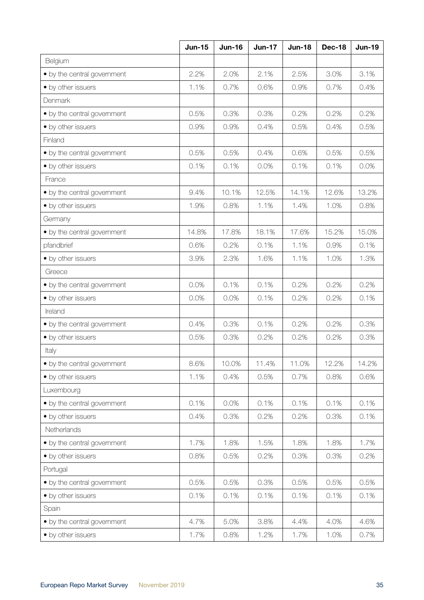|                             | <b>Jun-15</b> | <b>Jun-16</b> | <b>Jun-17</b> | <b>Jun-18</b> | <b>Dec-18</b> | <b>Jun-19</b> |
|-----------------------------|---------------|---------------|---------------|---------------|---------------|---------------|
| Belgium                     |               |               |               |               |               |               |
| • by the central government | 2.2%          | 2.0%          | 2.1%          | 2.5%          | 3.0%          | 3.1%          |
| • by other issuers          | 1.1%          | 0.7%          | 0.6%          | 0.9%          | 0.7%          | 0.4%          |
| Denmark                     |               |               |               |               |               |               |
| • by the central government | 0.5%          | 0.3%          | 0.3%          | 0.2%          | 0.2%          | 0.2%          |
| • by other issuers          | 0.9%          | 0.9%          | 0.4%          | 0.5%          | 0.4%          | 0.5%          |
| Finland                     |               |               |               |               |               |               |
| • by the central government | 0.5%          | 0.5%          | 0.4%          | 0.6%          | 0.5%          | 0.5%          |
| • by other issuers          | 0.1%          | 0.1%          | 0.0%          | 0.1%          | 0.1%          | 0.0%          |
| France                      |               |               |               |               |               |               |
| • by the central government | 9.4%          | 10.1%         | 12.5%         | 14.1%         | 12.6%         | 13.2%         |
| • by other issuers          | 1.9%          | 0.8%          | 1.1%          | 1.4%          | 1.0%          | 0.8%          |
| Germany                     |               |               |               |               |               |               |
| • by the central government | 14.8%         | 17.8%         | 18.1%         | 17.6%         | 15.2%         | 15.0%         |
| pfandbrief                  | 0.6%          | 0.2%          | 0.1%          | 1.1%          | 0.9%          | 0.1%          |
| • by other issuers          | 3.9%          | 2.3%          | 1.6%          | 1.1%          | 1.0%          | 1.3%          |
| Greece                      |               |               |               |               |               |               |
| • by the central government | 0.0%          | 0.1%          | 0.1%          | 0.2%          | 0.2%          | 0.2%          |
| • by other issuers          | 0.0%          | 0.0%          | 0.1%          | 0.2%          | 0.2%          | 0.1%          |
| Ireland                     |               |               |               |               |               |               |
| • by the central government | 0.4%          | 0.3%          | 0.1%          | 0.2%          | 0.2%          | 0.3%          |
| • by other issuers          | 0.5%          | 0.3%          | 0.2%          | 0.2%          | 0.2%          | 0.3%          |
| Italy                       |               |               |               |               |               |               |
| • by the central government | 8.6%          | 10.0%         | 11.4%         | 11.0%         | 12.2%         | 14.2%         |
| • by other issuers          | 1.1%          | 0.4%          | 0.5%          | 0.7%          | 0.8%          | 0.6%          |
| Luxembourg                  |               |               |               |               |               |               |
| • by the central government | 0.1%          | 0.0%          | 0.1%          | 0.1%          | 0.1%          | 0.1%          |
| • by other issuers          | 0.4%          | 0.3%          | 0.2%          | 0.2%          | 0.3%          | 0.1%          |
| Netherlands                 |               |               |               |               |               |               |
| • by the central government | 1.7%          | 1.8%          | 1.5%          | 1.8%          | 1.8%          | 1.7%          |
| • by other issuers          | 0.8%          | 0.5%          | 0.2%          | 0.3%          | 0.3%          | 0.2%          |
| Portugal                    |               |               |               |               |               |               |
| • by the central government | 0.5%          | 0.5%          | 0.3%          | 0.5%          | 0.5%          | 0.5%          |
| • by other issuers          | 0.1%          | 0.1%          | 0.1%          | 0.1%          | 0.1%          | 0.1%          |
| Spain                       |               |               |               |               |               |               |
| • by the central government | 4.7%          | 5.0%          | 3.8%          | 4.4%          | 4.0%          | 4.6%          |
| • by other issuers          | 1.7%          | 0.8%          | 1.2%          | 1.7%          | 1.0%          | 0.7%          |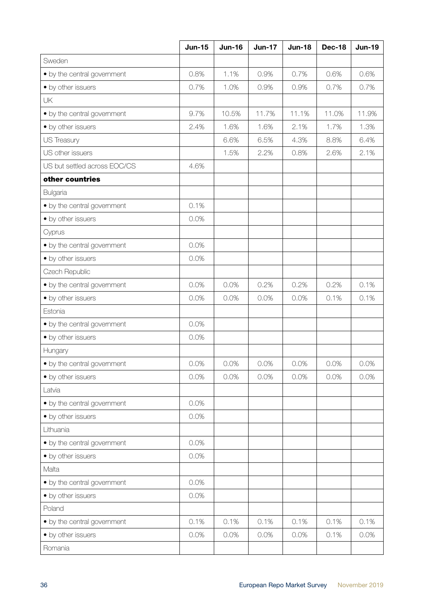|                              | <b>Jun-15</b> | <b>Jun-16</b> | <b>Jun-17</b> | <b>Jun-18</b> | <b>Dec-18</b> | <b>Jun-19</b> |
|------------------------------|---------------|---------------|---------------|---------------|---------------|---------------|
| Sweden                       |               |               |               |               |               |               |
| • by the central government  | 0.8%          | 1.1%          | 0.9%          | 0.7%          | 0.6%          | 0.6%          |
| • by other issuers           | 0.7%          | 1.0%          | 0.9%          | 0.9%          | 0.7%          | 0.7%          |
| UK                           |               |               |               |               |               |               |
| • by the central government  | 9.7%          | 10.5%         | 11.7%         | 11.1%         | 11.0%         | 11.9%         |
| • by other issuers           | 2.4%          | 1.6%          | 1.6%          | 2.1%          | 1.7%          | 1.3%          |
| US Treasury                  |               | 6.6%          | 6.5%          | 4.3%          | 8.8%          | 6.4%          |
| US other issuers             |               | 1.5%          | 2.2%          | 0.8%          | 2.6%          | 2.1%          |
| US but settled across EOC/CS | 4.6%          |               |               |               |               |               |
| other countries              |               |               |               |               |               |               |
| Bulgaria                     |               |               |               |               |               |               |
| • by the central government  | 0.1%          |               |               |               |               |               |
| • by other issuers           | 0.0%          |               |               |               |               |               |
| Cyprus                       |               |               |               |               |               |               |
| • by the central government  | 0.0%          |               |               |               |               |               |
| • by other issuers           | 0.0%          |               |               |               |               |               |
| Czech Republic               |               |               |               |               |               |               |
| • by the central government  | 0.0%          | 0.0%          | 0.2%          | 0.2%          | 0.2%          | 0.1%          |
| • by other issuers           | 0.0%          | 0.0%          | 0.0%          | 0.0%          | 0.1%          | 0.1%          |
| Estonia                      |               |               |               |               |               |               |
| • by the central government  | 0.0%          |               |               |               |               |               |
| • by other issuers           | 0.0%          |               |               |               |               |               |
| Hungary                      |               |               |               |               |               |               |
| • by the central government  | 0.0%          | 0.0%          | 0.0%          | 0.0%          | 0.0%          | 0.0%          |
| • by other issuers           | 0.0%          | 0.0%          | 0.0%          | 0.0%          | 0.0%          | 0.0%          |
| Latvia                       |               |               |               |               |               |               |
| • by the central government  | 0.0%          |               |               |               |               |               |
| • by other issuers           | 0.0%          |               |               |               |               |               |
| Lithuania                    |               |               |               |               |               |               |
| • by the central government  | 0.0%          |               |               |               |               |               |
| • by other issuers           | 0.0%          |               |               |               |               |               |
| Malta                        |               |               |               |               |               |               |
| • by the central government  | 0.0%          |               |               |               |               |               |
| • by other issuers           | 0.0%          |               |               |               |               |               |
| Poland                       |               |               |               |               |               |               |
| • by the central government  | 0.1%          | 0.1%          | 0.1%          | 0.1%          | 0.1%          | 0.1%          |
| • by other issuers           | 0.0%          | 0.0%          | 0.0%          | 0.0%          | 0.1%          | 0.0%          |
| Romania                      |               |               |               |               |               |               |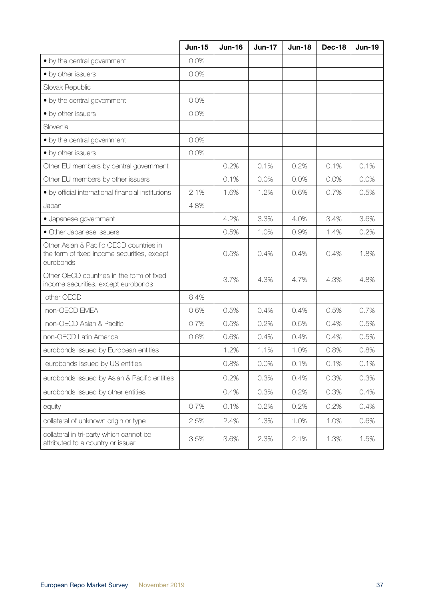|                                                                                                     | <b>Jun-15</b> | <b>Jun-16</b> | <b>Jun-17</b> | <b>Jun-18</b> | <b>Dec-18</b> | <b>Jun-19</b> |
|-----------------------------------------------------------------------------------------------------|---------------|---------------|---------------|---------------|---------------|---------------|
| • by the central government                                                                         | 0.0%          |               |               |               |               |               |
| • by other issuers                                                                                  | 0.0%          |               |               |               |               |               |
| Slovak Republic                                                                                     |               |               |               |               |               |               |
| • by the central government                                                                         | 0.0%          |               |               |               |               |               |
| • by other issuers                                                                                  | 0.0%          |               |               |               |               |               |
| Slovenia                                                                                            |               |               |               |               |               |               |
| • by the central government                                                                         | 0.0%          |               |               |               |               |               |
| • by other issuers                                                                                  | 0.0%          |               |               |               |               |               |
| Other EU members by central government                                                              |               | 0.2%          | 0.1%          | 0.2%          | 0.1%          | 0.1%          |
| Other EU members by other issuers                                                                   |               | 0.1%          | 0.0%          | 0.0%          | 0.0%          | 0.0%          |
| · by official international financial institutions                                                  | 2.1%          | 1.6%          | 1.2%          | 0.6%          | 0.7%          | 0.5%          |
| Japan                                                                                               | 4.8%          |               |               |               |               |               |
| · Japanese government                                                                               |               | 4.2%          | 3.3%          | 4.0%          | 3.4%          | 3.6%          |
| • Other Japanese issuers                                                                            |               | 0.5%          | 1.0%          | 0.9%          | 1.4%          | 0.2%          |
| Other Asian & Pacific OECD countries in<br>the form of fixed income securities, except<br>eurobonds |               | 0.5%          | 0.4%          | 0.4%          | 0.4%          | 1.8%          |
| Other OECD countries in the form of fixed<br>income securities, except eurobonds                    |               | 3.7%          | 4.3%          | 4.7%          | 4.3%          | 4.8%          |
| other OECD                                                                                          | 8.4%          |               |               |               |               |               |
| non-OECD EMEA                                                                                       | 0.6%          | 0.5%          | 0.4%          | 0.4%          | 0.5%          | 0.7%          |
| non-OECD Asian & Pacific                                                                            | 0.7%          | 0.5%          | 0.2%          | 0.5%          | 0.4%          | 0.5%          |
| non-OECD Latin America                                                                              | 0.6%          | 0.6%          | 0.4%          | 0.4%          | 0.4%          | 0.5%          |
| eurobonds issued by European entities                                                               |               | 1.2%          | 1.1%          | 1.0%          | 0.8%          | 0.8%          |
| eurobonds issued by US entities                                                                     |               | 0.8%          | 0.0%          | 0.1%          | 0.1%          | 0.1%          |
| eurobonds issued by Asian & Pacific entities                                                        |               | 0.2%          | 0.3%          | 0.4%          | 0.3%          | 0.3%          |
| eurobonds issued by other entities                                                                  |               | 0.4%          | 0.3%          | 0.2%          | 0.3%          | 0.4%          |
| equity                                                                                              | 0.7%          | 0.1%          | 0.2%          | 0.2%          | 0.2%          | 0.4%          |
| collateral of unknown origin or type                                                                | 2.5%          | 2.4%          | 1.3%          | 1.0%          | 1.0%          | 0.6%          |
| collateral in tri-party which cannot be<br>attributed to a country or issuer                        | 3.5%          | 3.6%          | 2.3%          | 2.1%          | 1.3%          | 1.5%          |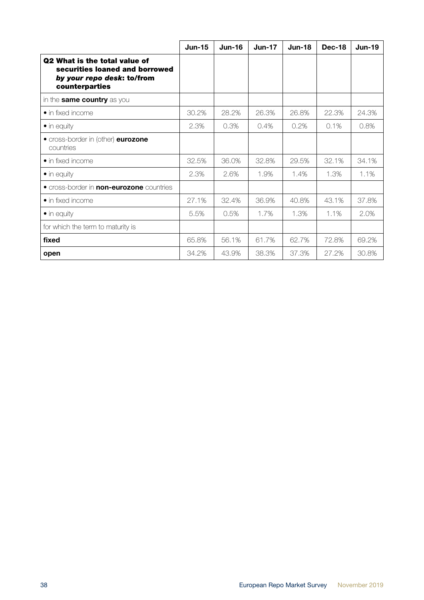|                                                                                                                        | <b>Jun-15</b> | <b>Jun-16</b> | <b>Jun-17</b> | <b>Jun-18</b> | <b>Dec-18</b> | <b>Jun-19</b> |
|------------------------------------------------------------------------------------------------------------------------|---------------|---------------|---------------|---------------|---------------|---------------|
| <b>Q2 What is the total value of</b><br>securities loaned and borrowed<br>by your repo desk: to/from<br>counterparties |               |               |               |               |               |               |
| in the <b>same country</b> as you                                                                                      |               |               |               |               |               |               |
| $\bullet$ in fixed income                                                                                              | 30.2%         | 28.2%         | 26.3%         | 26.8%         | 22.3%         | 24.3%         |
| $\bullet$ in equity                                                                                                    | 2.3%          | 0.3%          | 0.4%          | 0.2%          | 0.1%          | 0.8%          |
| • cross-border in (other) eurozone<br>countries                                                                        |               |               |               |               |               |               |
| $\bullet$ in fixed income                                                                                              | 32.5%         | 36.0%         | 32.8%         | 29.5%         | 32.1%         | 34.1%         |
| $\bullet$ in equity                                                                                                    | 2.3%          | 2.6%          | 1.9%          | 1.4%          | 1.3%          | 1.1%          |
| • cross-border in <b>non-eurozone</b> countries                                                                        |               |               |               |               |               |               |
| $\bullet$ in fixed income                                                                                              | 27.1%         | 32.4%         | 36.9%         | 40.8%         | 43.1%         | 37.8%         |
| $\bullet$ in equity                                                                                                    | 5.5%          | 0.5%          | 1.7%          | 1.3%          | 1.1%          | 2.0%          |
| for which the term to maturity is                                                                                      |               |               |               |               |               |               |
| fixed                                                                                                                  | 65.8%         | 56.1%         | 61.7%         | 62.7%         | 72.8%         | 69.2%         |
| open                                                                                                                   | 34.2%         | 43.9%         | 38.3%         | 37.3%         | 27.2%         | 30.8%         |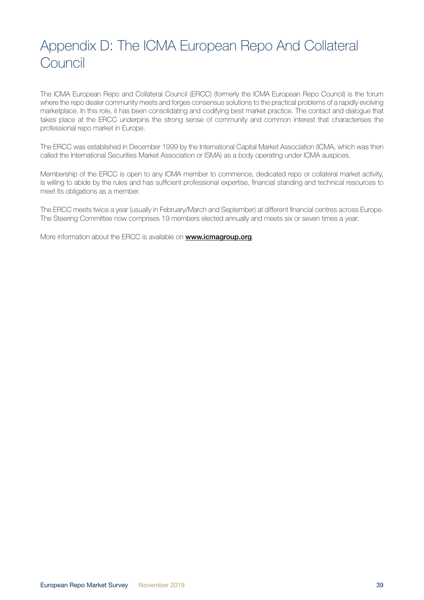# <span id="page-38-0"></span>Appendix D: The ICMA European Repo And Collateral **Council**

The ICMA European Repo and Collateral Council (ERCC) (formerly the ICMA European Repo Council) is the forum where the repo dealer community meets and forges consensus solutions to the practical problems of a rapidly evolving marketplace. In this role, it has been consolidating and codifying best market practice. The contact and dialogue that takes place at the ERCC underpins the strong sense of community and common interest that characterises the professional repo market in Europe.

The ERCC was established in December 1999 by the International Capital Market Association (ICMA, which was then called the International Securities Market Association or ISMA) as a body operating under ICMA auspices.

Membership of the ERCC is open to any ICMA member to commence, dedicated repo or collateral market activity, is willing to abide by the rules and has sufficient professional expertise, financial standing and technical resources to meet its obligations as a member.

The ERCC meets twice a year (usually in February/March and September) at different financial centres across Europe. The Steering Committee now comprises 19 members elected annually and meets six or seven times a year.

More information about the ERCC is available on **[www.icmagroup.org](https://www.icmagroup.org/Regulatory-Policy-and-Market-Practice/repo-and-collateral-markets/)**.